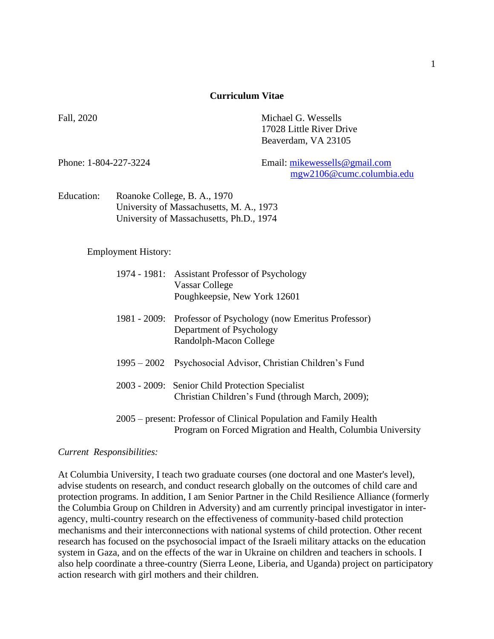#### **Curriculum Vitae**

Fall, 2020 Michael G. Wessells 17028 Little River Drive Beaverdam, VA 23105

Phone: 1-804-227-3224 Email: [mikewessells@gmail.com](mailto:mikewessells@gmail.com) [mgw2106@cumc.columbia.edu](mailto:mgw2106@cumc.columbia.edu)

Education: Roanoke College, B. A., 1970 University of Massachusetts, M. A., 1973 University of Massachusetts, Ph.D., 1974

Employment History:

|                                                                                                                                   | 1974 - 1981: Assistant Professor of Psychology<br>Vassar College<br>Poughkeepsie, New York 12601                    |
|-----------------------------------------------------------------------------------------------------------------------------------|---------------------------------------------------------------------------------------------------------------------|
|                                                                                                                                   | 1981 - 2009: Professor of Psychology (now Emeritus Professor)<br>Department of Psychology<br>Randolph-Macon College |
|                                                                                                                                   | 1995 – 2002 Psychosocial Advisor, Christian Children's Fund                                                         |
|                                                                                                                                   | 2003 - 2009: Senior Child Protection Specialist<br>Christian Children's Fund (through March, 2009);                 |
| 2005 – present: Professor of Clinical Population and Family Health<br>Program on Forced Migration and Health, Columbia University |                                                                                                                     |

### *Current Responsibilities:*

At Columbia University, I teach two graduate courses (one doctoral and one Master's level), advise students on research, and conduct research globally on the outcomes of child care and protection programs. In addition, I am Senior Partner in the Child Resilience Alliance (formerly the Columbia Group on Children in Adversity) and am currently principal investigator in interagency, multi-country research on the effectiveness of community-based child protection mechanisms and their interconnections with national systems of child protection. Other recent research has focused on the psychosocial impact of the Israeli military attacks on the education system in Gaza, and on the effects of the war in Ukraine on children and teachers in schools. I also help coordinate a three-country (Sierra Leone, Liberia, and Uganda) project on participatory action research with girl mothers and their children.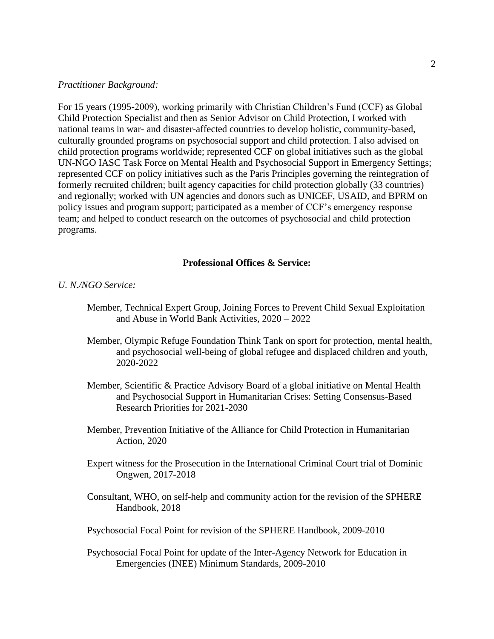#### *Practitioner Background:*

For 15 years (1995-2009), working primarily with Christian Children's Fund (CCF) as Global Child Protection Specialist and then as Senior Advisor on Child Protection, I worked with national teams in war- and disaster-affected countries to develop holistic, community-based, culturally grounded programs on psychosocial support and child protection. I also advised on child protection programs worldwide; represented CCF on global initiatives such as the global UN-NGO IASC Task Force on Mental Health and Psychosocial Support in Emergency Settings; represented CCF on policy initiatives such as the Paris Principles governing the reintegration of formerly recruited children; built agency capacities for child protection globally (33 countries) and regionally; worked with UN agencies and donors such as UNICEF, USAID, and BPRM on policy issues and program support; participated as a member of CCF's emergency response team; and helped to conduct research on the outcomes of psychosocial and child protection programs.

## **Professional Offices & Service:**

### *U. N./NGO Service:*

- Member, Technical Expert Group, Joining Forces to Prevent Child Sexual Exploitation and Abuse in World Bank Activities, 2020 – 2022
- Member, Olympic Refuge Foundation Think Tank on sport for protection, mental health, and psychosocial well-being of global refugee and displaced children and youth, 2020-2022
- Member, Scientific & Practice Advisory Board of a global initiative on Mental Health and Psychosocial Support in Humanitarian Crises: Setting Consensus-Based Research Priorities for 2021-2030
- Member, Prevention Initiative of the Alliance for Child Protection in Humanitarian Action, 2020
- Expert witness for the Prosecution in the International Criminal Court trial of Dominic Ongwen, 2017-2018
- Consultant, WHO, on self-help and community action for the revision of the SPHERE Handbook, 2018
- Psychosocial Focal Point for revision of the SPHERE Handbook, 2009-2010
- Psychosocial Focal Point for update of the Inter-Agency Network for Education in Emergencies (INEE) Minimum Standards, 2009-2010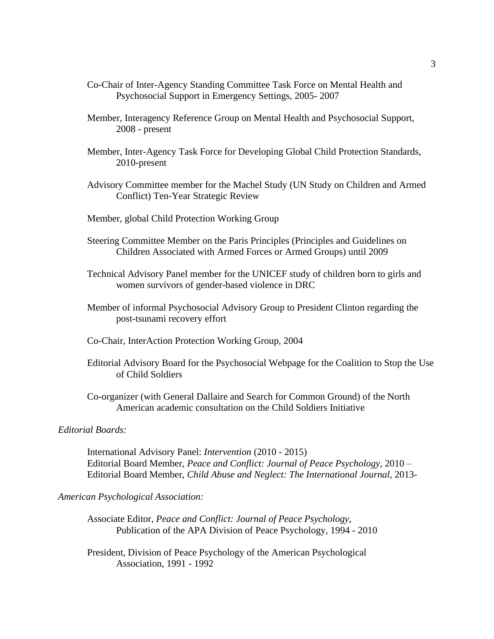- Co-Chair of Inter-Agency Standing Committee Task Force on Mental Health and Psychosocial Support in Emergency Settings, 2005- 2007
- Member, Interagency Reference Group on Mental Health and Psychosocial Support, 2008 - present
- Member, Inter-Agency Task Force for Developing Global Child Protection Standards, 2010-present
- Advisory Committee member for the Machel Study (UN Study on Children and Armed Conflict) Ten-Year Strategic Review
- Member, global Child Protection Working Group
- Steering Committee Member on the Paris Principles (Principles and Guidelines on Children Associated with Armed Forces or Armed Groups) until 2009
- Technical Advisory Panel member for the UNICEF study of children born to girls and women survivors of gender-based violence in DRC
- Member of informal Psychosocial Advisory Group to President Clinton regarding the post-tsunami recovery effort
- Co-Chair, InterAction Protection Working Group, 2004
- Editorial Advisory Board for the Psychosocial Webpage for the Coalition to Stop the Use of Child Soldiers
- Co-organizer (with General Dallaire and Search for Common Ground) of the North American academic consultation on the Child Soldiers Initiative

### *Editorial Boards:*

International Advisory Panel: *Intervention* (2010 - 2015) Editorial Board Member, *Peace and Conflict: Journal of Peace Psychology*, 2010 – Editorial Board Member, *Child Abuse and Neglect: The International Journal*, 2013-

#### *American Psychological Association:*

- Associate Editor, *Peace and Conflict: Journal of Peace Psychology*, Publication of the APA Division of Peace Psychology, 1994 - 2010
- President, Division of Peace Psychology of the American Psychological Association, 1991 - 1992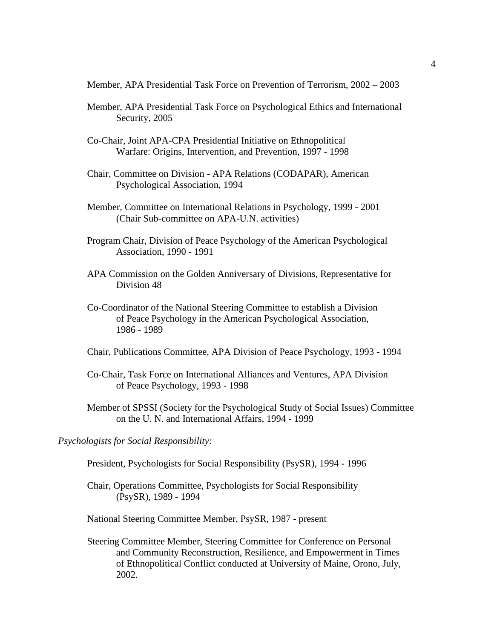Member, APA Presidential Task Force on Prevention of Terrorism, 2002 – 2003

- Member, APA Presidential Task Force on Psychological Ethics and International Security, 2005
- Co-Chair, Joint APA-CPA Presidential Initiative on Ethnopolitical Warfare: Origins, Intervention, and Prevention, 1997 - 1998
- Chair, Committee on Division APA Relations (CODAPAR), American Psychological Association, 1994
- Member, Committee on International Relations in Psychology, 1999 2001 (Chair Sub-committee on APA-U.N. activities)
- Program Chair, Division of Peace Psychology of the American Psychological Association, 1990 - 1991
- APA Commission on the Golden Anniversary of Divisions, Representative for Division 48
- Co-Coordinator of the National Steering Committee to establish a Division of Peace Psychology in the American Psychological Association, 1986 - 1989
- Chair, Publications Committee, APA Division of Peace Psychology, 1993 1994
- Co-Chair, Task Force on International Alliances and Ventures, APA Division of Peace Psychology, 1993 - 1998
- Member of SPSSI (Society for the Psychological Study of Social Issues) Committee on the U. N. and International Affairs, 1994 - 1999

*Psychologists for Social Responsibility:*

- President, Psychologists for Social Responsibility (PsySR), 1994 1996
- Chair, Operations Committee, Psychologists for Social Responsibility (PsySR), 1989 - 1994

National Steering Committee Member, PsySR, 1987 - present

Steering Committee Member, Steering Committee for Conference on Personal and Community Reconstruction, Resilience, and Empowerment in Times of Ethnopolitical Conflict conducted at University of Maine, Orono, July, 2002.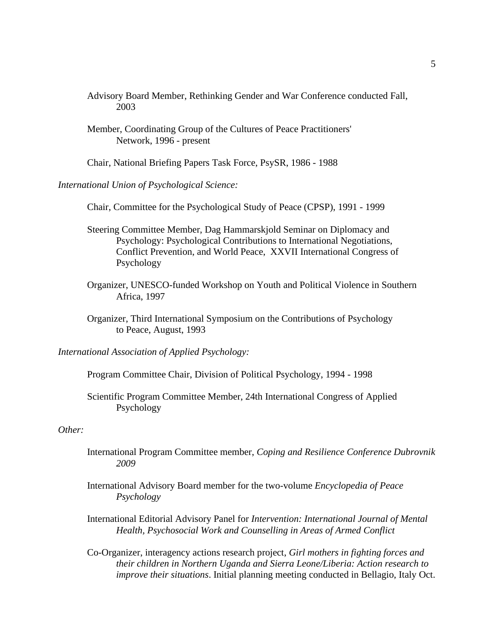- Advisory Board Member, Rethinking Gender and War Conference conducted Fall, 2003
- Member, Coordinating Group of the Cultures of Peace Practitioners' Network, 1996 - present

Chair, National Briefing Papers Task Force, PsySR, 1986 - 1988

*International Union of Psychological Science:*

Chair, Committee for the Psychological Study of Peace (CPSP), 1991 - 1999

- Steering Committee Member, Dag Hammarskjold Seminar on Diplomacy and Psychology: Psychological Contributions to International Negotiations, Conflict Prevention, and World Peace, XXVII International Congress of Psychology
- Organizer, UNESCO-funded Workshop on Youth and Political Violence in Southern Africa, 1997
- Organizer, Third International Symposium on the Contributions of Psychology to Peace, August, 1993

*International Association of Applied Psychology:*

Program Committee Chair, Division of Political Psychology, 1994 - 1998

Scientific Program Committee Member, 24th International Congress of Applied Psychology

*Other:*

- International Program Committee member, *Coping and Resilience Conference Dubrovnik 2009*
- International Advisory Board member for the two-volume *Encyclopedia of Peace Psychology*

International Editorial Advisory Panel for *Intervention: International Journal of Mental Health, Psychosocial Work and Counselling in Areas of Armed Conflict*

Co-Organizer, interagency actions research project, *Girl mothers in fighting forces and their children in Northern Uganda and Sierra Leone/Liberia: Action research to improve their situations*. Initial planning meeting conducted in Bellagio, Italy Oct.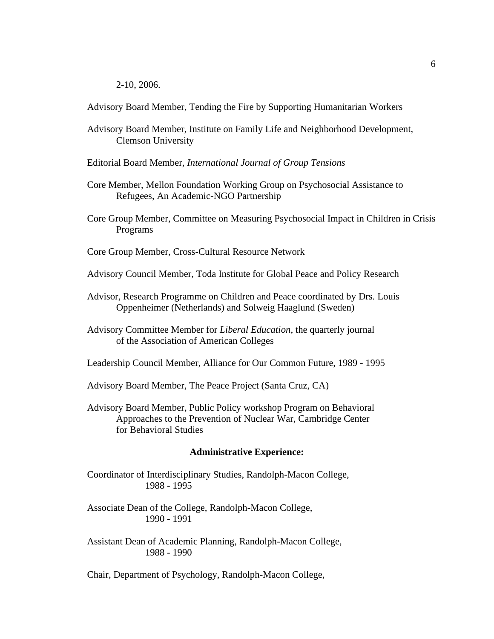2-10, 2006.

Advisory Board Member, Tending the Fire by Supporting Humanitarian Workers

- Advisory Board Member, Institute on Family Life and Neighborhood Development, Clemson University
- Editorial Board Member, *International Journal of Group Tensions*
- Core Member, Mellon Foundation Working Group on Psychosocial Assistance to Refugees, An Academic-NGO Partnership
- Core Group Member, Committee on Measuring Psychosocial Impact in Children in Crisis Programs
- Core Group Member, Cross-Cultural Resource Network
- Advisory Council Member, Toda Institute for Global Peace and Policy Research
- Advisor, Research Programme on Children and Peace coordinated by Drs. Louis Oppenheimer (Netherlands) and Solweig Haaglund (Sweden)
- Advisory Committee Member for *Liberal Education*, the quarterly journal of the Association of American Colleges
- Leadership Council Member, Alliance for Our Common Future, 1989 1995
- Advisory Board Member, The Peace Project (Santa Cruz, CA)
- Advisory Board Member, Public Policy workshop Program on Behavioral Approaches to the Prevention of Nuclear War, Cambridge Center for Behavioral Studies

### **Administrative Experience:**

Coordinator of Interdisciplinary Studies, Randolph-Macon College, 1988 - 1995

Associate Dean of the College, Randolph-Macon College, 1990 - 1991

Assistant Dean of Academic Planning, Randolph-Macon College, 1988 - 1990

Chair, Department of Psychology, Randolph-Macon College,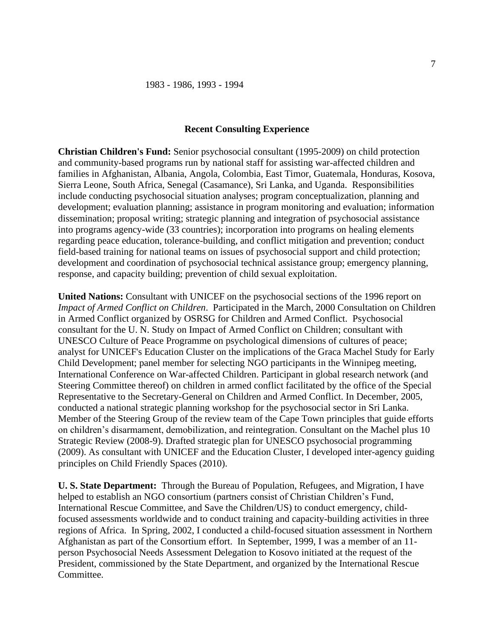### **Recent Consulting Experience**

**Christian Children's Fund:** Senior psychosocial consultant (1995-2009) on child protection and community-based programs run by national staff for assisting war-affected children and families in Afghanistan, Albania, Angola, Colombia, East Timor, Guatemala, Honduras, Kosova, Sierra Leone, South Africa, Senegal (Casamance), Sri Lanka, and Uganda. Responsibilities include conducting psychosocial situation analyses; program conceptualization, planning and development; evaluation planning; assistance in program monitoring and evaluation; information dissemination; proposal writing; strategic planning and integration of psychosocial assistance into programs agency-wide (33 countries); incorporation into programs on healing elements regarding peace education, tolerance-building, and conflict mitigation and prevention; conduct field-based training for national teams on issues of psychosocial support and child protection; development and coordination of psychosocial technical assistance group; emergency planning, response, and capacity building; prevention of child sexual exploitation.

**United Nations:** Consultant with UNICEF on the psychosocial sections of the 1996 report on *Impact of Armed Conflict on Children*. Participated in the March, 2000 Consultation on Children in Armed Conflict organized by OSRSG for Children and Armed Conflict. Psychosocial consultant for the U. N. Study on Impact of Armed Conflict on Children; consultant with UNESCO Culture of Peace Programme on psychological dimensions of cultures of peace; analyst for UNICEF's Education Cluster on the implications of the Graca Machel Study for Early Child Development; panel member for selecting NGO participants in the Winnipeg meeting, International Conference on War-affected Children. Participant in global research network (and Steering Committee thereof) on children in armed conflict facilitated by the office of the Special Representative to the Secretary-General on Children and Armed Conflict. In December, 2005, conducted a national strategic planning workshop for the psychosocial sector in Sri Lanka. Member of the Steering Group of the review team of the Cape Town principles that guide efforts on children's disarmament, demobilization, and reintegration. Consultant on the Machel plus 10 Strategic Review (2008-9). Drafted strategic plan for UNESCO psychosocial programming (2009). As consultant with UNICEF and the Education Cluster, I developed inter-agency guiding principles on Child Friendly Spaces (2010).

**U. S. State Department:** Through the Bureau of Population, Refugees, and Migration, I have helped to establish an NGO consortium (partners consist of Christian Children's Fund, International Rescue Committee, and Save the Children/US) to conduct emergency, childfocused assessments worldwide and to conduct training and capacity-building activities in three regions of Africa. In Spring, 2002, I conducted a child-focused situation assessment in Northern Afghanistan as part of the Consortium effort. In September, 1999, I was a member of an 11 person Psychosocial Needs Assessment Delegation to Kosovo initiated at the request of the President, commissioned by the State Department, and organized by the International Rescue Committee.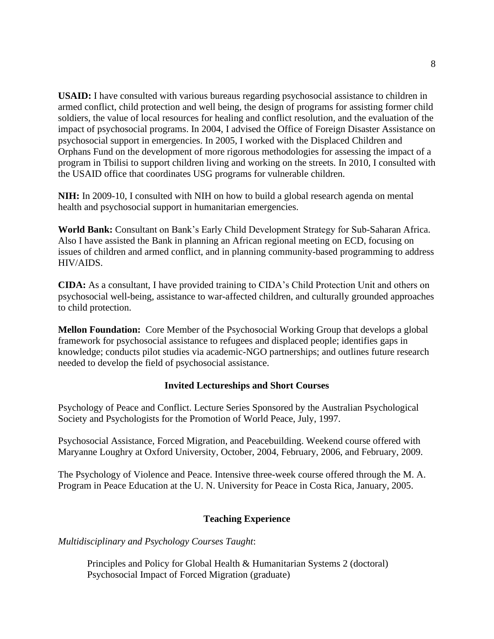**USAID:** I have consulted with various bureaus regarding psychosocial assistance to children in armed conflict, child protection and well being, the design of programs for assisting former child soldiers, the value of local resources for healing and conflict resolution, and the evaluation of the impact of psychosocial programs. In 2004, I advised the Office of Foreign Disaster Assistance on psychosocial support in emergencies. In 2005, I worked with the Displaced Children and Orphans Fund on the development of more rigorous methodologies for assessing the impact of a program in Tbilisi to support children living and working on the streets. In 2010, I consulted with the USAID office that coordinates USG programs for vulnerable children.

**NIH:** In 2009-10, I consulted with NIH on how to build a global research agenda on mental health and psychosocial support in humanitarian emergencies.

**World Bank:** Consultant on Bank's Early Child Development Strategy for Sub-Saharan Africa. Also I have assisted the Bank in planning an African regional meeting on ECD, focusing on issues of children and armed conflict, and in planning community-based programming to address HIV/AIDS.

**CIDA:** As a consultant, I have provided training to CIDA's Child Protection Unit and others on psychosocial well-being, assistance to war-affected children, and culturally grounded approaches to child protection.

**Mellon Foundation:** Core Member of the Psychosocial Working Group that develops a global framework for psychosocial assistance to refugees and displaced people; identifies gaps in knowledge; conducts pilot studies via academic-NGO partnerships; and outlines future research needed to develop the field of psychosocial assistance.

# **Invited Lectureships and Short Courses**

Psychology of Peace and Conflict. Lecture Series Sponsored by the Australian Psychological Society and Psychologists for the Promotion of World Peace, July, 1997.

Psychosocial Assistance, Forced Migration, and Peacebuilding. Weekend course offered with Maryanne Loughry at Oxford University, October, 2004, February, 2006, and February, 2009.

The Psychology of Violence and Peace. Intensive three-week course offered through the M. A. Program in Peace Education at the U. N. University for Peace in Costa Rica, January, 2005.

# **Teaching Experience**

*Multidisciplinary and Psychology Courses Taught*:

Principles and Policy for Global Health & Humanitarian Systems 2 (doctoral) Psychosocial Impact of Forced Migration (graduate)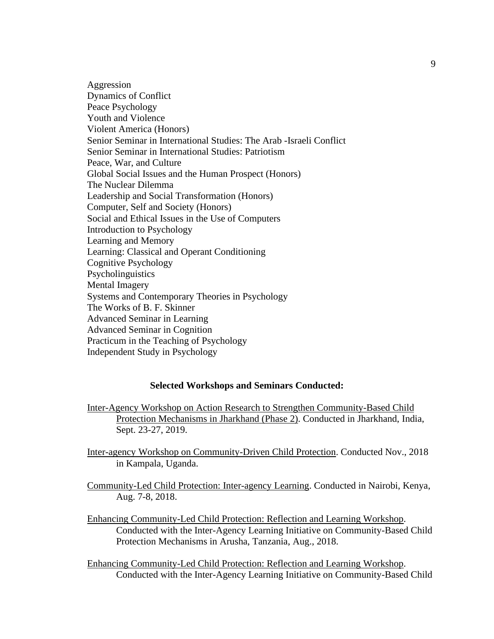Aggression Dynamics of Conflict Peace Psychology Youth and Violence Violent America (Honors) Senior Seminar in International Studies: The Arab -Israeli Conflict Senior Seminar in International Studies: Patriotism Peace, War, and Culture Global Social Issues and the Human Prospect (Honors) The Nuclear Dilemma Leadership and Social Transformation (Honors) Computer, Self and Society (Honors) Social and Ethical Issues in the Use of Computers Introduction to Psychology Learning and Memory Learning: Classical and Operant Conditioning Cognitive Psychology **Psycholinguistics** Mental Imagery Systems and Contemporary Theories in Psychology The Works of B. F. Skinner Advanced Seminar in Learning Advanced Seminar in Cognition Practicum in the Teaching of Psychology Independent Study in Psychology

## **Selected Workshops and Seminars Conducted:**

- Inter-Agency Workshop on Action Research to Strengthen Community-Based Child Protection Mechanisms in Jharkhand (Phase 2). Conducted in Jharkhand, India, Sept. 23-27, 2019.
- Inter-agency Workshop on Community-Driven Child Protection. Conducted Nov., 2018 in Kampala, Uganda.
- Community-Led Child Protection: Inter-agency Learning. Conducted in Nairobi, Kenya, Aug. 7-8, 2018.
- Enhancing Community-Led Child Protection: Reflection and Learning Workshop. Conducted with the Inter-Agency Learning Initiative on Community-Based Child Protection Mechanisms in Arusha, Tanzania, Aug., 2018.
- Enhancing Community-Led Child Protection: Reflection and Learning Workshop. Conducted with the Inter-Agency Learning Initiative on Community-Based Child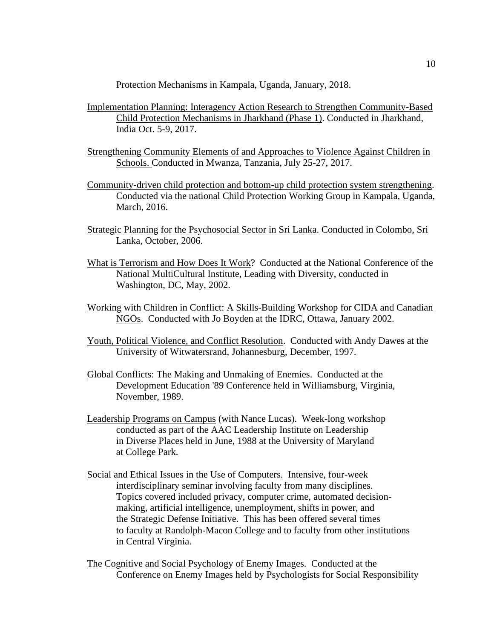Protection Mechanisms in Kampala, Uganda, January, 2018.

- Implementation Planning: Interagency Action Research to Strengthen Community-Based Child Protection Mechanisms in Jharkhand (Phase 1). Conducted in Jharkhand, India Oct. 5-9, 2017.
- Strengthening Community Elements of and Approaches to Violence Against Children in Schools. Conducted in Mwanza, Tanzania, July 25-27, 2017.
- Community-driven child protection and bottom-up child protection system strengthening. Conducted via the national Child Protection Working Group in Kampala, Uganda, March, 2016.
- Strategic Planning for the Psychosocial Sector in Sri Lanka. Conducted in Colombo, Sri Lanka, October, 2006.
- What is Terrorism and How Does It Work? Conducted at the National Conference of the National MultiCultural Institute, Leading with Diversity, conducted in Washington, DC, May, 2002.
- Working with Children in Conflict: A Skills-Building Workshop for CIDA and Canadian NGOs. Conducted with Jo Boyden at the IDRC, Ottawa, January 2002.
- Youth, Political Violence, and Conflict Resolution. Conducted with Andy Dawes at the University of Witwatersrand, Johannesburg, December, 1997.
- Global Conflicts: The Making and Unmaking of Enemies. Conducted at the Development Education '89 Conference held in Williamsburg, Virginia, November, 1989.
- Leadership Programs on Campus (with Nance Lucas). Week-long workshop conducted as part of the AAC Leadership Institute on Leadership in Diverse Places held in June, 1988 at the University of Maryland at College Park.
- Social and Ethical Issues in the Use of Computers. Intensive, four-week interdisciplinary seminar involving faculty from many disciplines. Topics covered included privacy, computer crime, automated decisionmaking, artificial intelligence, unemployment, shifts in power, and the Strategic Defense Initiative. This has been offered several times to faculty at Randolph-Macon College and to faculty from other institutions in Central Virginia.

The Cognitive and Social Psychology of Enemy Images. Conducted at the Conference on Enemy Images held by Psychologists for Social Responsibility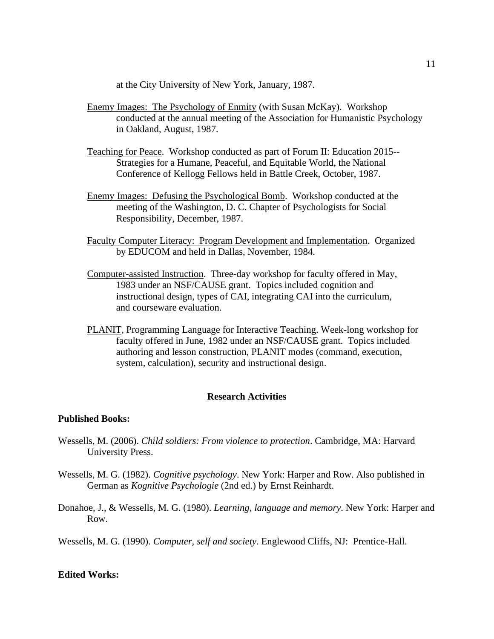at the City University of New York, January, 1987.

- Enemy Images: The Psychology of Enmity (with Susan McKay). Workshop conducted at the annual meeting of the Association for Humanistic Psychology in Oakland, August, 1987.
- Teaching for Peace. Workshop conducted as part of Forum II: Education 2015-- Strategies for a Humane, Peaceful, and Equitable World, the National Conference of Kellogg Fellows held in Battle Creek, October, 1987.
- Enemy Images: Defusing the Psychological Bomb. Workshop conducted at the meeting of the Washington, D. C. Chapter of Psychologists for Social Responsibility, December, 1987.
- Faculty Computer Literacy: Program Development and Implementation. Organized by EDUCOM and held in Dallas, November, 1984.
- Computer-assisted Instruction. Three-day workshop for faculty offered in May, 1983 under an NSF/CAUSE grant. Topics included cognition and instructional design, types of CAI, integrating CAI into the curriculum, and courseware evaluation.
- PLANIT, Programming Language for Interactive Teaching. Week-long workshop for faculty offered in June, 1982 under an NSF/CAUSE grant. Topics included authoring and lesson construction, PLANIT modes (command, execution, system, calculation), security and instructional design.

## **Research Activities**

#### **Published Books:**

- Wessells, M. (2006). *Child soldiers: From violence to protection*. Cambridge, MA: Harvard University Press.
- Wessells, M. G. (1982). *Cognitive psychology*. New York: Harper and Row. Also published in German as *Kognitive Psychologie* (2nd ed.) by Ernst Reinhardt.
- Donahoe, J., & Wessells, M. G. (1980). *Learning, language and memory*. New York: Harper and Row.

Wessells, M. G. (1990). *Computer, self and society*. Englewood Cliffs, NJ: Prentice-Hall.

# **Edited Works:**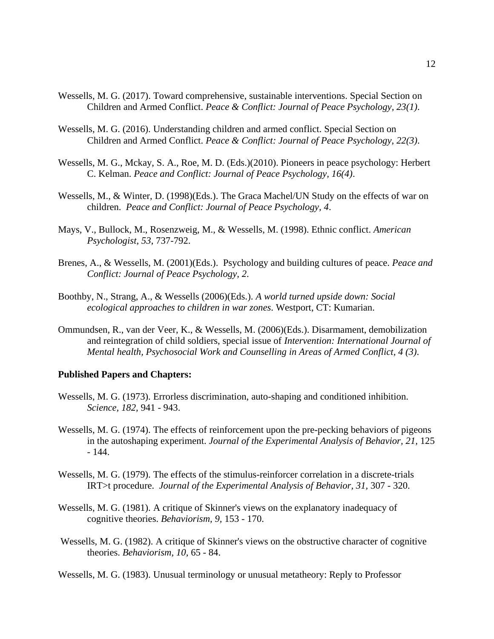- Wessells, M. G. (2017). Toward comprehensive, sustainable interventions. Special Section on Children and Armed Conflict. *Peace & Conflict: Journal of Peace Psychology, 23(1)*.
- Wessells, M. G. (2016). Understanding children and armed conflict. Special Section on Children and Armed Conflict. *Peace & Conflict: Journal of Peace Psychology, 22(3)*.
- Wessells, M. G., Mckay, S. A., Roe, M. D. (Eds.)(2010). Pioneers in peace psychology: Herbert C. Kelman. *Peace and Conflict: Journal of Peace Psychology, 16(4)*.
- Wessells, M., & Winter, D. (1998)(Eds.). The Graca Machel/UN Study on the effects of war on children. *Peace and Conflict: Journal of Peace Psychology, 4*.
- Mays, V., Bullock, M., Rosenzweig, M., & Wessells, M. (1998). Ethnic conflict. *American Psychologist, 53*, 737-792.
- Brenes, A., & Wessells, M. (2001)(Eds.). Psychology and building cultures of peace. *Peace and Conflict: Journal of Peace Psychology, 2*.
- Boothby, N., Strang, A., & Wessells (2006)(Eds.). *A world turned upside down: Social ecological approaches to children in war zones*. Westport, CT: Kumarian.
- Ommundsen, R., van der Veer, K., & Wessells, M. (2006)(Eds.). Disarmament, demobilization and reintegration of child soldiers, special issue of *Intervention: International Journal of Mental health, Psychosocial Work and Counselling in Areas of Armed Conflict, 4 (3)*.

#### **Published Papers and Chapters:**

- Wessells, M. G. (1973). Errorless discrimination, auto-shaping and conditioned inhibition. *Science, 182,* 941 - 943.
- Wessells, M. G. (1974). The effects of reinforcement upon the pre-pecking behaviors of pigeons in the autoshaping experiment. *Journal of the Experimental Analysis of Behavior, 21,* 125 - 144.
- Wessells, M. G. (1979). The effects of the stimulus-reinforcer correlation in a discrete-trials IRT>t procedure. *Journal of the Experimental Analysis of Behavior, 31,* 307 - 320.
- Wessells, M. G. (1981). A critique of Skinner's views on the explanatory inadequacy of cognitive theories. *Behaviorism, 9,* 153 - 170.
- Wessells, M. G. (1982). A critique of Skinner's views on the obstructive character of cognitive theories. *Behaviorism, 10,* 65 - 84.

Wessells, M. G. (1983). Unusual terminology or unusual metatheory: Reply to Professor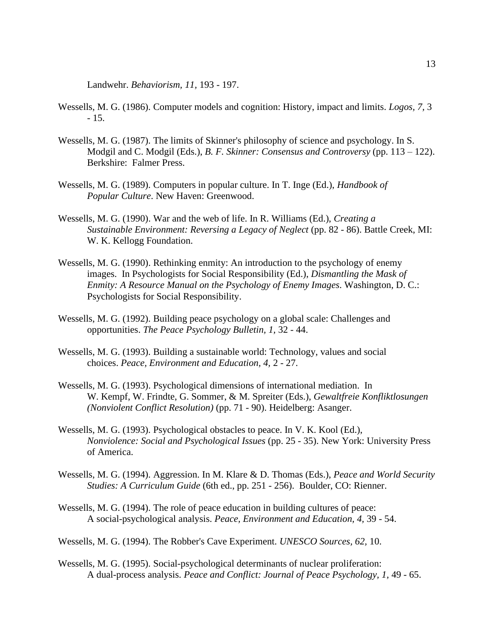Landwehr. *Behaviorism, 11,* 193 - 197.

- Wessells, M. G. (1986). Computer models and cognition: History, impact and limits. *Logos, 7,* 3 - 15.
- Wessells, M. G. (1987). The limits of Skinner's philosophy of science and psychology. In S. Modgil and C. Modgil (Eds.), *B. F. Skinner: Consensus and Controversy* (pp. 113 – 122). Berkshire: Falmer Press.
- Wessells, M. G. (1989). Computers in popular culture. In T. Inge (Ed.), *Handbook of Popular Culture*. New Haven: Greenwood.
- Wessells, M. G. (1990). War and the web of life. In R. Williams (Ed.), *Creating a Sustainable Environment: Reversing a Legacy of Neglect* (pp. 82 - 86). Battle Creek, MI: W. K. Kellogg Foundation.
- Wessells, M. G. (1990). Rethinking enmity: An introduction to the psychology of enemy images. In Psychologists for Social Responsibility (Ed.), *Dismantling the Mask of Enmity: A Resource Manual on the Psychology of Enemy Images*. Washington, D. C.: Psychologists for Social Responsibility.
- Wessells, M. G. (1992). Building peace psychology on a global scale: Challenges and opportunities. *The Peace Psychology Bulletin, 1,* 32 - 44.
- Wessells, M. G. (1993). Building a sustainable world: Technology, values and social choices. *Peace, Environment and Education, 4,* 2 - 27.
- Wessells, M. G. (1993). Psychological dimensions of international mediation. In W. Kempf, W. Frindte, G. Sommer, & M. Spreiter (Eds.), *Gewaltfreie Konfliktlosungen (Nonviolent Conflict Resolution)* (pp. 71 - 90). Heidelberg: Asanger.
- Wessells, M. G. (1993). Psychological obstacles to peace. In V. K. Kool (Ed.), *Nonviolence: Social and Psychological Issues* (pp. 25 - 35). New York: University Press of America.
- Wessells, M. G. (1994). Aggression. In M. Klare & D. Thomas (Eds.), *Peace and World Security Studies: A Curriculum Guide* (6th ed., pp. 251 - 256). Boulder, CO: Rienner.
- Wessells, M. G. (1994). The role of peace education in building cultures of peace: A social-psychological analysis. *Peace, Environment and Education, 4,* 39 - 54.
- Wessells, M. G. (1994). The Robber's Cave Experiment. *UNESCO Sources, 62,* 10.
- Wessells, M. G. (1995). Social-psychological determinants of nuclear proliferation: A dual-process analysis. *Peace and Conflict: Journal of Peace Psychology, 1,* 49 - 65.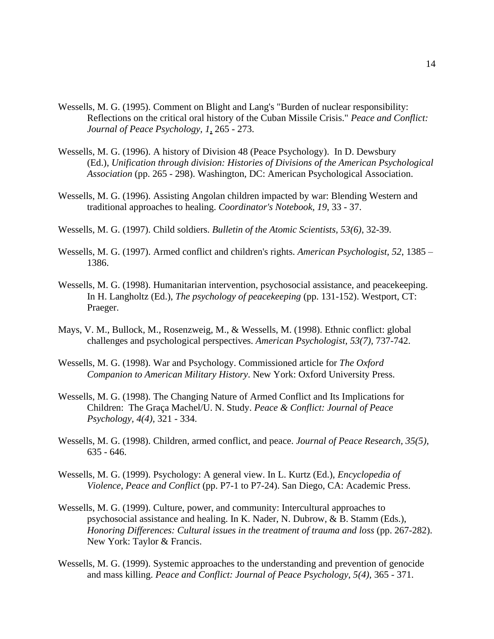- Wessells, M. G. (1995). Comment on Blight and Lang's "Burden of nuclear responsibility: Reflections on the critical oral history of the Cuban Missile Crisis." *Peace and Conflict: Journal of Peace Psychology, 1*, 265 - 273.
- Wessells, M. G. (1996). A history of Division 48 (Peace Psychology). In D. Dewsbury (Ed.), *Unification through division: Histories of Divisions of the American Psychological Association* (pp. 265 - 298). Washington, DC: American Psychological Association.
- Wessells, M. G. (1996). Assisting Angolan children impacted by war: Blending Western and traditional approaches to healing. *Coordinator's Notebook, 19*, 33 - 37.
- Wessells, M. G. (1997). Child soldiers. *Bulletin of the Atomic Scientists, 53(6)*, 32-39.
- Wessells, M. G. (1997). Armed conflict and children's rights. *American Psychologist, 52*, 1385 1386.
- Wessells, M. G. (1998). Humanitarian intervention, psychosocial assistance, and peacekeeping. In H. Langholtz (Ed.), *The psychology of peacekeeping* (pp. 131-152). Westport, CT: Praeger.
- Mays, V. M., Bullock, M., Rosenzweig, M., & Wessells, M. (1998). Ethnic conflict: global challenges and psychological perspectives. *American Psychologist, 53(7),* 737-742.
- Wessells, M. G. (1998). War and Psychology. Commissioned article for *The Oxford Companion to American Military History*. New York: Oxford University Press.
- Wessells, M. G. (1998). The Changing Nature of Armed Conflict and Its Implications for Children: The Graça Machel/U. N. Study. *Peace & Conflict: Journal of Peace Psychology, 4(4),* 321 - 334.
- Wessells, M. G. (1998). Children, armed conflict, and peace. *Journal of Peace Research, 35(5),* 635 - 646.
- Wessells, M. G. (1999). Psychology: A general view. In L. Kurtz (Ed.), *Encyclopedia of Violence, Peace and Conflict* (pp. P7-1 to P7-24). San Diego, CA: Academic Press.
- Wessells, M. G. (1999). Culture, power, and community: Intercultural approaches to psychosocial assistance and healing. In K. Nader, N. Dubrow, & B. Stamm (Eds.), *Honoring Differences: Cultural issues in the treatment of trauma and loss* (pp. 267-282). New York: Taylor & Francis.
- Wessells, M. G. (1999). Systemic approaches to the understanding and prevention of genocide and mass killing. *Peace and Conflict: Journal of Peace Psychology, 5(4),* 365 - 371.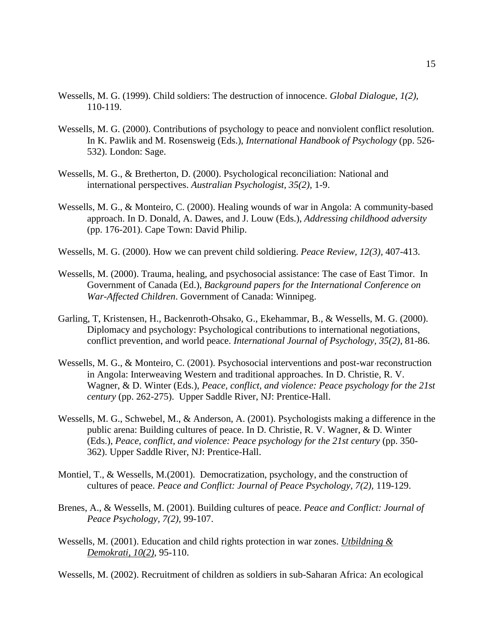- Wessells, M. G. (1999). Child soldiers: The destruction of innocence. *Global Dialogue, 1(2),* 110-119.
- Wessells, M. G. (2000). Contributions of psychology to peace and nonviolent conflict resolution. In K. Pawlik and M. Rosensweig (Eds.), *International Handbook of Psychology* (pp. 526- 532). London: Sage.
- Wessells, M. G., & Bretherton, D. (2000). Psychological reconciliation: National and international perspectives. *Australian Psychologist, 35(2),* 1-9.
- Wessells, M. G., & Monteiro, C. (2000). Healing wounds of war in Angola: A community-based approach. In D. Donald, A. Dawes, and J. Louw (Eds.), *Addressing childhood adversity* (pp. 176-201). Cape Town: David Philip.
- Wessells, M. G. (2000). How we can prevent child soldiering. *Peace Review, 12(3),* 407-413.
- Wessells, M. (2000). Trauma, healing, and psychosocial assistance: The case of East Timor. In Government of Canada (Ed.), *Background papers for the International Conference on War-Affected Children*. Government of Canada: Winnipeg.
- Garling, T, Kristensen, H., Backenroth-Ohsako, G., Ekehammar, B., & Wessells, M. G. (2000). Diplomacy and psychology: Psychological contributions to international negotiations, conflict prevention, and world peace. *International Journal of Psychology, 35(2)*, 81-86.
- Wessells, M. G., & Monteiro, C. (2001). Psychosocial interventions and post-war reconstruction in Angola: Interweaving Western and traditional approaches. In D. Christie, R. V. Wagner, & D. Winter (Eds.), *Peace, conflict, and violence: Peace psychology for the 21st century* (pp. 262-275). Upper Saddle River, NJ: Prentice-Hall.
- Wessells, M. G., Schwebel, M., & Anderson, A. (2001). Psychologists making a difference in the public arena: Building cultures of peace. In D. Christie, R. V. Wagner, & D. Winter (Eds.), *Peace, conflict, and violence: Peace psychology for the 21st century* (pp. 350- 362). Upper Saddle River, NJ: Prentice-Hall.
- Montiel, T., & Wessells, M.(2001). Democratization, psychology, and the construction of cultures of peace. *Peace and Conflict: Journal of Peace Psychology, 7(2),* 119-129.
- Brenes, A., & Wessells, M. (2001). Building cultures of peace. *Peace and Conflict: Journal of Peace Psychology, 7(2),* 99-107.
- Wessells, M. (2001). Education and child rights protection in war zones. *Utbildning & Demokrati, 10(2)*, 95-110.

Wessells, M. (2002). Recruitment of children as soldiers in sub-Saharan Africa: An ecological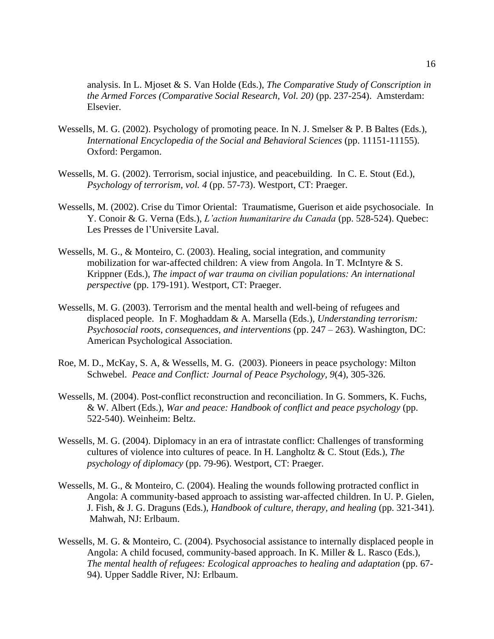analysis. In L. Mjoset & S. Van Holde (Eds.), *The Comparative Study of Conscription in the Armed Forces (Comparative Social Research, Vol. 20)* (pp. 237-254). Amsterdam: Elsevier.

- Wessells, M. G. (2002). Psychology of promoting peace. In N. J. Smelser & P. B Baltes (Eds.), *International Encyclopedia of the Social and Behavioral Sciences* (pp. 11151-11155). Oxford: Pergamon.
- Wessells, M. G. (2002). Terrorism, social injustice, and peacebuilding. In C. E. Stout (Ed.), *Psychology of terrorism, vol. 4* (pp. 57-73). Westport, CT: Praeger.
- Wessells, M. (2002). Crise du Timor Oriental: Traumatisme, Guerison et aide psychosociale. In Y. Conoir & G. Verna (Eds.), *L'action humanitarire du Canada* (pp. 528-524). Quebec: Les Presses de l'Universite Laval.
- Wessells, M. G., & Monteiro, C. (2003). Healing, social integration, and community mobilization for war-affected children: A view from Angola. In T. McIntyre & S. Krippner (Eds.), *The impact of war trauma on civilian populations: An international perspective* (pp. 179-191). Westport, CT: Praeger.
- Wessells, M. G. (2003). Terrorism and the mental health and well-being of refugees and displaced people. In F. Moghaddam & A. Marsella (Eds.), *Understanding terrorism: Psychosocial roots, consequences, and interventions* (pp. 247 – 263). Washington, DC: American Psychological Association.
- Roe, M. D., McKay, S. A, & Wessells, M. G. (2003). Pioneers in peace psychology: Milton Schwebel. *Peace and Conflict: Journal of Peace Psychology, 9*(4), 305-326.
- Wessells, M. (2004). Post-conflict reconstruction and reconciliation. In G. Sommers, K. Fuchs, & W. Albert (Eds.), *War and peace: Handbook of conflict and peace psychology* (pp. 522-540). Weinheim: Beltz.
- Wessells, M. G. (2004). Diplomacy in an era of intrastate conflict: Challenges of transforming cultures of violence into cultures of peace. In H. Langholtz & C. Stout (Eds.), *The psychology of diplomacy* (pp. 79-96). Westport, CT: Praeger.
- Wessells, M. G., & Monteiro, C. (2004). Healing the wounds following protracted conflict in Angola: A community-based approach to assisting war-affected children. In U. P. Gielen, J. Fish, & J. G. Draguns (Eds.), *Handbook of culture, therapy, and healing* (pp. 321-341). Mahwah, NJ: Erlbaum.
- Wessells, M. G. & Monteiro, C. (2004). Psychosocial assistance to internally displaced people in Angola: A child focused, community-based approach. In K. Miller & L. Rasco (Eds.), *The mental health of refugees: Ecological approaches to healing and adaptation* (pp. 67- 94). Upper Saddle River, NJ: Erlbaum.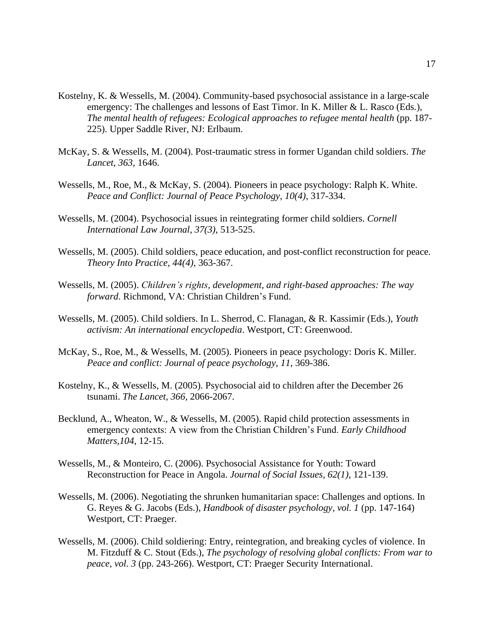- Kostelny, K. & Wessells, M. (2004). Community-based psychosocial assistance in a large-scale emergency: The challenges and lessons of East Timor. In K. Miller & L. Rasco (Eds.), *The mental health of refugees: Ecological approaches to refugee mental health* (pp. 187- 225). Upper Saddle River, NJ: Erlbaum.
- McKay, S. & Wessells, M. (2004). Post-traumatic stress in former Ugandan child soldiers. *The Lancet, 363,* 1646.
- Wessells, M., Roe, M., & McKay, S. (2004). Pioneers in peace psychology: Ralph K. White. *Peace and Conflict: Journal of Peace Psychology, 10(4)*, 317-334.
- Wessells, M. (2004). Psychosocial issues in reintegrating former child soldiers. *Cornell International Law Journal, 37(3)*, 513-525.
- Wessells, M. (2005). Child soldiers, peace education, and post-conflict reconstruction for peace. *Theory Into Practice, 44(4)*, 363-367.
- Wessells, M. (2005). *Children's rights, development, and right-based approaches: The way forward*. Richmond, VA: Christian Children's Fund.
- Wessells, M. (2005). Child soldiers. In L. Sherrod, C. Flanagan, & R. Kassimir (Eds.), *Youth activism: An international encyclopedia*. Westport, CT: Greenwood.
- McKay, S., Roe, M., & Wessells, M. (2005). Pioneers in peace psychology: Doris K. Miller. *Peace and conflict: Journal of peace psychology, 11*, 369-386.
- Kostelny, K., & Wessells, M. (2005). Psychosocial aid to children after the December 26 tsunami. *The Lancet, 366*, 2066-2067.
- Becklund, A., Wheaton, W., & Wessells, M. (2005). Rapid child protection assessments in emergency contexts: A view from the Christian Children's Fund. *Early Childhood Matters,104*, 12-15.
- Wessells, M., & Monteiro, C. (2006). Psychosocial Assistance for Youth: Toward Reconstruction for Peace in Angola. *Journal of Social Issues, 62(1)*, 121-139.
- Wessells, M. (2006). Negotiating the shrunken humanitarian space: Challenges and options. In G. Reyes & G. Jacobs (Eds.), *Handbook of disaster psychology, vol. 1* (pp. 147-164) Westport, CT: Praeger.
- Wessells, M. (2006). Child soldiering: Entry, reintegration, and breaking cycles of violence. In M. Fitzduff & C. Stout (Eds.), *The psychology of resolving global conflicts: From war to peace, vol. 3* (pp. 243-266). Westport, CT: Praeger Security International.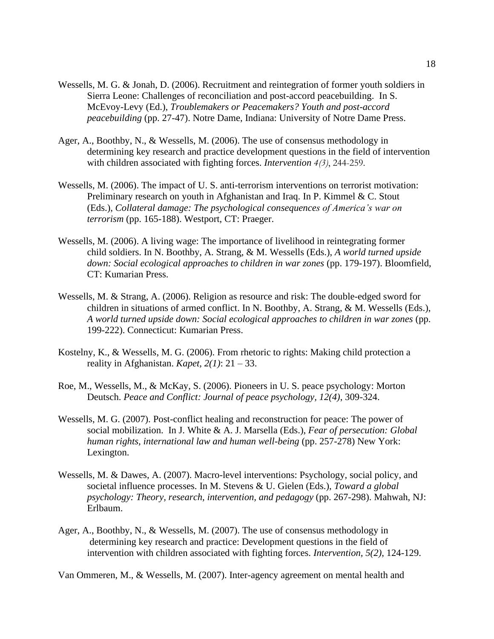- Wessells, M. G. & Jonah, D. (2006). Recruitment and reintegration of former youth soldiers in Sierra Leone: Challenges of reconciliation and post-accord peacebuilding. In S. McEvoy-Levy (Ed.), *Troublemakers or Peacemakers? Youth and post-accord peacebuilding* (pp. 27-47). Notre Dame, Indiana: University of Notre Dame Press.
- Ager, A., Boothby, N., & Wessells, M. (2006). The use of consensus methodology in determining key research and practice development questions in the field of intervention with children associated with fighting forces. *Intervention 4(3)*, 244-259.
- Wessells, M. (2006). The impact of U. S. anti-terrorism interventions on terrorist motivation: Preliminary research on youth in Afghanistan and Iraq. In P. Kimmel & C. Stout (Eds.), *Collateral damage: The psychological consequences of America's war on terrorism* (pp. 165-188). Westport, CT: Praeger.
- Wessells, M. (2006). A living wage: The importance of livelihood in reintegrating former child soldiers. In N. Boothby, A. Strang, & M. Wessells (Eds.), *A world turned upside down: Social ecological approaches to children in war zones* (pp. 179-197). Bloomfield, CT: Kumarian Press.
- Wessells, M. & Strang, A. (2006). Religion as resource and risk: The double-edged sword for children in situations of armed conflict. In N. Boothby, A. Strang, & M. Wessells (Eds.), *A world turned upside down: Social ecological approaches to children in war zones* (pp. 199-222). Connecticut: Kumarian Press.
- Kostelny, K., & Wessells, M. G. (2006). From rhetoric to rights: Making child protection a reality in Afghanistan. *Kapet, 2(1)*: 21 – 33.
- Roe, M., Wessells, M., & McKay, S. (2006). Pioneers in U. S. peace psychology: Morton Deutsch. *Peace and Conflict: Journal of peace psychology, 12(4)*, 309-324.
- Wessells, M. G. (2007). Post-conflict healing and reconstruction for peace: The power of social mobilization. In J. White & A. J. Marsella (Eds.), *Fear of persecution: Global human rights, international law and human well-being* (pp. 257-278) New York: Lexington.
- Wessells, M. & Dawes, A. (2007). Macro-level interventions: Psychology, social policy, and societal influence processes. In M. Stevens & U. Gielen (Eds.), *Toward a global psychology: Theory, research, intervention, and pedagogy* (pp. 267-298). Mahwah, NJ: Erlbaum.
- Ager, A., Boothby, N., & Wessells, M. (2007). The use of consensus methodology in determining key research and practice: Development questions in the field of intervention with children associated with fighting forces. *Intervention, 5(2)*, 124-129.

Van Ommeren, M., & Wessells, M. (2007). Inter-agency agreement on mental health and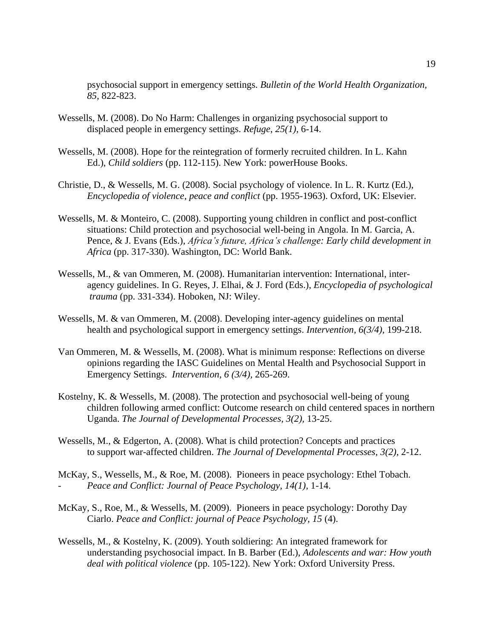psychosocial support in emergency settings. *Bulletin of the World Health Organization, 85*, 822-823.

- Wessells, M. (2008). Do No Harm: Challenges in organizing psychosocial support to displaced people in emergency settings. *Refuge*, *25(1)*, 6-14.
- Wessells, M. (2008). Hope for the reintegration of formerly recruited children. In L. Kahn Ed.), *Child soldiers* (pp. 112-115). New York: powerHouse Books.
- Christie, D., & Wessells, M. G. (2008). Social psychology of violence. In L. R. Kurtz (Ed.), *Encyclopedia of violence, peace and conflict* (pp. 1955-1963). Oxford, UK: Elsevier.
- Wessells, M. & Monteiro, C. (2008). Supporting young children in conflict and post-conflict situations: Child protection and psychosocial well-being in Angola. In M. Garcia, A. Pence, & J. Evans (Eds.), *Africa's future, Africa's challenge: Early child development in Africa* (pp. 317-330). Washington, DC: World Bank.
- Wessells, M., & van Ommeren, M. (2008). Humanitarian intervention: International, interagency guidelines. In G. Reyes, J. Elhai, & J. Ford (Eds.), *Encyclopedia of psychological trauma* (pp. 331-334). Hoboken, NJ: Wiley.
- Wessells, M. & van Ommeren, M. (2008). Developing inter-agency guidelines on mental health and psychological support in emergency settings. *Intervention, 6(3/4),* 199-218.
- Van Ommeren, M. & Wessells, M. (2008). What is minimum response: Reflections on diverse opinions regarding the IASC Guidelines on Mental Health and Psychosocial Support in Emergency Settings. *Intervention, 6 (3/4),* 265-269.
- Kostelny, K. & Wessells, M. (2008). The protection and psychosocial well-being of young children following armed conflict: Outcome research on child centered spaces in northern Uganda. *The Journal of Developmental Processes, 3(2),* 13-25.
- Wessells, M., & Edgerton, A. (2008). What is child protection? Concepts and practices to support war-affected children. *The Journal of Developmental Processes*, *3(2),* 2-12.
- McKay, S., Wessells, M., & Roe, M. (2008). Pioneers in peace psychology: Ethel Tobach. - *Peace and Conflict: Journal of Peace Psychology, 14(1)*, 1-14.
- McKay, S., Roe, M., & Wessells, M. (2009). Pioneers in peace psychology: Dorothy Day Ciarlo. *Peace and Conflict: journal of Peace Psychology, 15* (4).
- Wessells, M., & Kostelny, K. (2009). Youth soldiering: An integrated framework for understanding psychosocial impact. In B. Barber (Ed.), *Adolescents and war: How youth deal with political violence* (pp. 105-122). New York: Oxford University Press.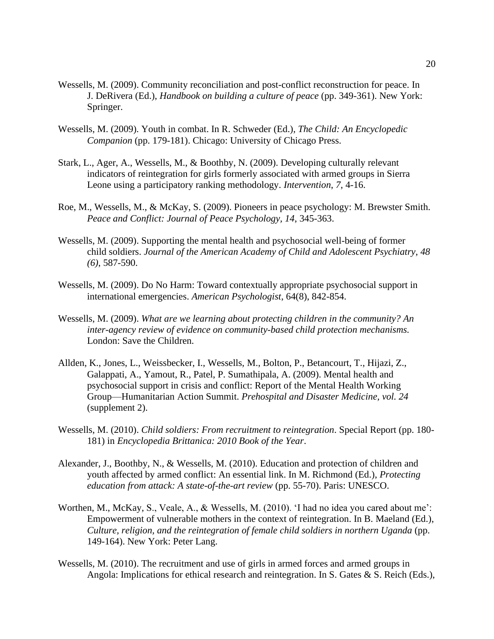- Wessells, M. (2009). Community reconciliation and post-conflict reconstruction for peace. In J. DeRivera (Ed.), *Handbook on building a culture of peace* (pp. 349-361). New York: Springer.
- Wessells, M. (2009). Youth in combat. In R. Schweder (Ed.), *The Child: An Encyclopedic Companion* (pp. 179-181). Chicago: University of Chicago Press.
- Stark, L., Ager, A., Wessells, M., & Boothby, N. (2009). Developing culturally relevant indicators of reintegration for girls formerly associated with armed groups in Sierra Leone using a participatory ranking methodology. *Intervention*, *7*, 4-16.
- Roe, M., Wessells, M., & McKay, S. (2009). Pioneers in peace psychology: M. Brewster Smith. *Peace and Conflict: Journal of Peace Psychology, 14*, 345-363.
- Wessells, M. (2009). Supporting the mental health and psychosocial well-being of former child soldiers. *Journal of the American Academy of Child and Adolescent Psychiatry*, *48 (6)*, 587-590.
- Wessells, M. (2009). Do No Harm: Toward contextually appropriate psychosocial support in international emergencies. *American Psychologist*, 64(8), 842-854.
- Wessells, M. (2009). *What are we learning about protecting children in the community? An inter-agency review of evidence on community-based child protection mechanisms.*  London: Save the Children.
- Allden, K., Jones, L., Weissbecker, I., Wessells, M., Bolton, P., Betancourt, T., Hijazi, Z., Galappati, A., Yamout, R., Patel, P. Sumathipala, A. (2009). Mental health and psychosocial support in crisis and conflict: Report of the Mental Health Working Group—Humanitarian Action Summit. *Prehospital and Disaster Medicine, vol. 24* (supplement 2).
- Wessells, M. (2010). *Child soldiers: From recruitment to reintegration*. Special Report (pp. 180- 181) in *Encyclopedia Brittanica: 2010 Book of the Year*.
- Alexander, J., Boothby, N., & Wessells, M. (2010). Education and protection of children and youth affected by armed conflict: An essential link. In M. Richmond (Ed.), *Protecting education from attack: A state-of-the-art review* (pp. 55-70). Paris: UNESCO.
- Worthen, M., McKay, S., Veale, A., & Wessells, M. (2010). 'I had no idea you cared about me': Empowerment of vulnerable mothers in the context of reintegration. In B. Maeland (Ed.), *Culture, religion, and the reintegration of female child soldiers in northern Uganda* (pp. 149-164). New York: Peter Lang.
- Wessells, M. (2010). The recruitment and use of girls in armed forces and armed groups in Angola: Implications for ethical research and reintegration. In S. Gates & S. Reich (Eds.),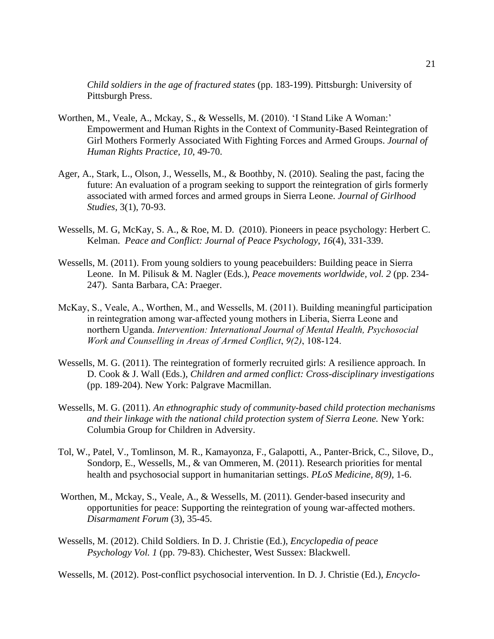*Child soldiers in the age of fractured states* (pp. 183-199). Pittsburgh: University of Pittsburgh Press.

- Worthen, M., Veale, A., Mckay, S., & Wessells, M. (2010). 'I Stand Like A Woman:' Empowerment and Human Rights in the Context of Community-Based Reintegration of Girl Mothers Formerly Associated With Fighting Forces and Armed Groups. *Journal of Human Rights Practice, 10*, 49-70.
- Ager, A., Stark, L., Olson, J., Wessells, M., & Boothby, N. (2010). Sealing the past, facing the future: An evaluation of a program seeking to support the reintegration of girls formerly associated with armed forces and armed groups in Sierra Leone. *Journal of Girlhood Studies*, 3(1), 70-93.
- Wessells, M. G, McKay, S. A., & Roe, M. D. (2010). Pioneers in peace psychology: Herbert C. Kelman. *Peace and Conflict: Journal of Peace Psychology*, *16*(4), 331-339.
- Wessells, M. (2011). From young soldiers to young peacebuilders: Building peace in Sierra Leone. In M. Pilisuk & M. Nagler (Eds.), *Peace movements worldwide, vol. 2* (pp. 234- 247). Santa Barbara, CA: Praeger.
- McKay, S., Veale, A., Worthen, M., and Wessells, M. (2011). Building meaningful participation in reintegration among war-affected young mothers in Liberia, Sierra Leone and northern Uganda. *Intervention: International Journal of Mental Health, Psychosocial Work and Counselling in Areas of Armed Conflict*, *9(2)*, 108-124.
- Wessells, M. G. (2011). The reintegration of formerly recruited girls: A resilience approach. In D. Cook & J. Wall (Eds.), *Children and armed conflict: Cross-disciplinary investigations* (pp. 189-204). New York: Palgrave Macmillan.
- Wessells, M. G. (2011). *An ethnographic study of community-based child protection mechanisms and their linkage with the national child protection system of Sierra Leone.* New York: Columbia Group for Children in Adversity.
- Tol, W., Patel, V., Tomlinson, M. R., Kamayonza, F., Galapotti, A., Panter-Brick, C., Silove, D., Sondorp, E., Wessells, M., & van Ommeren, M. (2011). Research priorities for mental health and psychosocial support in humanitarian settings. *PLoS Medicine, 8(9)*, 1-6.
- Worthen, M., Mckay, S., Veale, A., & Wessells, M. (2011). Gender-based insecurity and opportunities for peace: Supporting the reintegration of young war-affected mothers. *Disarmament Forum* (3), 35-45.
- Wessells, M. (2012). Child Soldiers. In D. J. Christie (Ed.), *Encyclopedia of peace Psychology Vol. 1* (pp. 79-83). Chichester, West Sussex: Blackwell.

Wessells, M. (2012). Post-conflict psychosocial intervention. In D. J. Christie (Ed.), *Encyclo-*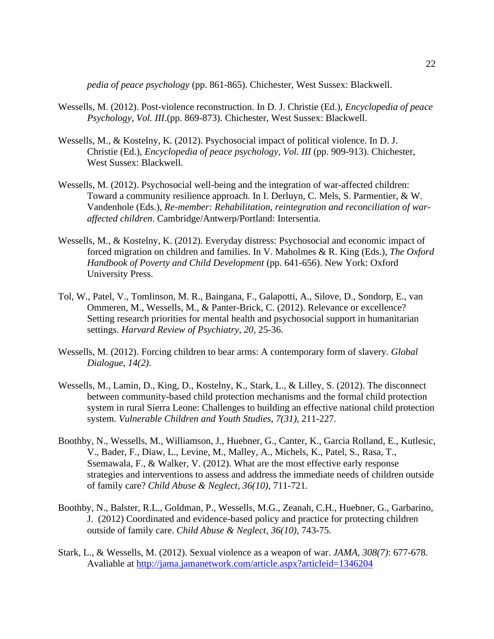*pedia of peace psychology* (pp. 861-865). Chichester, West Sussex: Blackwell.

- Wessells, M. (2012). Post-violence reconstruction. In D. J. Christie (Ed.), *Encyclopedia of peace Psychology, Vol. III*.(pp. 869-873). Chichester, West Sussex: Blackwell.
- Wessells, M., & Kostelny, K. (2012). Psychosocial impact of political violence. In D. J. Christie (Ed.), *Encyclopedia of peace psychology, Vol. III* (pp. 909-913). Chichester, West Sussex: Blackwell.
- Wessells, M. (2012). Psychosocial well-being and the integration of war-affected children: Toward a community resilience approach. In I. Derluyn, C. Mels, S. Parmentier, & W. Vandenhole (Eds.), *Re-member: Rehabilitation, reintegration and reconciliation of waraffected children*. Cambridge/Antwerp/Portland: Intersentia.
- Wessells, M., & Kostelny, K. (2012). Everyday distress: Psychosocial and economic impact of forced migration on children and families. In V. Maholmes & R. King (Eds.), *The Oxford Handbook of Poverty and Child Development* (pp. 641-656). New York: Oxford University Press.
- Tol, W., Patel, V., Tomlinson, M. R., Baingana, F., Galapotti, A., Silove, D., Sondorp, E., van Ommeren, M., Wessells, M., & Panter-Brick, C. (2012). Relevance or excellence? Setting research priorities for mental health and psychosocial support in humanitarian settings. *Harvard Review of Psychiatry*, *20*, 25-36.
- Wessells, M. (2012). Forcing children to bear arms: A contemporary form of slavery. *Global Dialogue*, *14(2)*.
- Wessells, M., Lamin, D., King, D., Kostelny, K., Stark, L., & Lilley, S. (2012). The disconnect between community-based child protection mechanisms and the formal child protection system in rural Sierra Leone: Challenges to building an effective national child protection system. *Vulnerable Children and Youth Studies*, *7(31)*, 211-227.
- Boothby, N., Wessells, M., Williamson, J., Huebner, G., Canter, K., Garcia Rolland, E., Kutlesic, V., Bader, F., Diaw, L., Levine, M., Malley, A., Michels, K., Patel, S., Rasa, T., Ssemawala, F., & Walker, V. (2012). What are the most effective early response strategies and interventions to assess and address the immediate needs of children outside of family care? *Child Abuse & Neglect*, *36(10)*, 711-721.
- Boothby, N., Balster, R.L., Goldman, P., Wessells, M.G., Zeanah, C.H., Huebner, G., Garbarino, J. (2012) Coordinated and evidence-based policy and practice for protecting children outside of family care. *Child Abuse & Neglect, 36(10)*, 743-75.
- Stark, L., & Wessells, M. (2012). Sexual violence as a weapon of war. *JAMA, 308(7)*: 677-678. Avaliable at<http://jama.jamanetwork.com/article.aspx?articleid=1346204>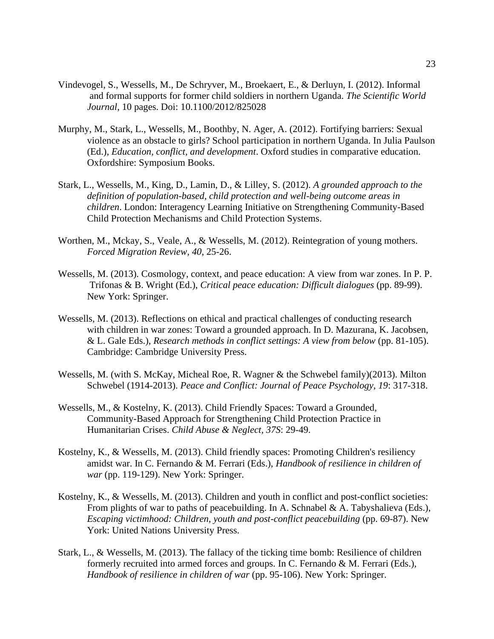- Vindevogel, S., Wessells, M., De Schryver, M., Broekaert, E., & Derluyn, I. (2012). Informal and formal supports for former child soldiers in northern Uganda. *The Scientific World Journal*, 10 pages. Doi: 10.1100/2012/825028
- Murphy, M., Stark, L., Wessells, M., Boothby, N. Ager, A. (2012). Fortifying barriers: Sexual violence as an obstacle to girls? School participation in northern Uganda. In Julia Paulson (Ed.), *Education, conflict, and development*. Oxford studies in comparative education. Oxfordshire: Symposium Books.
- Stark, L., Wessells, M., King, D., Lamin, D., & Lilley, S. (2012). *A grounded approach to the definition of population-based, child protection and well-being outcome areas in children*. London: Interagency Learning Initiative on Strengthening Community-Based Child Protection Mechanisms and Child Protection Systems.
- Worthen, M., Mckay, S., Veale, A., & Wessells, M. (2012). Reintegration of young mothers. *Forced Migration Review, 40*, 25-26.
- Wessells, M. (2013). Cosmology, context, and peace education: A view from war zones. In P. P. Trifonas & B. Wright (Ed.), *Critical peace education: Difficult dialogues* (pp. 89-99). New York: Springer.
- Wessells, M. (2013). Reflections on ethical and practical challenges of conducting research with children in war zones: Toward a grounded approach. In D. Mazurana, K. Jacobsen, & L. Gale Eds.), *Research methods in conflict settings: A view from below* (pp. 81-105). Cambridge: Cambridge University Press.
- Wessells, M. (with S. McKay, Micheal Roe, R. Wagner & the Schwebel family)(2013). Milton Schwebel (1914-2013). *Peace and Conflict: Journal of Peace Psychology, 19*: 317-318.
- Wessells, M., & Kostelny, K. (2013). Child Friendly Spaces: Toward a Grounded, Community-Based Approach for Strengthening Child Protection Practice in Humanitarian Crises. *Child Abuse & Neglect, 37S*: 29-49.
- Kostelny, K., & Wessells, M. (2013). Child friendly spaces: Promoting Children's resiliency amidst war. In C. Fernando & M. Ferrari (Eds.), *Handbook of resilience in children of war* (pp. 119-129). New York: Springer.
- Kostelny, K., & Wessells, M. (2013). Children and youth in conflict and post-conflict societies: From plights of war to paths of peacebuilding. In A. Schnabel & A. Tabyshalieva (Eds.), *Escaping victimhood: Children, youth and post-conflict peacebuilding* (pp. 69-87). New York: United Nations University Press.
- Stark, L., & Wessells, M. (2013). The fallacy of the ticking time bomb: Resilience of children formerly recruited into armed forces and groups. In C. Fernando & M. Ferrari (Eds.), *Handbook of resilience in children of war* (pp. 95-106). New York: Springer.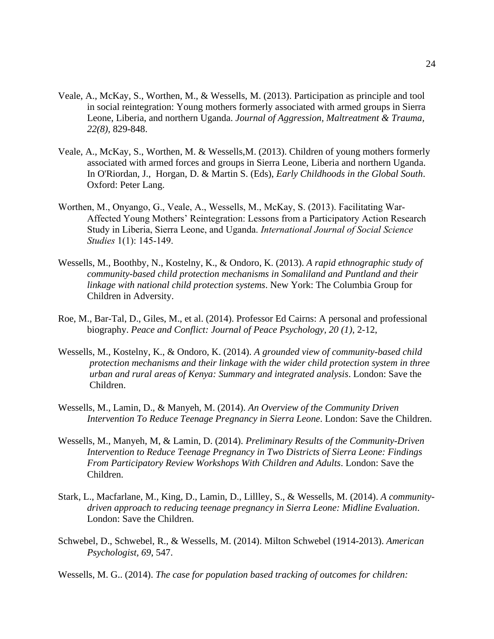- Veale, A., McKay, S., Worthen, M., & Wessells, M. (2013). Participation as principle and tool in social reintegration: Young mothers formerly associated with armed groups in Sierra Leone, Liberia, and northern Uganda. *Journal of Aggression, Maltreatment & Trauma, 22(8),* 829-848.
- Veale, A., McKay, S., Worthen, M. & Wessells,M. (2013). Children of young mothers formerly associated with armed forces and groups in Sierra Leone, Liberia and northern Uganda. In O'Riordan, J., Horgan, D. & Martin S. (Eds), *Early Childhoods in the Global South*. Oxford: Peter Lang.
- Worthen, M., Onyango, G., Veale, A., Wessells, M., McKay, S. (2013). Facilitating War-Affected Young Mothers' Reintegration: Lessons from a Participatory Action Research Study in Liberia, Sierra Leone, and Uganda. *International Journal of Social Science Studies* 1(1): 145-149.
- Wessells, M., Boothby, N., Kostelny, K., & Ondoro, K. (2013). *A rapid ethnographic study of community-based child protection mechanisms in Somaliland and Puntland and their linkage with national child protection systems*. New York: The Columbia Group for Children in Adversity.
- Roe, M., Bar-Tal, D., Giles, M., et al. (2014). Professor Ed Cairns: A personal and professional biography. *Peace and Conflict: Journal of Peace Psychology, 20 (1)*, 2-12,
- Wessells, M., Kostelny, K., & Ondoro, K. (2014). *A grounded view of community-based child protection mechanisms and their linkage with the wider child protection system in three urban and rural areas of Kenya: Summary and integrated analysis*. London: Save the Children.
- Wessells, M., Lamin, D., & Manyeh, M. (2014). *An Overview of the Community Driven Intervention To Reduce Teenage Pregnancy in Sierra Leone*. London: Save the Children.
- Wessells, M., Manyeh, M, & Lamin, D. (2014). *Preliminary Results of the Community-Driven Intervention to Reduce Teenage Pregnancy in Two Districts of Sierra Leone: Findings From Participatory Review Workshops With Children and Adults*. London: Save the Children.
- Stark, L., Macfarlane, M., King, D., Lamin, D., Lillley, S., & Wessells, M. (2014). *A communitydriven approach to reducing teenage pregnancy in Sierra Leone: Midline Evaluation*. London: Save the Children.
- Schwebel, D., Schwebel, R., & Wessells, M. (2014). Milton Schwebel (1914-2013). *American Psychologist, 69*, 547.
- Wessells, M. G.. (2014). *The case for population based tracking of outcomes for children:*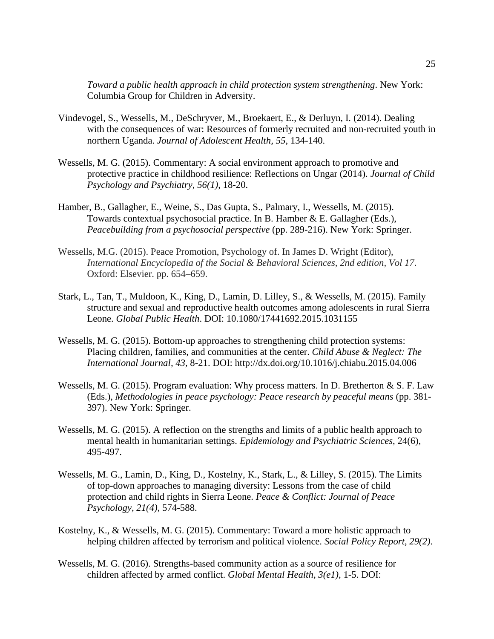*Toward a public health approach in child protection system strengthening*. New York: Columbia Group for Children in Adversity.

- Vindevogel, S., Wessells, M., DeSchryver, M., Broekaert, E., & Derluyn, I. (2014). Dealing with the consequences of war: Resources of formerly recruited and non-recruited youth in northern Uganda. *Journal of Adolescent Health, 55*, 134-140.
- Wessells, M. G. (2015). Commentary: A social environment approach to promotive and protective practice in childhood resilience: Reflections on Ungar (2014). *Journal of Child Psychology and Psychiatry*, *56(1)*, 18-20.
- Hamber, B., Gallagher, E., Weine, S., Das Gupta, S., Palmary, I., Wessells, M. (2015). Towards contextual psychosocial practice. In B. Hamber & E. Gallagher (Eds.), *Peacebuilding from a psychosocial perspective* (pp. 289-216). New York: Springer.
- Wessells, M.G. (2015). Peace Promotion, Psychology of. In James D. Wright (Editor), *International Encyclopedia of the Social & Behavioral Sciences, 2nd edition, Vol 17*. Oxford: Elsevier. pp. 654–659.
- Stark, L., Tan, T., Muldoon, K., King, D., Lamin, D. Lilley, S., & Wessells, M. (2015). Family structure and sexual and reproductive health outcomes among adolescents in rural Sierra Leone. *Global Public Health*. DOI: 10.1080/17441692.2015.1031155
- Wessells, M. G. (2015). Bottom-up approaches to strengthening child protection systems: Placing children, families, and communities at the center. *Child Abuse & Neglect: The International Journal, 43,* 8-21. DOI: http://dx.doi.org/10.1016/j.chiabu.2015.04.006
- Wessells, M. G. (2015). Program evaluation: Why process matters. In D. Bretherton & S. F. Law (Eds.), *Methodologies in peace psychology: Peace research by peaceful means* (pp. 381- 397). New York: Springer.
- Wessells, M. G. (2015). A reflection on the strengths and limits of a public health approach to mental health in humanitarian settings. *Epidemiology and Psychiatric Sciences*, 24(6), 495-497.
- Wessells, M. G., Lamin, D., King, D., Kostelny, K., Stark, L., & Lilley, S. (2015). The Limits of top-down approaches to managing diversity: Lessons from the case of child protection and child rights in Sierra Leone. *Peace & Conflict: Journal of Peace Psychology, 21(4)*, 574-588.
- Kostelny, K., & Wessells, M. G. (2015). Commentary: Toward a more holistic approach to helping children affected by terrorism and political violence. *Social Policy Report, 29(2)*.
- Wessells, M. G. (2016). Strengths-based community action as a source of resilience for children affected by armed conflict. *Global Mental Health*, *3(e1)*, 1-5. DOI: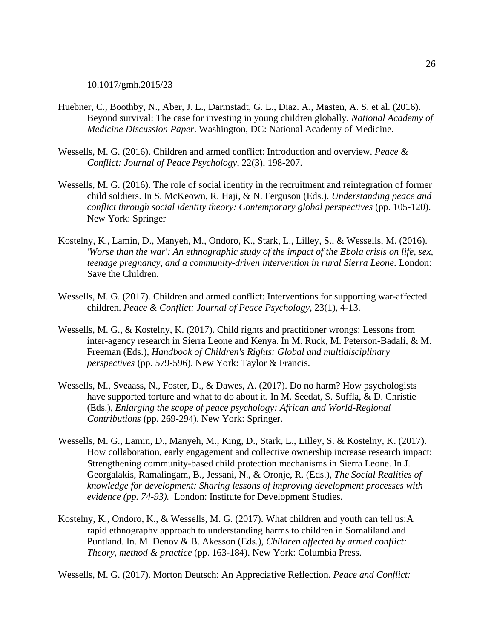10.1017/gmh.2015/23

- Huebner, C., Boothby, N., Aber, J. L., Darmstadt, G. L., Diaz. A., Masten, A. S. et al. (2016). Beyond survival: The case for investing in young children globally. *National Academy of Medicine Discussion Paper*. Washington, DC: National Academy of Medicine.
- Wessells, M. G. (2016). Children and armed conflict: Introduction and overview. *Peace & Conflict: Journal of Peace Psychology*, 22(3), 198-207.
- Wessells, M. G. (2016). The role of social identity in the recruitment and reintegration of former child soldiers. In S. McKeown, R. Haji, & N. Ferguson (Eds.). *Understanding peace and conflict through social identity theory: Contemporary global perspectives* (pp. 105-120). New York: Springer
- Kostelny, K., Lamin, D., Manyeh, M., Ondoro, K., Stark, L., Lilley, S., & Wessells, M. (2016). *'Worse than the war': An ethnographic study of the impact of the Ebola crisis on life, sex, teenage pregnancy, and a community-driven intervention in rural Sierra Leone*. London: Save the Children.
- Wessells, M. G. (2017). Children and armed conflict: Interventions for supporting war-affected children. *Peace & Conflict: Journal of Peace Psychology*, 23(1), 4-13.
- Wessells, M. G., & Kostelny, K. (2017). Child rights and practitioner wrongs: Lessons from inter-agency research in Sierra Leone and Kenya. In M. Ruck, M. Peterson-Badali, & M. Freeman (Eds.), *Handbook of Children's Rights: Global and multidisciplinary perspectives* (pp. 579-596). New York: Taylor & Francis.
- Wessells, M., Sveaass, N., Foster, D., & Dawes, A. (2017). Do no harm? How psychologists have supported torture and what to do about it. In M. Seedat, S. Suffla, & D. Christie (Eds.), *Enlarging the scope of peace psychology: African and World-Regional Contributions* (pp. 269-294). New York: Springer.
- Wessells, M. G., Lamin, D., Manyeh, M., King, D., Stark, L., Lilley, S. & Kostelny, K. (2017). How collaboration, early engagement and collective ownership increase research impact: Strengthening community-based child protection mechanisms in Sierra Leone. In J. Georgalakis, Ramalingam, B., Jessani, N., & Oronje, R. (Eds.), *The Social Realities of knowledge for development: Sharing lessons of improving development processes with evidence (pp. 74-93).* London: Institute for Development Studies.
- Kostelny, K., Ondoro, K., & Wessells, M. G. (2017). What children and youth can tell us:A rapid ethnography approach to understanding harms to children in Somaliland and Puntland. In. M. Denov & B. Akesson (Eds.), *Children affected by armed conflict: Theory, method & practice* (pp. 163-184). New York: Columbia Press.

Wessells, M. G. (2017). Morton Deutsch: An Appreciative Reflection. *Peace and Conflict:*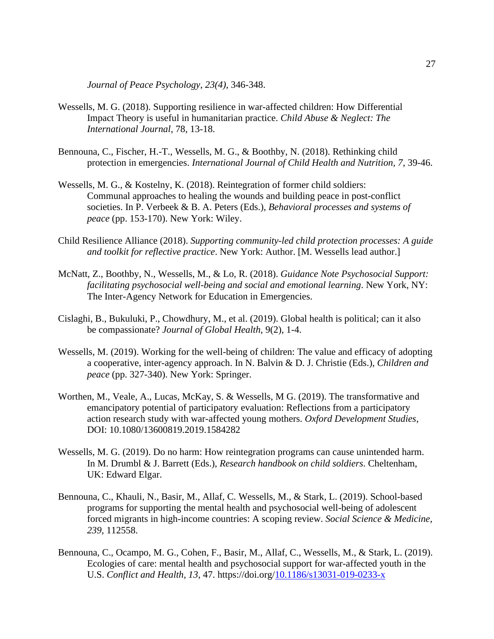*Journal of Peace Psychology*, *23(4)*, 346-348.

- Wessells, M. G. (2018). Supporting resilience in war-affected children: How Differential Impact Theory is useful in humanitarian practice. *Child Abuse & Neglect: The International Journal*, 78, 13-18.
- Bennouna, C., Fischer, H.-T., Wessells, M. G., & Boothby, N. (2018). Rethinking child protection in emergencies. *International Journal of Child Health and Nutrition, 7*, 39-46.
- Wessells, M. G., & Kostelny, K. (2018). Reintegration of former child soldiers: Communal approaches to healing the wounds and building peace in post-conflict societies. In P. Verbeek & B. A. Peters (Eds.), *Behavioral processes and systems of peace* (pp. 153-170). New York: Wiley.
- Child Resilience Alliance (2018). *Supporting community-led child protection processes: A guide and toolkit for reflective practice*. New York: Author. [M. Wessells lead author.]
- McNatt, Z., Boothby, N., Wessells, M., & Lo, R. (2018). *Guidance Note Psychosocial Support: facilitating psychosocial well-being and social and emotional learning*. New York, NY: The Inter-Agency Network for Education in Emergencies.
- Cislaghi, B., Bukuluki, P., Chowdhury, M., et al. (2019). Global health is political; can it also be compassionate? *Journal of Global Health*, 9(2), 1-4.
- Wessells, M. (2019). Working for the well-being of children: The value and efficacy of adopting a cooperative, inter-agency approach. In N. Balvin & D. J. Christie (Eds.), *Children and peace* (pp. 327-340). New York: Springer.
- Worthen, M., Veale, A., Lucas, McKay, S. & Wessells, M G. (2019). The transformative and emancipatory potential of participatory evaluation: Reflections from a participatory action research study with war-affected young mothers. *Oxford Development Studies*, DOI: 10.1080/13600819.2019.1584282
- Wessells, M. G. (2019). Do no harm: How reintegration programs can cause unintended harm. In M. Drumbl & J. Barrett (Eds.), *Research handbook on child soldiers*. Cheltenham, UK: Edward Elgar.
- Bennouna, C., Khauli, N., Basir, M., Allaf, C. Wessells, M., & Stark, L. (2019). School-based programs for supporting the mental health and psychosocial well-being of adolescent forced migrants in high-income countries: A scoping review. *Social Science & Medicine, 239,* 112558.
- Bennouna, C., Ocampo, M. G., Cohen, F., Basir, M., Allaf, C., Wessells, M., & Stark, L. (2019). Ecologies of care: mental health and psychosocial support for war-affected youth in the U.S. *Conflict and Health, 13*, 47. https://doi.org[/10.1186/s13031-019-0233-x](http://dx.doi.org/10.1186/s13031-019-0233-x)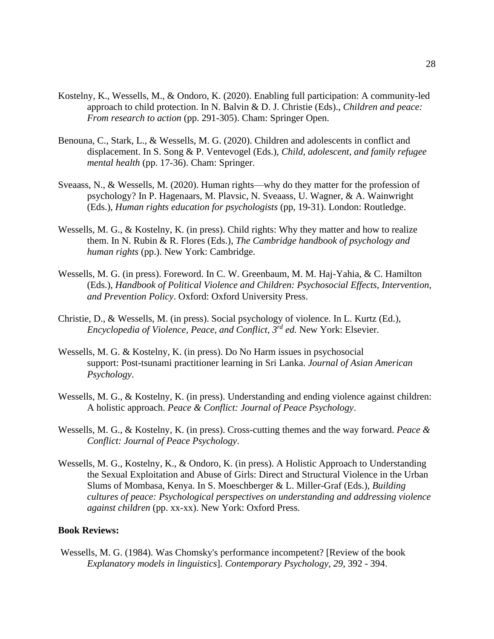- Kostelny, K., Wessells, M., & Ondoro, K. (2020). Enabling full participation: A community-led approach to child protection. In N. Balvin & D. J. Christie (Eds)., *Children and peace: From research to action* (pp. 291-305). Cham: Springer Open.
- Benouna, C., Stark, L., & Wessells, M. G. (2020). Children and adolescents in conflict and displacement. In S. Song & P. Ventevogel (Eds.), *Child, adolescent, and family refugee mental health* (pp. 17-36). Cham: Springer.
- Sveaass, N., & Wessells, M. (2020). Human rights—why do they matter for the profession of psychology? In P. Hagenaars, M. Plavsic, N. Sveaass, U. Wagner, & A. Wainwright (Eds.), *Human rights education for psychologists* (pp, 19-31). London: Routledge.
- Wessells, M. G., & Kostelny, K. (in press). Child rights: Why they matter and how to realize them. In N. Rubin & R. Flores (Eds.), *The Cambridge handbook of psychology and human rights* (pp.). New York: Cambridge.
- Wessells, M. G. (in press). Foreword. In C. W. Greenbaum, M. M. Haj-Yahia, & C. Hamilton (Eds.), *Handbook of Political Violence and Children: Psychosocial Effects, Intervention, and Prevention Policy*. Oxford: Oxford University Press.
- Christie, D., & Wessells, M. (in press). Social psychology of violence. In L. Kurtz (Ed.), *Encyclopedia of Violence, Peace, and Conflict, 3rd ed.* New York: Elsevier.
- Wessells, M. G. & Kostelny, K. (in press). Do No Harm issues in psychosocial support: Post-tsunami practitioner learning in Sri Lanka. *Journal of Asian American Psychology*.
- Wessells, M. G., & Kostelny, K. (in press). Understanding and ending violence against children: A holistic approach. *Peace & Conflict: Journal of Peace Psychology*.
- Wessells, M. G., & Kostelny, K. (in press). Cross-cutting themes and the way forward. *Peace & Conflict: Journal of Peace Psychology*.
- Wessells, M. G., Kostelny, K., & Ondoro, K. (in press). A Holistic Approach to Understanding the Sexual Exploitation and Abuse of Girls: Direct and Structural Violence in the Urban Slums of Mombasa, Kenya. In S. Moeschberger & L. Miller-Graf (Eds.), *Building cultures of peace: Psychological perspectives on understanding and addressing violence against children* (pp. xx-xx). New York: Oxford Press.

# **Book Reviews:**

Wessells, M. G. (1984). Was Chomsky's performance incompetent? [Review of the book *Explanatory models in linguistics*]. *Contemporary Psychology, 29,* 392 - 394.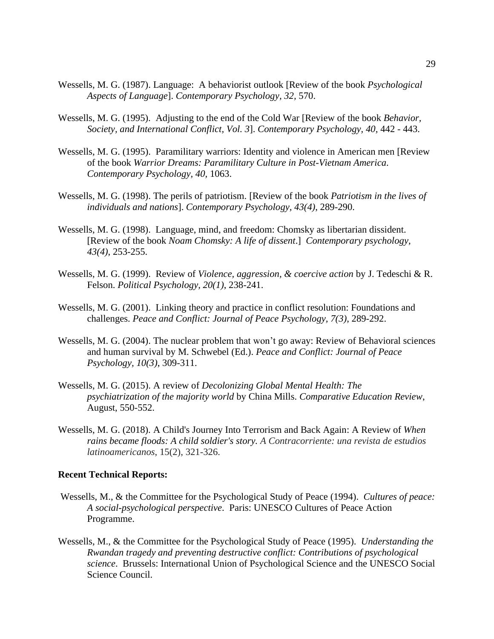- Wessells, M. G. (1987). Language: A behaviorist outlook [Review of the book *Psychological Aspects of Language*]. *Contemporary Psychology, 32,* 570.
- Wessells, M. G. (1995). Adjusting to the end of the Cold War [Review of the book *Behavior, Society, and International Conflict, Vol. 3*]. *Contemporary Psychology, 40,* 442 - 443.
- Wessells, M. G. (1995). Paramilitary warriors: Identity and violence in American men [Review of the book *Warrior Dreams: Paramilitary Culture in Post-Vietnam America*. *Contemporary Psychology, 40,* 1063.
- Wessells, M. G. (1998). The perils of patriotism. [Review of the book *Patriotism in the lives of individuals and nations*]. *Contemporary Psychology, 43(4)*, 289-290.
- Wessells, M. G. (1998). Language, mind, and freedom: Chomsky as libertarian dissident. [Review of the book *Noam Chomsky: A life of dissent*.] *Contemporary psychology, 43(4)*, 253-255.
- Wessells, M. G. (1999). Review of *Violence, aggression, & coercive action* by J. Tedeschi & R. Felson. *Political Psychology, 20(1)*, 238-241.
- Wessells, M. G. (2001). Linking theory and practice in conflict resolution: Foundations and challenges. *Peace and Conflict: Journal of Peace Psychology, 7(3)*, 289-292.
- Wessells, M. G. (2004). The nuclear problem that won't go away: Review of Behavioral sciences and human survival by M. Schwebel (Ed.). *Peace and Conflict: Journal of Peace Psychology, 10(3)*, 309-311.
- Wessells, M. G. (2015). A review of *Decolonizing Global Mental Health: The psychiatrization of the majority world* by China Mills. *Comparative Education Review*, August, 550-552.
- Wessells, M. G. (2018). A Child's Journey Into Terrorism and Back Again: A Review of *When rains became floods: A child soldier's story. A Contracorriente: una revista de estudios latinoamericanos*, 15(2), 321-326.

## **Recent Technical Reports:**

- Wessells, M., & the Committee for the Psychological Study of Peace (1994). *Cultures of peace: A social-psychological perspective*. Paris: UNESCO Cultures of Peace Action Programme.
- Wessells, M., & the Committee for the Psychological Study of Peace (1995). *Understanding the Rwandan tragedy and preventing destructive conflict: Contributions of psychological science*. Brussels: International Union of Psychological Science and the UNESCO Social Science Council.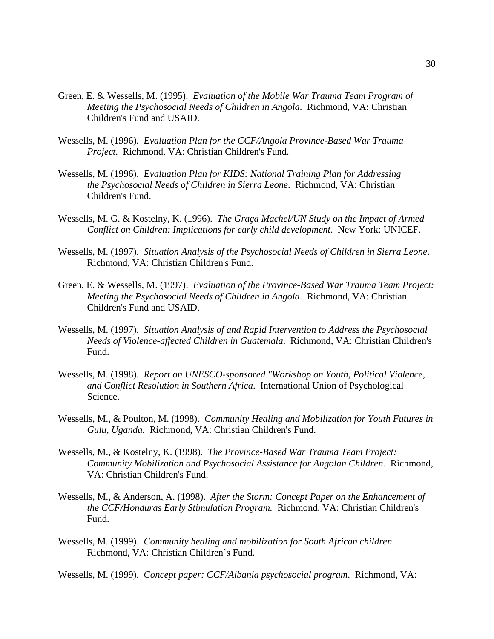- Green, E. & Wessells, M. (1995). *Evaluation of the Mobile War Trauma Team Program of Meeting the Psychosocial Needs of Children in Angola*. Richmond, VA: Christian Children's Fund and USAID.
- Wessells, M. (1996). *Evaluation Plan for the CCF/Angola Province-Based War Trauma Project*. Richmond, VA: Christian Children's Fund.
- Wessells, M. (1996). *Evaluation Plan for KIDS: National Training Plan for Addressing the Psychosocial Needs of Children in Sierra Leone*. Richmond, VA: Christian Children's Fund.
- Wessells, M. G. & Kostelny, K. (1996). *The Graça Machel/UN Study on the Impact of Armed Conflict on Children: Implications for early child development*. New York: UNICEF.
- Wessells, M. (1997). *Situation Analysis of the Psychosocial Needs of Children in Sierra Leone*. Richmond, VA: Christian Children's Fund.
- Green, E. & Wessells, M. (1997). *Evaluation of the Province-Based War Trauma Team Project: Meeting the Psychosocial Needs of Children in Angola*. Richmond, VA: Christian Children's Fund and USAID.
- Wessells, M. (1997). *Situation Analysis of and Rapid Intervention to Address the Psychosocial Needs of Violence-affected Children in Guatemala*. Richmond, VA: Christian Children's Fund.
- Wessells, M. (1998). *Report on UNESCO-sponsored "Workshop on Youth, Political Violence, and Conflict Resolution in Southern Africa*. International Union of Psychological Science.
- Wessells, M., & Poulton, M. (1998). *Community Healing and Mobilization for Youth Futures in Gulu, Uganda.* Richmond, VA: Christian Children's Fund.
- Wessells, M., & Kostelny, K. (1998). *The Province-Based War Trauma Team Project: Community Mobilization and Psychosocial Assistance for Angolan Children.* Richmond, VA: Christian Children's Fund.
- Wessells, M., & Anderson, A. (1998). *After the Storm: Concept Paper on the Enhancement of the CCF/Honduras Early Stimulation Program.* Richmond, VA: Christian Children's Fund.
- Wessells, M. (1999). *Community healing and mobilization for South African children*. Richmond, VA: Christian Children's Fund.

Wessells, M. (1999). *Concept paper: CCF/Albania psychosocial program*. Richmond, VA: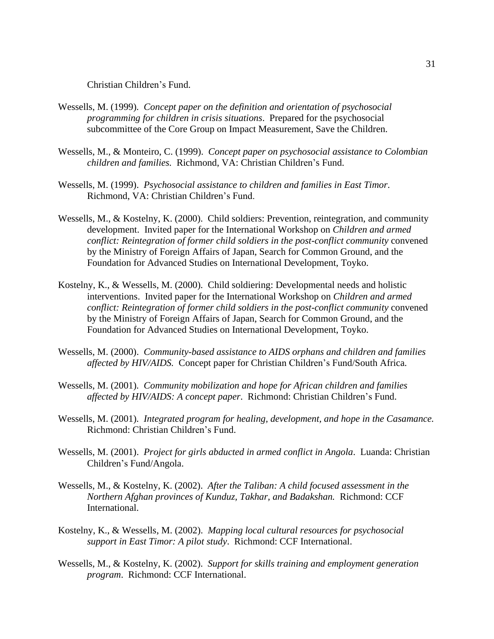Christian Children's Fund.

- Wessells, M. (1999). *Concept paper on the definition and orientation of psychosocial programming for children in crisis situations*. Prepared for the psychosocial subcommittee of the Core Group on Impact Measurement, Save the Children.
- Wessells, M., & Monteiro, C. (1999). *Concept paper on psychosocial assistance to Colombian children and families.* Richmond, VA: Christian Children's Fund.
- Wessells, M. (1999). *Psychosocial assistance to children and families in East Timor*. Richmond, VA: Christian Children's Fund.
- Wessells, M., & Kostelny, K. (2000). Child soldiers: Prevention, reintegration, and community development. Invited paper for the International Workshop on *Children and armed conflict: Reintegration of former child soldiers in the post-conflict community* convened by the Ministry of Foreign Affairs of Japan, Search for Common Ground, and the Foundation for Advanced Studies on International Development, Toyko.
- Kostelny, K., & Wessells, M. (2000). Child soldiering: Developmental needs and holistic interventions. Invited paper for the International Workshop on *Children and armed conflict: Reintegration of former child soldiers in the post-conflict community* convened by the Ministry of Foreign Affairs of Japan, Search for Common Ground, and the Foundation for Advanced Studies on International Development, Toyko.
- Wessells, M. (2000). *Community-based assistance to AIDS orphans and children and families affected by HIV/AIDS.* Concept paper for Christian Children's Fund/South Africa.
- Wessells, M. (2001). *Community mobilization and hope for African children and families affected by HIV/AIDS: A concept paper*. Richmond: Christian Children's Fund.
- Wessells, M. (2001). *Integrated program for healing, development, and hope in the Casamance.* Richmond: Christian Children's Fund.
- Wessells, M. (2001). *Project for girls abducted in armed conflict in Angola*. Luanda: Christian Children's Fund/Angola.
- Wessells, M., & Kostelny, K. (2002). *After the Taliban: A child focused assessment in the Northern Afghan provinces of Kunduz, Takhar, and Badakshan.* Richmond: CCF International.
- Kostelny, K., & Wessells, M. (2002). *Mapping local cultural resources for psychosocial support in East Timor: A pilot study*. Richmond: CCF International.
- Wessells, M., & Kostelny, K. (2002). *Support for skills training and employment generation program*. Richmond: CCF International.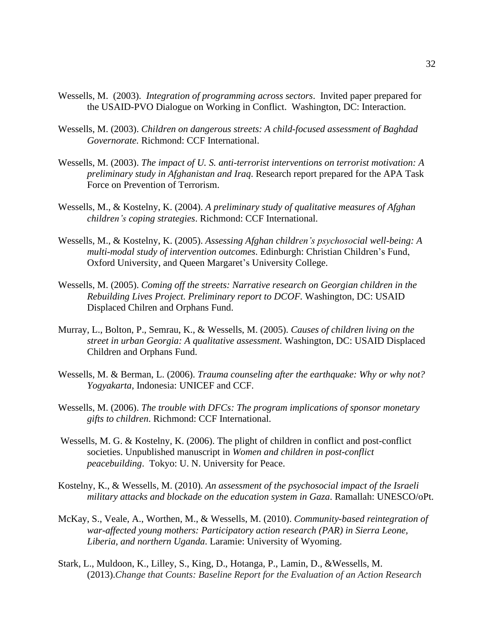- Wessells, M. (2003). *Integration of programming across sectors*. Invited paper prepared for the USAID-PVO Dialogue on Working in Conflict. Washington, DC: Interaction.
- Wessells, M. (2003). *Children on dangerous streets: A child-focused assessment of Baghdad Governorate.* Richmond: CCF International.
- Wessells, M. (2003). *The impact of U. S. anti-terrorist interventions on terrorist motivation: A preliminary study in Afghanistan and Iraq*. Research report prepared for the APA Task Force on Prevention of Terrorism.
- Wessells, M., & Kostelny, K. (2004). *A preliminary study of qualitative measures of Afghan children's coping strategies*. Richmond: CCF International.
- Wessells, M., & Kostelny, K. (2005). *Assessing Afghan children's psychosocial well-being: A multi-modal study of intervention outcomes*. Edinburgh: Christian Children's Fund, Oxford University, and Queen Margaret's University College.
- Wessells, M. (2005). *Coming off the streets: Narrative research on Georgian children in the Rebuilding Lives Project. Preliminary report to DCOF.* Washington, DC: USAID Displaced Chilren and Orphans Fund.
- Murray, L., Bolton, P., Semrau, K., & Wessells, M. (2005). *Causes of children living on the street in urban Georgia: A qualitative assessment*. Washington, DC: USAID Displaced Children and Orphans Fund.
- Wessells, M. & Berman, L. (2006). *Trauma counseling after the earthquake: Why or why not? Yogyakarta*, Indonesia: UNICEF and CCF.
- Wessells, M. (2006). *The trouble with DFCs: The program implications of sponsor monetary gifts to children*. Richmond: CCF International.
- Wessells, M. G. & Kostelny, K. (2006). The plight of children in conflict and post-conflict societies. Unpublished manuscript in *Women and children in post-conflict peacebuilding*. Tokyo: U. N. University for Peace.
- Kostelny, K., & Wessells, M. (2010). *An assessment of the psychosocial impact of the Israeli military attacks and blockade on the education system in Gaza*. Ramallah: UNESCO/oPt.
- McKay, S., Veale, A., Worthen, M., & Wessells, M. (2010). *Community-based reintegration of war-affected young mothers: Participatory action research (PAR) in Sierra Leone, Liberia, and northern Uganda*. Laramie: University of Wyoming.
- Stark, L., Muldoon, K., Lilley, S., King, D., Hotanga, P., Lamin, D., &Wessells, M. (2013).*Change that Counts: Baseline Report for the Evaluation of an Action Research*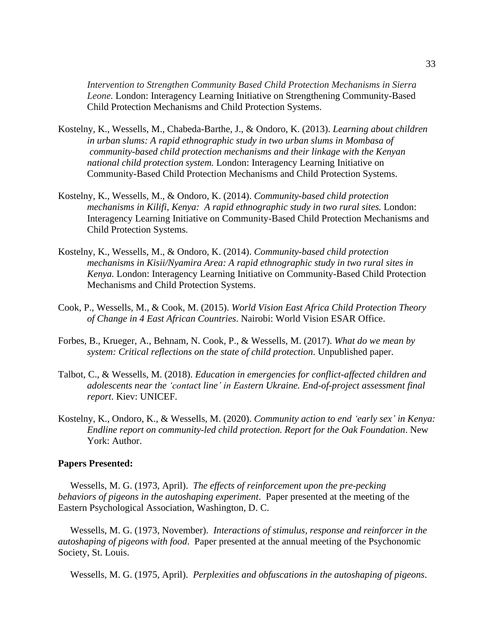*Intervention to Strengthen Community Based Child Protection Mechanisms in Sierra Leone.* London: Interagency Learning Initiative on Strengthening Community-Based Child Protection Mechanisms and Child Protection Systems.

- Kostelny, K., Wessells, M., Chabeda-Barthe, J., & Ondoro, K. (2013). *Learning about children in urban slums: A rapid ethnographic study in two urban slums in Mombasa of community-based child protection mechanisms and their linkage with the Kenyan national child protection system.* London: Interagency Learning Initiative on Community-Based Child Protection Mechanisms and Child Protection Systems.
- Kostelny, K., Wessells, M., & Ondoro, K. (2014). *Community-based child protection mechanisms in Kilifi, Kenya: A rapid ethnographic study in two rural sites.* London: Interagency Learning Initiative on Community-Based Child Protection Mechanisms and Child Protection Systems.
- Kostelny, K., Wessells, M., & Ondoro, K. (2014). *Community-based child protection mechanisms in Kisii/Nyamira Area: A rapid ethnographic study in two rural sites in Kenya.* London: Interagency Learning Initiative on Community-Based Child Protection Mechanisms and Child Protection Systems.
- Cook, P., Wessells, M., & Cook, M. (2015). *World Vision East Africa Child Protection Theory of Change in 4 East African Countries*. Nairobi: World Vision ESAR Office.
- Forbes, B., Krueger, A., Behnam, N. Cook, P., & Wessells, M. (2017). *What do we mean by system: Critical reflections on the state of child protection*. Unpublished paper.
- Talbot, C., & Wessells, M. (2018). *Education in emergencies for conflict-affected children and adolescents near the 'contact line' in Eastern Ukraine. End-of-project assessment final report*. Kiev: UNICEF.
- Kostelny, K., Ondoro, K., & Wessells, M. (2020). *Community action to end 'early sex' in Kenya: Endline report on community-led child protection. Report for the Oak Foundation*. New York: Author.

### **Papers Presented:**

 Wessells, M. G. (1973, April). *The effects of reinforcement upon the pre-pecking behaviors of pigeons in the autoshaping experiment*. Paper presented at the meeting of the Eastern Psychological Association, Washington, D. C.

 Wessells, M. G. (1973, November). *Interactions of stimulus, response and reinforcer in the autoshaping of pigeons with food*. Paper presented at the annual meeting of the Psychonomic Society, St. Louis.

Wessells, M. G. (1975, April). *Perplexities and obfuscations in the autoshaping of pigeons*.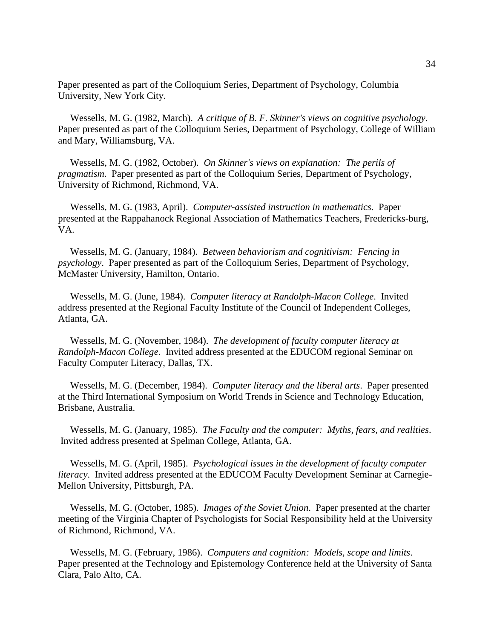Paper presented as part of the Colloquium Series, Department of Psychology, Columbia University, New York City.

 Wessells, M. G. (1982, March). *A critique of B. F. Skinner's views on cognitive psychology*. Paper presented as part of the Colloquium Series, Department of Psychology, College of William and Mary, Williamsburg, VA.

 Wessells, M. G. (1982, October). *On Skinner's views on explanation: The perils of pragmatism*. Paper presented as part of the Colloquium Series, Department of Psychology, University of Richmond, Richmond, VA.

 Wessells, M. G. (1983, April). *Computer-assisted instruction in mathematics*. Paper presented at the Rappahanock Regional Association of Mathematics Teachers, Fredericks-burg, VA.

 Wessells, M. G. (January, 1984). *Between behaviorism and cognitivism: Fencing in psychology*. Paper presented as part of the Colloquium Series, Department of Psychology, McMaster University, Hamilton, Ontario.

 Wessells, M. G. (June, 1984). *Computer literacy at Randolph-Macon College*. Invited address presented at the Regional Faculty Institute of the Council of Independent Colleges, Atlanta, GA.

 Wessells, M. G. (November, 1984). *The development of faculty computer literacy at Randolph-Macon College*. Invited address presented at the EDUCOM regional Seminar on Faculty Computer Literacy, Dallas, TX.

 Wessells, M. G. (December, 1984). *Computer literacy and the liberal arts*. Paper presented at the Third International Symposium on World Trends in Science and Technology Education, Brisbane, Australia.

 Wessells, M. G. (January, 1985). *The Faculty and the computer: Myths, fears, and realities*. Invited address presented at Spelman College, Atlanta, GA.

 Wessells, M. G. (April, 1985). *Psychological issues in the development of faculty computer literacy*. Invited address presented at the EDUCOM Faculty Development Seminar at Carnegie-Mellon University, Pittsburgh, PA.

 Wessells, M. G. (October, 1985). *Images of the Soviet Union*. Paper presented at the charter meeting of the Virginia Chapter of Psychologists for Social Responsibility held at the University of Richmond, Richmond, VA.

 Wessells, M. G. (February, 1986). *Computers and cognition: Models, scope and limits*. Paper presented at the Technology and Epistemology Conference held at the University of Santa Clara, Palo Alto, CA.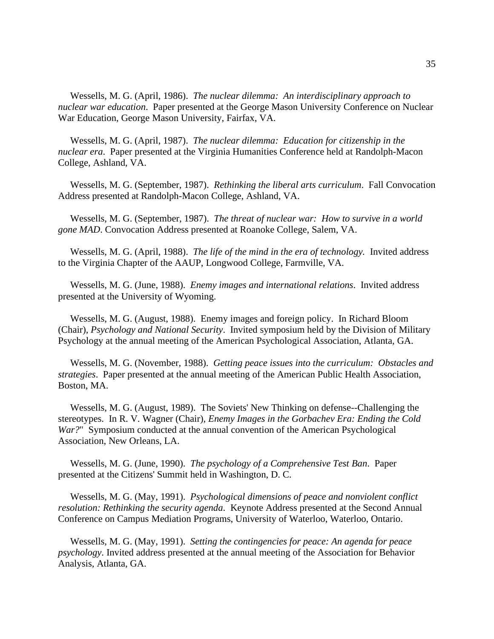Wessells, M. G. (April, 1986). *The nuclear dilemma: An interdisciplinary approach to nuclear war education*. Paper presented at the George Mason University Conference on Nuclear War Education, George Mason University, Fairfax, VA.

 Wessells, M. G. (April, 1987). *The nuclear dilemma: Education for citizenship in the nuclear era*. Paper presented at the Virginia Humanities Conference held at Randolph-Macon College, Ashland, VA.

 Wessells, M. G. (September, 1987). *Rethinking the liberal arts curriculum*. Fall Convocation Address presented at Randolph-Macon College, Ashland, VA.

 Wessells, M. G. (September, 1987). *The threat of nuclear war: How to survive in a world gone MAD*. Convocation Address presented at Roanoke College, Salem, VA.

 Wessells, M. G. (April, 1988). *The life of the mind in the era of technology.* Invited address to the Virginia Chapter of the AAUP, Longwood College, Farmville, VA.

 Wessells, M. G. (June, 1988). *Enemy images and international relations*. Invited address presented at the University of Wyoming.

 Wessells, M. G. (August, 1988). Enemy images and foreign policy. In Richard Bloom (Chair), *Psychology and National Security*. Invited symposium held by the Division of Military Psychology at the annual meeting of the American Psychological Association, Atlanta, GA.

 Wessells, M. G. (November, 1988). *Getting peace issues into the curriculum: Obstacles and strategies*. Paper presented at the annual meeting of the American Public Health Association, Boston, MA.

 Wessells, M. G. (August, 1989). The Soviets' New Thinking on defense--Challenging the stereotypes. In R. V. Wagner (Chair), *Enemy Images in the Gorbachev Era: Ending the Cold War?*" Symposium conducted at the annual convention of the American Psychological Association, New Orleans, LA.

 Wessells, M. G. (June, 1990). *The psychology of a Comprehensive Test Ban*. Paper presented at the Citizens' Summit held in Washington, D. C.

 Wessells, M. G. (May, 1991). *Psychological dimensions of peace and nonviolent conflict resolution: Rethinking the security agenda*. Keynote Address presented at the Second Annual Conference on Campus Mediation Programs, University of Waterloo, Waterloo, Ontario.

 Wessells, M. G. (May, 1991). *Setting the contingencies for peace: An agenda for peace psychology*. Invited address presented at the annual meeting of the Association for Behavior Analysis, Atlanta, GA.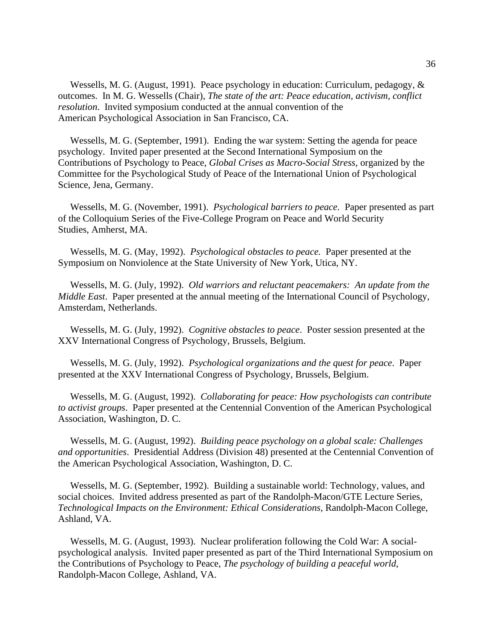Wessells, M. G. (August, 1991). Peace psychology in education: Curriculum, pedagogy, & outcomes. In M. G. Wessells (Chair), *The state of the art: Peace education, activism, conflict resolution*. Invited symposium conducted at the annual convention of the American Psychological Association in San Francisco, CA.

 Wessells, M. G. (September, 1991). Ending the war system: Setting the agenda for peace psychology. Invited paper presented at the Second International Symposium on the Contributions of Psychology to Peace, *Global Crises as Macro-Social Stress*, organized by the Committee for the Psychological Study of Peace of the International Union of Psychological Science, Jena, Germany.

 Wessells, M. G. (November, 1991). *Psychological barriers to peace*. Paper presented as part of the Colloquium Series of the Five-College Program on Peace and World Security Studies, Amherst, MA.

 Wessells, M. G. (May, 1992). *Psychological obstacles to peace.* Paper presented at the Symposium on Nonviolence at the State University of New York, Utica, NY.

 Wessells, M. G. (July, 1992). *Old warriors and reluctant peacemakers: An update from the Middle East*. Paper presented at the annual meeting of the International Council of Psychology, Amsterdam, Netherlands.

 Wessells, M. G. (July, 1992). *Cognitive obstacles to peace*. Poster session presented at the XXV International Congress of Psychology, Brussels, Belgium.

 Wessells, M. G. (July, 1992). *Psychological organizations and the quest for peace*. Paper presented at the XXV International Congress of Psychology, Brussels, Belgium.

 Wessells, M. G. (August, 1992). *Collaborating for peace: How psychologists can contribute to activist groups*. Paper presented at the Centennial Convention of the American Psychological Association, Washington, D. C.

 Wessells, M. G. (August, 1992). *Building peace psychology on a global scale: Challenges and opportunities*. Presidential Address (Division 48) presented at the Centennial Convention of the American Psychological Association, Washington, D. C.

 Wessells, M. G. (September, 1992). Building a sustainable world: Technology, values, and social choices. Invited address presented as part of the Randolph-Macon/GTE Lecture Series, *Technological Impacts on the Environment: Ethical Considerations*, Randolph-Macon College, Ashland, VA.

 Wessells, M. G. (August, 1993). Nuclear proliferation following the Cold War: A socialpsychological analysis. Invited paper presented as part of the Third International Symposium on the Contributions of Psychology to Peace, *The psychology of building a peaceful world*, Randolph-Macon College, Ashland, VA.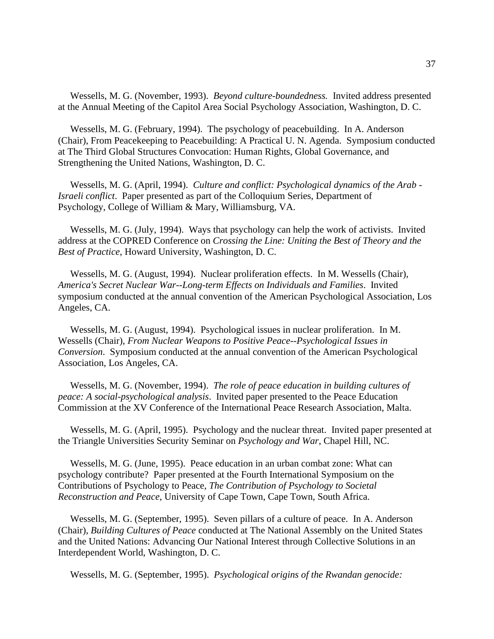Wessells, M. G. (November, 1993). *Beyond culture-boundedness.* Invited address presented at the Annual Meeting of the Capitol Area Social Psychology Association, Washington, D. C.

 Wessells, M. G. (February, 1994). The psychology of peacebuilding. In A. Anderson (Chair), From Peacekeeping to Peacebuilding: A Practical U. N. Agenda. Symposium conducted at The Third Global Structures Convocation: Human Rights, Global Governance, and Strengthening the United Nations, Washington, D. C.

 Wessells, M. G. (April, 1994). *Culture and conflict: Psychological dynamics of the Arab - Israeli conflict*. Paper presented as part of the Colloquium Series, Department of Psychology, College of William & Mary, Williamsburg, VA.

 Wessells, M. G. (July, 1994). Ways that psychology can help the work of activists. Invited address at the COPRED Conference on *Crossing the Line: Uniting the Best of Theory and the Best of Practice*, Howard University, Washington, D. C.

 Wessells, M. G. (August, 1994). Nuclear proliferation effects. In M. Wessells (Chair), *America's Secret Nuclear War--Long-term Effects on Individuals and Families*. Invited symposium conducted at the annual convention of the American Psychological Association, Los Angeles, CA.

 Wessells, M. G. (August, 1994). Psychological issues in nuclear proliferation. In M. Wessells (Chair), *From Nuclear Weapons to Positive Peace--Psychological Issues in Conversion*. Symposium conducted at the annual convention of the American Psychological Association, Los Angeles, CA.

 Wessells, M. G. (November, 1994). *The role of peace education in building cultures of peace: A social-psychological analysis*. Invited paper presented to the Peace Education Commission at the XV Conference of the International Peace Research Association, Malta.

 Wessells, M. G. (April, 1995). Psychology and the nuclear threat. Invited paper presented at the Triangle Universities Security Seminar on *Psychology and War*, Chapel Hill, NC.

 Wessells, M. G. (June, 1995). Peace education in an urban combat zone: What can psychology contribute? Paper presented at the Fourth International Symposium on the Contributions of Psychology to Peace, *The Contribution of Psychology to Societal Reconstruction and Peace*, University of Cape Town, Cape Town, South Africa.

 Wessells, M. G. (September, 1995). Seven pillars of a culture of peace. In A. Anderson (Chair), *Building Cultures of Peace* conducted at The National Assembly on the United States and the United Nations: Advancing Our National Interest through Collective Solutions in an Interdependent World, Washington, D. C.

Wessells, M. G. (September, 1995). *Psychological origins of the Rwandan genocide:*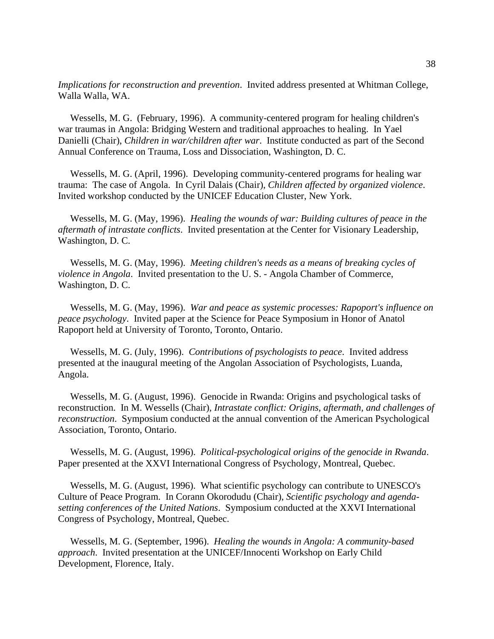*Implications for reconstruction and prevention*. Invited address presented at Whitman College, Walla Walla, WA.

 Wessells, M. G. (February, 1996). A community-centered program for healing children's war traumas in Angola: Bridging Western and traditional approaches to healing. In Yael Danielli (Chair), *Children in war/children after war*. Institute conducted as part of the Second Annual Conference on Trauma, Loss and Dissociation, Washington, D. C.

 Wessells, M. G. (April, 1996). Developing community-centered programs for healing war trauma: The case of Angola. In Cyril Dalais (Chair), *Children affected by organized violence*. Invited workshop conducted by the UNICEF Education Cluster, New York.

 Wessells, M. G. (May, 1996). *Healing the wounds of war: Building cultures of peace in the aftermath of intrastate conflicts*. Invited presentation at the Center for Visionary Leadership, Washington, D. C.

 Wessells, M. G. (May, 1996). *Meeting children's needs as a means of breaking cycles of violence in Angola*. Invited presentation to the U. S. - Angola Chamber of Commerce, Washington, D. C.

 Wessells, M. G. (May, 1996). *War and peace as systemic processes: Rapoport's influence on peace psychology*. Invited paper at the Science for Peace Symposium in Honor of Anatol Rapoport held at University of Toronto, Toronto, Ontario.

 Wessells, M. G. (July, 1996). *Contributions of psychologists to peace*. Invited address presented at the inaugural meeting of the Angolan Association of Psychologists, Luanda, Angola.

 Wessells, M. G. (August, 1996). Genocide in Rwanda: Origins and psychological tasks of reconstruction. In M. Wessells (Chair), *Intrastate conflict: Origins, aftermath, and challenges of reconstruction*. Symposium conducted at the annual convention of the American Psychological Association, Toronto, Ontario.

 Wessells, M. G. (August, 1996). *Political-psychological origins of the genocide in Rwanda*. Paper presented at the XXVI International Congress of Psychology, Montreal, Quebec.

 Wessells, M. G. (August, 1996). What scientific psychology can contribute to UNESCO's Culture of Peace Program. In Corann Okorodudu (Chair), *Scientific psychology and agendasetting conferences of the United Nations*. Symposium conducted at the XXVI International Congress of Psychology, Montreal, Quebec.

 Wessells, M. G. (September, 1996). *Healing the wounds in Angola: A community-based approach*. Invited presentation at the UNICEF/Innocenti Workshop on Early Child Development, Florence, Italy.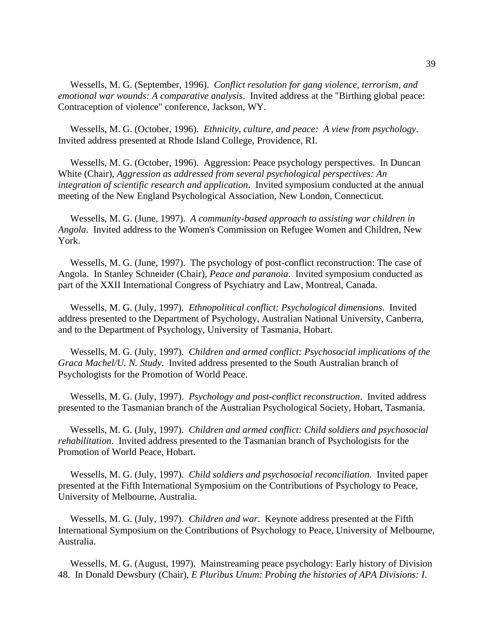Wessells, M. G. (September, 1996). *Conflict resolution for gang violence, terrorism, and emotional war wounds: A comparative analysis*. Invited address at the "Birthing global peace: Contraception of violence" conference, Jackson, WY.

 Wessells, M. G. (October, 1996). *Ethnicity, culture, and peace: A view from psychology*. Invited address presented at Rhode Island College, Providence, RI.

 Wessells, M. G. (October, 1996). Aggression: Peace psychology perspectives. In Duncan White (Chair), *Aggression as addressed from several psychological perspectives: An integration of scientific research and application*. Invited symposium conducted at the annual meeting of the New England Psychological Association, New London, Connecticut.

 Wessells, M. G. (June, 1997). *A community-based approach to assisting war children in Angola*. Invited address to the Women's Commission on Refugee Women and Children, New York.

 Wessells, M. G. (June, 1997). The psychology of post-conflict reconstruction: The case of Angola. In Stanley Schneider (Chair), *Peace and paranoia*. Invited symposium conducted as part of the XXII International Congress of Psychiatry and Law, Montreal, Canada.

 Wessells, M. G. (July, 1997). *Ethnopolitical conflict: Psychological dimensions*. Invited address presented to the Department of Psychology, Australian National University, Canberra, and to the Department of Psychology, University of Tasmania, Hobart.

 Wessells, M. G. (July, 1997). *Children and armed conflict: Psychosocial implications of the Graca Machel/U. N. Study*. Invited address presented to the South Australian branch of Psychologists for the Promotion of World Peace.

 Wessells, M. G. (July, 1997). *Psychology and post-conflict reconstruction*. Invited address presented to the Tasmanian branch of the Australian Psychological Society, Hobart, Tasmania.

 Wessells, M. G. (July, 1997). *Children and armed conflict: Child soldiers and psychosocial rehabilitation*. Invited address presented to the Tasmanian branch of Psychologists for the Promotion of World Peace, Hobart.

 Wessells, M. G. (July, 1997). *Child soldiers and psychosocial reconciliation*. Invited paper presented at the Fifth International Symposium on the Contributions of Psychology to Peace, University of Melbourne, Australia.

 Wessells, M. G. (July, 1997). *Children and war*. Keynote address presented at the Fifth International Symposium on the Contributions of Psychology to Peace, University of Melbourne, Australia.

 Wessells, M. G. (August, 1997). Mainstreaming peace psychology: Early history of Division 48. In Donald Dewsbury (Chair), *E Pluribus Unum: Probing the histories of APA Divisions: I*.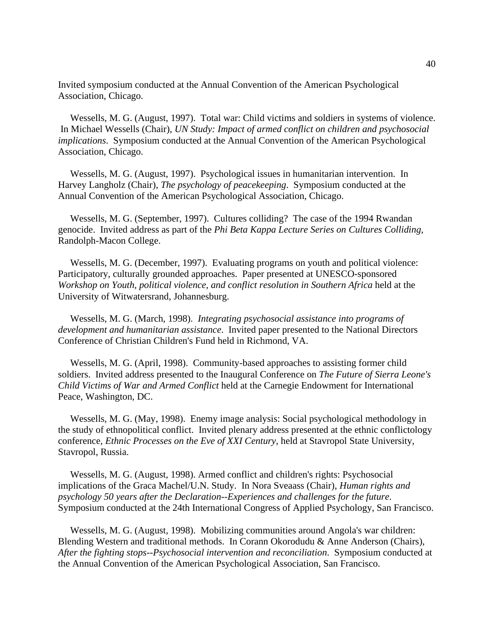Invited symposium conducted at the Annual Convention of the American Psychological Association, Chicago.

 Wessells, M. G. (August, 1997). Total war: Child victims and soldiers in systems of violence. In Michael Wessells (Chair), *UN Study: Impact of armed conflict on children and psychosocial implications*. Symposium conducted at the Annual Convention of the American Psychological Association, Chicago.

 Wessells, M. G. (August, 1997). Psychological issues in humanitarian intervention. In Harvey Langholz (Chair), *The psychology of peacekeeping*. Symposium conducted at the Annual Convention of the American Psychological Association, Chicago.

 Wessells, M. G. (September, 1997). Cultures colliding? The case of the 1994 Rwandan genocide. Invited address as part of the *Phi Beta Kappa Lecture Series on Cultures Colliding*, Randolph-Macon College.

 Wessells, M. G. (December, 1997). Evaluating programs on youth and political violence: Participatory, culturally grounded approaches. Paper presented at UNESCO-sponsored *Workshop on Youth, political violence, and conflict resolution in Southern Africa* held at the University of Witwatersrand, Johannesburg.

 Wessells, M. G. (March, 1998). *Integrating psychosocial assistance into programs of development and humanitarian assistance*. Invited paper presented to the National Directors Conference of Christian Children's Fund held in Richmond, VA.

 Wessells, M. G. (April, 1998). Community-based approaches to assisting former child soldiers. Invited address presented to the Inaugural Conference on *The Future of Sierra Leone's Child Victims of War and Armed Conflict* held at the Carnegie Endowment for International Peace, Washington, DC.

 Wessells, M. G. (May, 1998). Enemy image analysis: Social psychological methodology in the study of ethnopolitical conflict. Invited plenary address presented at the ethnic conflictology conference, *Ethnic Processes on the Eve of XXI Century*, held at Stavropol State University, Stavropol, Russia.

 Wessells, M. G. (August, 1998). Armed conflict and children's rights: Psychosocial implications of the Graca Machel/U.N. Study. In Nora Sveaass (Chair), *Human rights and psychology 50 years after the Declaration--Experiences and challenges for the future*. Symposium conducted at the 24th International Congress of Applied Psychology, San Francisco.

 Wessells, M. G. (August, 1998). Mobilizing communities around Angola's war children: Blending Western and traditional methods. In Corann Okorodudu & Anne Anderson (Chairs), *After the fighting stops--Psychosocial intervention and reconciliation*. Symposium conducted at the Annual Convention of the American Psychological Association, San Francisco.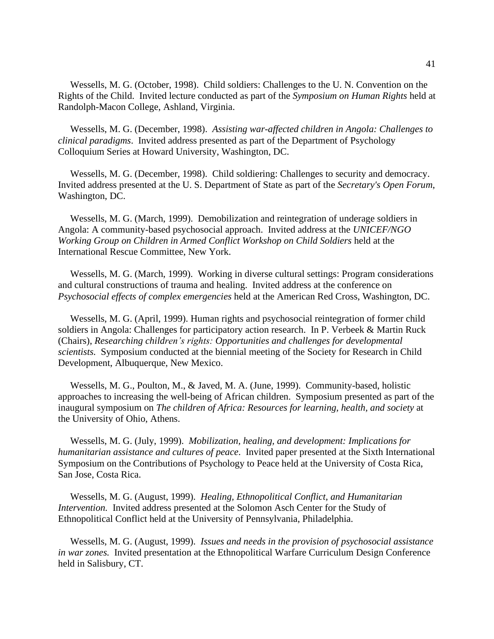Wessells, M. G. (October, 1998). Child soldiers: Challenges to the U. N. Convention on the Rights of the Child. Invited lecture conducted as part of the *Symposium on Human Rights* held at Randolph-Macon College, Ashland, Virginia.

 Wessells, M. G. (December, 1998). *Assisting war-affected children in Angola: Challenges to clinical paradigms*. Invited address presented as part of the Department of Psychology Colloquium Series at Howard University, Washington, DC.

 Wessells, M. G. (December, 1998). Child soldiering: Challenges to security and democracy. Invited address presented at the U. S. Department of State as part of the *Secretary's Open Forum*, Washington, DC.

 Wessells, M. G. (March, 1999). Demobilization and reintegration of underage soldiers in Angola: A community-based psychosocial approach. Invited address at the *UNICEF/NGO Working Group on Children in Armed Conflict Workshop on Child Soldiers* held at the International Rescue Committee, New York.

 Wessells, M. G. (March, 1999). Working in diverse cultural settings: Program considerations and cultural constructions of trauma and healing. Invited address at the conference on *Psychosocial effects of complex emergencies* held at the American Red Cross, Washington, DC.

 Wessells, M. G. (April, 1999). Human rights and psychosocial reintegration of former child soldiers in Angola: Challenges for participatory action research. In P. Verbeek & Martin Ruck (Chairs), *Researching children's rights: Opportunities and challenges for developmental scientists.* Symposium conducted at the biennial meeting of the Society for Research in Child Development, Albuquerque, New Mexico.

 Wessells, M. G., Poulton, M., & Javed, M. A. (June, 1999). Community-based, holistic approaches to increasing the well-being of African children. Symposium presented as part of the inaugural symposium on *The children of Africa: Resources for learning, health, and society* at the University of Ohio, Athens.

 Wessells, M. G. (July, 1999). *Mobilization, healing, and development: Implications for humanitarian assistance and cultures of peace*. Invited paper presented at the Sixth International Symposium on the Contributions of Psychology to Peace held at the University of Costa Rica, San Jose, Costa Rica.

 Wessells, M. G. (August, 1999). *Healing, Ethnopolitical Conflict, and Humanitarian Intervention.* Invited address presented at the Solomon Asch Center for the Study of Ethnopolitical Conflict held at the University of Pennsylvania, Philadelphia.

 Wessells, M. G. (August, 1999). *Issues and needs in the provision of psychosocial assistance in war zones.* Invited presentation at the Ethnopolitical Warfare Curriculum Design Conference held in Salisbury, CT.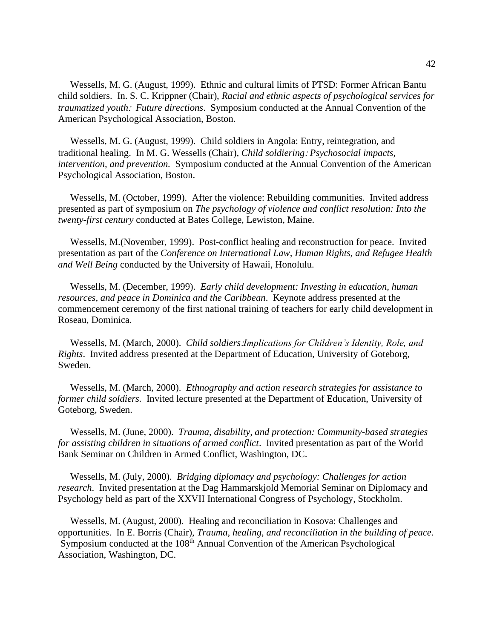Wessells, M. G. (August, 1999). Ethnic and cultural limits of PTSD: Former African Bantu child soldiers. In. S. C. Krippner (Chair), *Racial and ethnic aspects of psychological services for traumatized youth: Future directions.* Symposium conducted at the Annual Convention of the American Psychological Association, Boston.

 Wessells, M. G. (August, 1999). Child soldiers in Angola: Entry, reintegration, and traditional healing. In M. G. Wessells (Chair), *Child soldiering Psychosocial impacts, intervention, and prevention.* Symposium conducted at the Annual Convention of the American Psychological Association, Boston.

 Wessells, M. (October, 1999). After the violence: Rebuilding communities. Invited address presented as part of symposium on *The psychology of violence and conflict resolution: Into the twenty-first century* conducted at Bates College, Lewiston, Maine.

 Wessells, M.(November, 1999). Post-conflict healing and reconstruction for peace. Invited presentation as part of the *Conference on International Law, Human Rights, and Refugee Health and Well Being* conducted by the University of Hawaii, Honolulu.

 Wessells, M. (December, 1999). *Early child development: Investing in education, human resources, and peace in Dominica and the Caribbean*. Keynote address presented at the commencement ceremony of the first national training of teachers for early child development in Roseau, Dominica.

 Wessells, M. (March, 2000). *Child soldiersImplications for Children's Identity, Role, and Rights*. Invited address presented at the Department of Education, University of Goteborg, Sweden.

 Wessells, M. (March, 2000). *Ethnography and action research strategies for assistance to former child soldiers.* Invited lecture presented at the Department of Education, University of Goteborg, Sweden.

 Wessells, M. (June, 2000). *Trauma, disability, and protection: Community-based strategies for assisting children in situations of armed conflict*. Invited presentation as part of the World Bank Seminar on Children in Armed Conflict, Washington, DC.

 Wessells, M. (July, 2000). *Bridging diplomacy and psychology: Challenges for action research*. Invited presentation at the Dag Hammarskjold Memorial Seminar on Diplomacy and Psychology held as part of the XXVII International Congress of Psychology, Stockholm.

 Wessells, M. (August, 2000). Healing and reconciliation in Kosova: Challenges and opportunities. In E. Borris (Chair), *Trauma, healing, and reconciliation in the building of peace*. Symposium conducted at the 108<sup>th</sup> Annual Convention of the American Psychological Association, Washington, DC.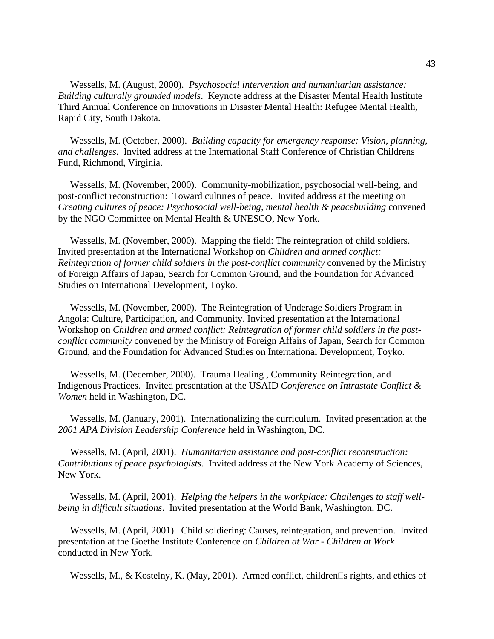Wessells, M. (August, 2000). *Psychosocial intervention and humanitarian assistance: Building culturally grounded models*. Keynote address at the Disaster Mental Health Institute Third Annual Conference on Innovations in Disaster Mental Health: Refugee Mental Health, Rapid City, South Dakota.

 Wessells, M. (October, 2000). *Building capacity for emergency response: Vision, planning, and challenges*. Invited address at the International Staff Conference of Christian Childrens Fund, Richmond, Virginia.

 Wessells, M. (November, 2000). Community-mobilization, psychosocial well-being, and post-conflict reconstruction: Toward cultures of peace. Invited address at the meeting on *Creating cultures of peace: Psychosocial well-being, mental health & peacebuilding* convened by the NGO Committee on Mental Health & UNESCO, New York.

 Wessells, M. (November, 2000). Mapping the field: The reintegration of child soldiers. Invited presentation at the International Workshop on *Children and armed conflict: Reintegration of former child soldiers in the post-conflict community* convened by the Ministry of Foreign Affairs of Japan, Search for Common Ground, and the Foundation for Advanced Studies on International Development, Toyko.

 Wessells, M. (November, 2000). The Reintegration of Underage Soldiers Program in Angola: Culture, Participation, and Community. Invited presentation at the International Workshop on *Children and armed conflict: Reintegration of former child soldiers in the postconflict community* convened by the Ministry of Foreign Affairs of Japan, Search for Common Ground, and the Foundation for Advanced Studies on International Development, Toyko.

 Wessells, M. (December, 2000). Trauma Healing , Community Reintegration, and Indigenous Practices. Invited presentation at the USAID *Conference on Intrastate Conflict & Women* held in Washington, DC.

 Wessells, M. (January, 2001). Internationalizing the curriculum. Invited presentation at the *2001 APA Division Leadership Conference* held in Washington, DC.

 Wessells, M. (April, 2001). *Humanitarian assistance and post-conflict reconstruction: Contributions of peace psychologists*. Invited address at the New York Academy of Sciences, New York.

 Wessells, M. (April, 2001). *Helping the helpers in the workplace: Challenges to staff wellbeing in difficult situations*. Invited presentation at the World Bank, Washington, DC.

 Wessells, M. (April, 2001). Child soldiering: Causes, reintegration, and prevention. Invited presentation at the Goethe Institute Conference on *Children at War - Children at Work* conducted in New York.

Wessells, M., & Kostelny, K. (May, 2001). Armed conflict, children $\square$ s rights, and ethics of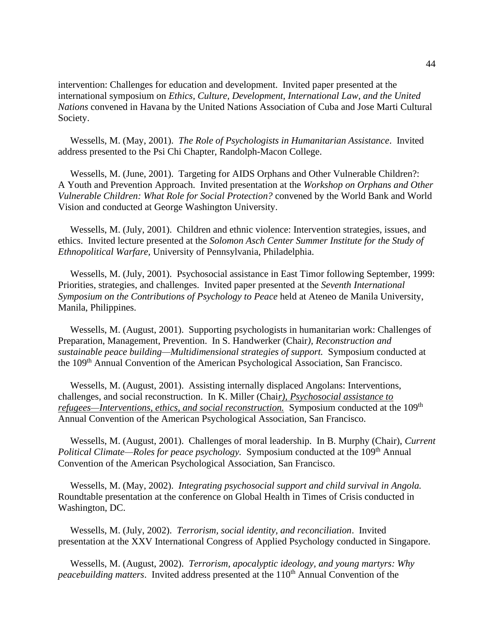intervention: Challenges for education and development. Invited paper presented at the international symposium on *Ethics, Culture, Development, International Law, and the United Nations* convened in Havana by the United Nations Association of Cuba and Jose Marti Cultural Society.

 Wessells, M. (May, 2001). *The Role of Psychologists in Humanitarian Assistance*. Invited address presented to the Psi Chi Chapter, Randolph-Macon College.

 Wessells, M. (June, 2001). Targeting for AIDS Orphans and Other Vulnerable Children?: A Youth and Prevention Approach. Invited presentation at the *Workshop on Orphans and Other Vulnerable Children: What Role for Social Protection?* convened by the World Bank and World Vision and conducted at George Washington University.

 Wessells, M. (July, 2001). Children and ethnic violence: Intervention strategies, issues, and ethics. Invited lecture presented at the *Solomon Asch Center Summer Institute for the Study of Ethnopolitical Warfare,* University of Pennsylvania, Philadelphia.

 Wessells, M. (July, 2001). Psychosocial assistance in East Timor following September, 1999: Priorities, strategies, and challenges. Invited paper presented at the *Seventh International Symposium on the Contributions of Psychology to Peace* held at Ateneo de Manila University, Manila, Philippines.

 Wessells, M. (August, 2001). Supporting psychologists in humanitarian work: Challenges of Preparation, Management, Prevention. In S. Handwerker (Chair*), Reconstruction and sustainable peace building—Multidimensional strategies of support.* Symposium conducted at the 109th Annual Convention of the American Psychological Association, San Francisco.

 Wessells, M. (August, 2001). Assisting internally displaced Angolans: Interventions, challenges, and social reconstruction. In K. Miller (Chai*r), Psychosocial assistance to refugees—Interventions, ethics, and social reconstruction.* Symposium conducted at the 109<sup>th</sup> Annual Convention of the American Psychological Association, San Francisco.

 Wessells, M. (August, 2001). Challenges of moral leadership. In B. Murphy (Chair), *Current Political Climate—Roles for peace psychology.* Symposium conducted at the 109<sup>th</sup> Annual Convention of the American Psychological Association, San Francisco.

 Wessells, M. (May, 2002). *Integrating psychosocial support and child survival in Angola.*  Roundtable presentation at the conference on Global Health in Times of Crisis conducted in Washington, DC.

 Wessells, M. (July, 2002). *Terrorism, social identity, and reconciliation*. Invited presentation at the XXV International Congress of Applied Psychology conducted in Singapore.

 Wessells, M. (August, 2002). *Terrorism, apocalyptic ideology, and young martyrs: Why peacebuilding matters.* Invited address presented at the 110<sup>th</sup> Annual Convention of the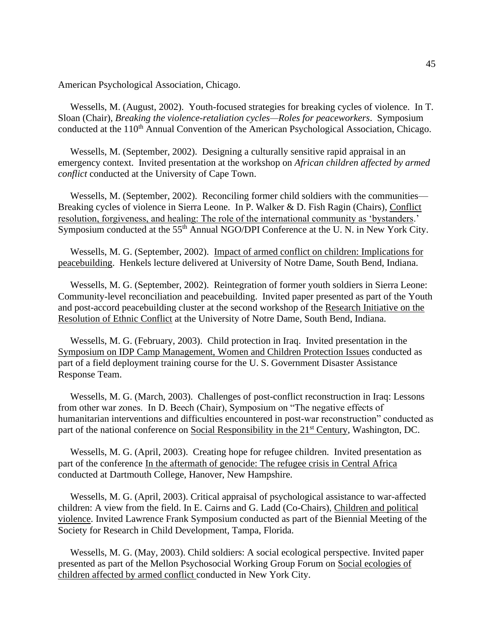American Psychological Association, Chicago.

 Wessells, M. (August, 2002). Youth-focused strategies for breaking cycles of violence. In T. Sloan (Chair), *Breaking the violence-retaliation cycles—Roles for peaceworkers*. Symposium conducted at the 110<sup>th</sup> Annual Convention of the American Psychological Association, Chicago.

 Wessells, M. (September, 2002). Designing a culturally sensitive rapid appraisal in an emergency context. Invited presentation at the workshop on *African children affected by armed conflict* conducted at the University of Cape Town.

 Wessells, M. (September, 2002). Reconciling former child soldiers with the communities— Breaking cycles of violence in Sierra Leone. In P. Walker & D. Fish Ragin (Chairs), Conflict resolution, forgiveness, and healing: The role of the international community as 'bystanders.' Symposium conducted at the 55<sup>th</sup> Annual NGO/DPI Conference at the U.N. in New York City.

 Wessells, M. G. (September, 2002). Impact of armed conflict on children: Implications for peacebuilding. Henkels lecture delivered at University of Notre Dame, South Bend, Indiana.

 Wessells, M. G. (September, 2002). Reintegration of former youth soldiers in Sierra Leone: Community-level reconciliation and peacebuilding. Invited paper presented as part of the Youth and post-accord peacebuilding cluster at the second workshop of the Research Initiative on the Resolution of Ethnic Conflict at the University of Notre Dame, South Bend, Indiana.

 Wessells, M. G. (February, 2003). Child protection in Iraq. Invited presentation in the Symposium on IDP Camp Management, Women and Children Protection Issues conducted as part of a field deployment training course for the U. S. Government Disaster Assistance Response Team.

 Wessells, M. G. (March, 2003). Challenges of post-conflict reconstruction in Iraq: Lessons from other war zones. In D. Beech (Chair), Symposium on "The negative effects of humanitarian interventions and difficulties encountered in post-war reconstruction" conducted as part of the national conference on Social Responsibility in the 21<sup>st</sup> Century, Washington, DC.

 Wessells, M. G. (April, 2003). Creating hope for refugee children. Invited presentation as part of the conference In the aftermath of genocide: The refugee crisis in Central Africa conducted at Dartmouth College, Hanover, New Hampshire.

 Wessells, M. G. (April, 2003). Critical appraisal of psychological assistance to war-affected children: A view from the field. In E. Cairns and G. Ladd (Co-Chairs), Children and political violence. Invited Lawrence Frank Symposium conducted as part of the Biennial Meeting of the Society for Research in Child Development, Tampa, Florida.

 Wessells, M. G. (May, 2003). Child soldiers: A social ecological perspective. Invited paper presented as part of the Mellon Psychosocial Working Group Forum on Social ecologies of children affected by armed conflict conducted in New York City.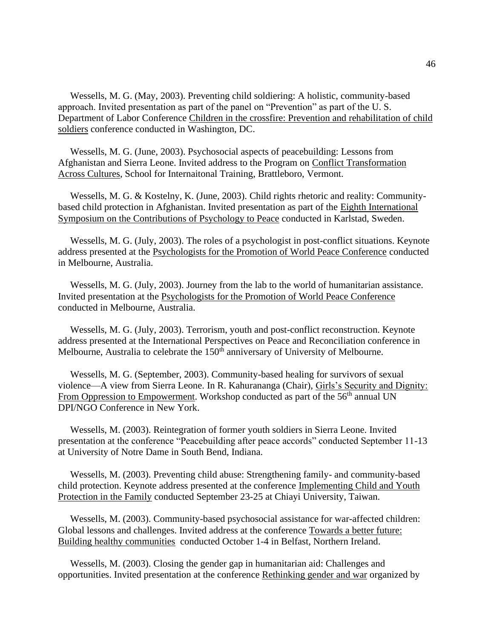Wessells, M. G. (May, 2003). Preventing child soldiering: A holistic, community-based approach. Invited presentation as part of the panel on "Prevention" as part of the U. S. Department of Labor Conference Children in the crossfire: Prevention and rehabilitation of child soldiers conference conducted in Washington, DC.

 Wessells, M. G. (June, 2003). Psychosocial aspects of peacebuilding: Lessons from Afghanistan and Sierra Leone. Invited address to the Program on Conflict Transformation Across Cultures, School for Internaitonal Training, Brattleboro, Vermont.

 Wessells, M. G. & Kostelny, K. (June, 2003). Child rights rhetoric and reality: Communitybased child protection in Afghanistan. Invited presentation as part of the Eighth International Symposium on the Contributions of Psychology to Peace conducted in Karlstad, Sweden.

 Wessells, M. G. (July, 2003). The roles of a psychologist in post-conflict situations. Keynote address presented at the Psychologists for the Promotion of World Peace Conference conducted in Melbourne, Australia.

 Wessells, M. G. (July, 2003). Journey from the lab to the world of humanitarian assistance. Invited presentation at the Psychologists for the Promotion of World Peace Conference conducted in Melbourne, Australia.

 Wessells, M. G. (July, 2003). Terrorism, youth and post-conflict reconstruction. Keynote address presented at the International Perspectives on Peace and Reconciliation conference in Melbourne, Australia to celebrate the 150<sup>th</sup> anniversary of University of Melbourne.

 Wessells, M. G. (September, 2003). Community-based healing for survivors of sexual violence—A view from Sierra Leone. In R. Kahurananga (Chair), Girls's Security and Dignity: From Oppression to Empowerment. Workshop conducted as part of the  $56<sup>th</sup>$  annual UN DPI/NGO Conference in New York.

 Wessells, M. (2003). Reintegration of former youth soldiers in Sierra Leone. Invited presentation at the conference "Peacebuilding after peace accords" conducted September 11-13 at University of Notre Dame in South Bend, Indiana.

 Wessells, M. (2003). Preventing child abuse: Strengthening family- and community-based child protection. Keynote address presented at the conference Implementing Child and Youth Protection in the Family conducted September 23-25 at Chiayi University, Taiwan.

 Wessells, M. (2003). Community-based psychosocial assistance for war-affected children: Global lessons and challenges. Invited address at the conference Towards a better future: Building healthy communities conducted October 1-4 in Belfast, Northern Ireland.

 Wessells, M. (2003). Closing the gender gap in humanitarian aid: Challenges and opportunities. Invited presentation at the conference Rethinking gender and war organized by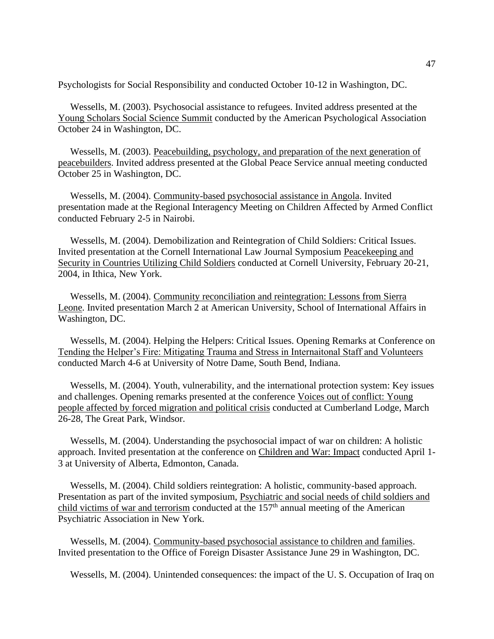Psychologists for Social Responsibility and conducted October 10-12 in Washington, DC.

 Wessells, M. (2003). Psychosocial assistance to refugees. Invited address presented at the Young Scholars Social Science Summit conducted by the American Psychological Association October 24 in Washington, DC.

 Wessells, M. (2003). Peacebuilding, psychology, and preparation of the next generation of peacebuilders. Invited address presented at the Global Peace Service annual meeting conducted October 25 in Washington, DC.

 Wessells, M. (2004). Community-based psychosocial assistance in Angola. Invited presentation made at the Regional Interagency Meeting on Children Affected by Armed Conflict conducted February 2-5 in Nairobi.

 Wessells, M. (2004). Demobilization and Reintegration of Child Soldiers: Critical Issues. Invited presentation at the Cornell International Law Journal Symposium Peacekeeping and Security in Countries Utilizing Child Soldiers conducted at Cornell University, February 20-21, 2004, in Ithica, New York.

 Wessells, M. (2004). Community reconciliation and reintegration: Lessons from Sierra Leone. Invited presentation March 2 at American University, School of International Affairs in Washington, DC.

 Wessells, M. (2004). Helping the Helpers: Critical Issues. Opening Remarks at Conference on Tending the Helper's Fire: Mitigating Trauma and Stress in Internaitonal Staff and Volunteers conducted March 4-6 at University of Notre Dame, South Bend, Indiana.

 Wessells, M. (2004). Youth, vulnerability, and the international protection system: Key issues and challenges. Opening remarks presented at the conference Voices out of conflict: Young people affected by forced migration and political crisis conducted at Cumberland Lodge, March 26-28, The Great Park, Windsor.

 Wessells, M. (2004). Understanding the psychosocial impact of war on children: A holistic approach. Invited presentation at the conference on Children and War: Impact conducted April 1- 3 at University of Alberta, Edmonton, Canada.

 Wessells, M. (2004). Child soldiers reintegration: A holistic, community-based approach. Presentation as part of the invited symposium, Psychiatric and social needs of child soldiers and child victims of war and terrorism conducted at the  $157<sup>th</sup>$  annual meeting of the American Psychiatric Association in New York.

 Wessells, M. (2004). Community-based psychosocial assistance to children and families. Invited presentation to the Office of Foreign Disaster Assistance June 29 in Washington, DC.

Wessells, M. (2004). Unintended consequences: the impact of the U. S. Occupation of Iraq on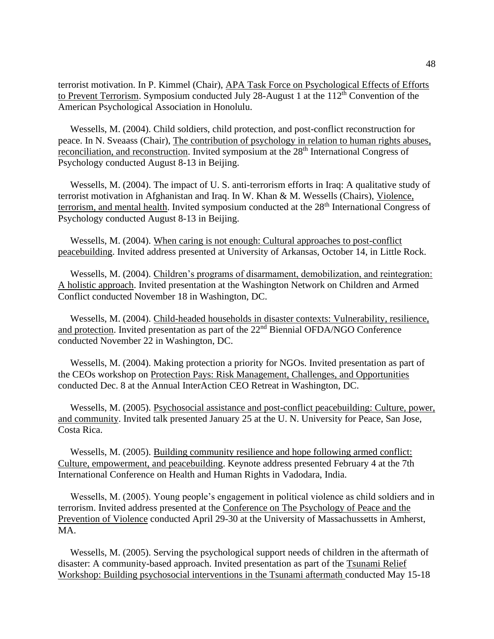terrorist motivation. In P. Kimmel (Chair), APA Task Force on Psychological Effects of Efforts to Prevent Terrorism. Symposium conducted July 28-August 1 at the  $112<sup>th</sup>$  Convention of the American Psychological Association in Honolulu.

 Wessells, M. (2004). Child soldiers, child protection, and post-conflict reconstruction for peace. In N. Sveaass (Chair), The contribution of psychology in relation to human rights abuses, reconciliation, and reconstruction. Invited symposium at the 28<sup>th</sup> International Congress of Psychology conducted August 8-13 in Beijing.

 Wessells, M. (2004). The impact of U. S. anti-terrorism efforts in Iraq: A qualitative study of terrorist motivation in Afghanistan and Iraq. In W. Khan & M. Wessells (Chairs), Violence, terrorism, and mental health. Invited symposium conducted at the 28<sup>th</sup> International Congress of Psychology conducted August 8-13 in Beijing.

 Wessells, M. (2004). When caring is not enough: Cultural approaches to post-conflict peacebuilding. Invited address presented at University of Arkansas, October 14, in Little Rock.

 Wessells, M. (2004). Children's programs of disarmament, demobilization, and reintegration: A holistic approach. Invited presentation at the Washington Network on Children and Armed Conflict conducted November 18 in Washington, DC.

 Wessells, M. (2004). Child-headed households in disaster contexts: Vulnerability, resilience, and protection. Invited presentation as part of the 22nd Biennial OFDA/NGO Conference conducted November 22 in Washington, DC.

 Wessells, M. (2004). Making protection a priority for NGOs. Invited presentation as part of the CEOs workshop on Protection Pays: Risk Management, Challenges, and Opportunities conducted Dec. 8 at the Annual InterAction CEO Retreat in Washington, DC.

 Wessells, M. (2005). Psychosocial assistance and post-conflict peacebuilding: Culture, power, and community. Invited talk presented January 25 at the U. N. University for Peace, San Jose, Costa Rica.

 Wessells, M. (2005). Building community resilience and hope following armed conflict: Culture, empowerment, and peacebuilding. Keynote address presented February 4 at the 7th International Conference on Health and Human Rights in Vadodara, India.

 Wessells, M. (2005). Young people's engagement in political violence as child soldiers and in terrorism. Invited address presented at the Conference on The Psychology of Peace and the Prevention of Violence conducted April 29-30 at the University of Massachussetts in Amherst, MA.

 Wessells, M. (2005). Serving the psychological support needs of children in the aftermath of disaster: A community-based approach. Invited presentation as part of the Tsunami Relief Workshop: Building psychosocial interventions in the Tsunami aftermath conducted May 15-18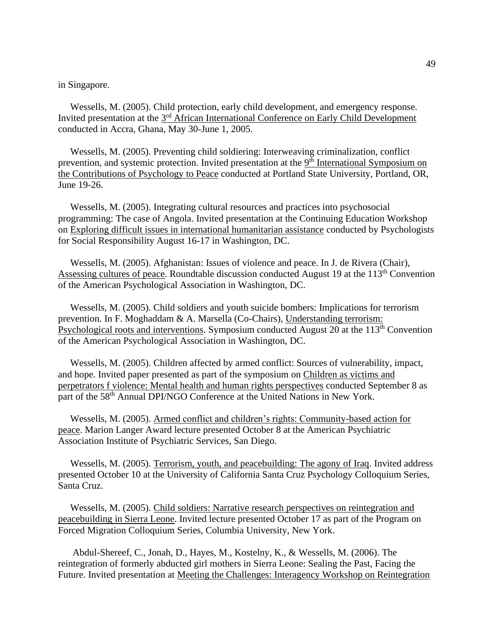in Singapore.

 Wessells, M. (2005). Child protection, early child development, and emergency response. Invited presentation at the 3<sup>rd</sup> African International Conference on Early Child Development conducted in Accra, Ghana, May 30-June 1, 2005.

 Wessells, M. (2005). Preventing child soldiering: Interweaving criminalization, conflict prevention, and systemic protection. Invited presentation at the <sup>9th</sup> International Symposium on the Contributions of Psychology to Peace conducted at Portland State University, Portland, OR, June 19-26.

 Wessells, M. (2005). Integrating cultural resources and practices into psychosocial programming: The case of Angola. Invited presentation at the Continuing Education Workshop on Exploring difficult issues in international humanitarian assistance conducted by Psychologists for Social Responsibility August 16-17 in Washington, DC.

 Wessells, M. (2005). Afghanistan: Issues of violence and peace. In J. de Rivera (Chair), Assessing cultures of peace. Roundtable discussion conducted August 19 at the 113<sup>th</sup> Convention of the American Psychological Association in Washington, DC.

 Wessells, M. (2005). Child soldiers and youth suicide bombers: Implications for terrorism prevention. In F. Moghaddam & A. Marsella (Co-Chairs), Understanding terrorism: Psychological roots and interventions. Symposium conducted August 20 at the 113<sup>th</sup> Convention of the American Psychological Association in Washington, DC.

 Wessells, M. (2005). Children affected by armed conflict: Sources of vulnerability, impact, and hope. Invited paper presented as part of the symposium on Children as victims and perpetrators f violence: Mental health and human rights perspectives conducted September 8 as part of the 58<sup>th</sup> Annual DPI/NGO Conference at the United Nations in New York.

 Wessells, M. (2005). Armed conflict and children's rights: Community-based action for peace. Marion Langer Award lecture presented October 8 at the American Psychiatric Association Institute of Psychiatric Services, San Diego.

 Wessells, M. (2005). Terrorism, youth, and peacebuilding: The agony of Iraq. Invited address presented October 10 at the University of California Santa Cruz Psychology Colloquium Series, Santa Cruz.

 Wessells, M. (2005). Child soldiers: Narrative research perspectives on reintegration and peacebuilding in Sierra Leone. Invited lecture presented October 17 as part of the Program on Forced Migration Colloquium Series, Columbia University, New York.

 Abdul-Shereef, C., Jonah, D., Hayes, M., Kostelny, K., & Wessells, M. (2006). The reintegration of formerly abducted girl mothers in Sierra Leone: Sealing the Past, Facing the Future. Invited presentation at Meeting the Challenges: Interagency Workshop on Reintegration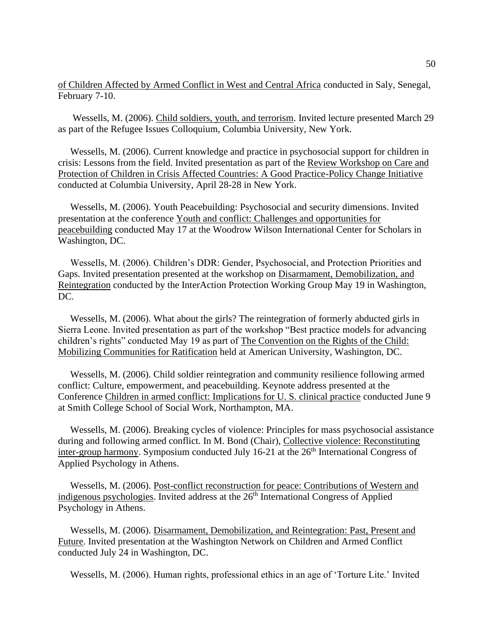of Children Affected by Armed Conflict in West and Central Africa conducted in Saly, Senegal, February 7-10.

 Wessells, M. (2006). Child soldiers, youth, and terrorism. Invited lecture presented March 29 as part of the Refugee Issues Colloquium, Columbia University, New York.

 Wessells, M. (2006). Current knowledge and practice in psychosocial support for children in crisis: Lessons from the field. Invited presentation as part of the Review Workshop on Care and Protection of Children in Crisis Affected Countries: A Good Practice-Policy Change Initiative conducted at Columbia University, April 28-28 in New York.

 Wessells, M. (2006). Youth Peacebuilding: Psychosocial and security dimensions. Invited presentation at the conference Youth and conflict: Challenges and opportunities for peacebuilding conducted May 17 at the Woodrow Wilson International Center for Scholars in Washington, DC.

 Wessells, M. (2006). Children's DDR: Gender, Psychosocial, and Protection Priorities and Gaps. Invited presentation presented at the workshop on Disarmament, Demobilization, and Reintegration conducted by the InterAction Protection Working Group May 19 in Washington, DC.

 Wessells, M. (2006). What about the girls? The reintegration of formerly abducted girls in Sierra Leone. Invited presentation as part of the workshop "Best practice models for advancing children's rights" conducted May 19 as part of The Convention on the Rights of the Child: Mobilizing Communities for Ratification held at American University, Washington, DC.

 Wessells, M. (2006). Child soldier reintegration and community resilience following armed conflict: Culture, empowerment, and peacebuilding. Keynote address presented at the Conference Children in armed conflict: Implications for U. S. clinical practice conducted June 9 at Smith College School of Social Work, Northampton, MA.

 Wessells, M. (2006). Breaking cycles of violence: Principles for mass psychosocial assistance during and following armed conflict. In M. Bond (Chair), Collective violence: Reconstituting inter-group harmony. Symposium conducted July 16-21 at the  $26<sup>th</sup>$  International Congress of Applied Psychology in Athens.

 Wessells, M. (2006). Post-conflict reconstruction for peace: Contributions of Western and indigenous psychologies. Invited address at the 26<sup>th</sup> International Congress of Applied Psychology in Athens.

 Wessells, M. (2006). Disarmament, Demobilization, and Reintegration: Past, Present and Future. Invited presentation at the Washington Network on Children and Armed Conflict conducted July 24 in Washington, DC.

Wessells, M. (2006). Human rights, professional ethics in an age of 'Torture Lite.' Invited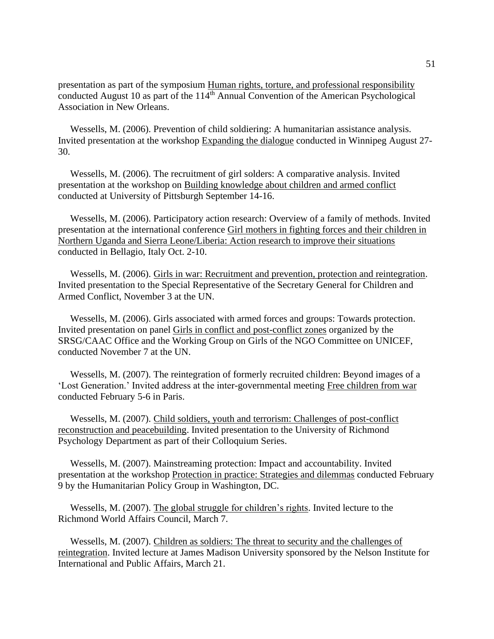presentation as part of the symposium Human rights, torture, and professional responsibility conducted August 10 as part of the  $114<sup>th</sup>$  Annual Convention of the American Psychological Association in New Orleans.

 Wessells, M. (2006). Prevention of child soldiering: A humanitarian assistance analysis. Invited presentation at the workshop Expanding the dialogue conducted in Winnipeg August 27- 30.

 Wessells, M. (2006). The recruitment of girl solders: A comparative analysis. Invited presentation at the workshop on Building knowledge about children and armed conflict conducted at University of Pittsburgh September 14-16.

 Wessells, M. (2006). Participatory action research: Overview of a family of methods. Invited presentation at the international conference Girl mothers in fighting forces and their children in Northern Uganda and Sierra Leone/Liberia: Action research to improve their situations conducted in Bellagio, Italy Oct. 2-10.

 Wessells, M. (2006). Girls in war: Recruitment and prevention, protection and reintegration. Invited presentation to the Special Representative of the Secretary General for Children and Armed Conflict, November 3 at the UN.

 Wessells, M. (2006). Girls associated with armed forces and groups: Towards protection. Invited presentation on panel Girls in conflict and post-conflict zones organized by the SRSG/CAAC Office and the Working Group on Girls of the NGO Committee on UNICEF, conducted November 7 at the UN.

 Wessells, M. (2007). The reintegration of formerly recruited children: Beyond images of a 'Lost Generation.' Invited address at the inter-governmental meeting Free children from war conducted February 5-6 in Paris.

 Wessells, M. (2007). Child soldiers, youth and terrorism: Challenges of post-conflict reconstruction and peacebuilding. Invited presentation to the University of Richmond Psychology Department as part of their Colloquium Series.

 Wessells, M. (2007). Mainstreaming protection: Impact and accountability. Invited presentation at the workshop Protection in practice: Strategies and dilemmas conducted February 9 by the Humanitarian Policy Group in Washington, DC.

 Wessells, M. (2007). The global struggle for children's rights. Invited lecture to the Richmond World Affairs Council, March 7.

 Wessells, M. (2007). Children as soldiers: The threat to security and the challenges of reintegration. Invited lecture at James Madison University sponsored by the Nelson Institute for International and Public Affairs, March 21.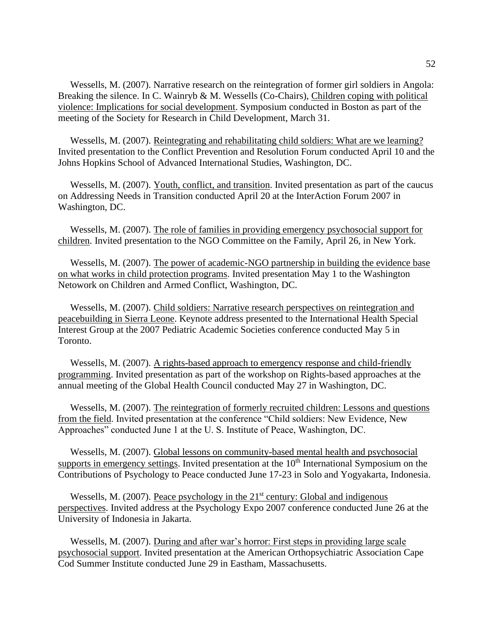Wessells, M. (2007). Narrative research on the reintegration of former girl soldiers in Angola: Breaking the silence. In C. Wainryb & M. Wessells (Co-Chairs), Children coping with political violence: Implications for social development. Symposium conducted in Boston as part of the meeting of the Society for Research in Child Development, March 31.

 Wessells, M. (2007). Reintegrating and rehabilitating child soldiers: What are we learning? Invited presentation to the Conflict Prevention and Resolution Forum conducted April 10 and the Johns Hopkins School of Advanced International Studies, Washington, DC.

 Wessells, M. (2007). Youth, conflict, and transition. Invited presentation as part of the caucus on Addressing Needs in Transition conducted April 20 at the InterAction Forum 2007 in Washington, DC.

 Wessells, M. (2007). The role of families in providing emergency psychosocial support for children. Invited presentation to the NGO Committee on the Family, April 26, in New York.

 Wessells, M. (2007). The power of academic-NGO partnership in building the evidence base on what works in child protection programs. Invited presentation May 1 to the Washington Netowork on Children and Armed Conflict, Washington, DC.

 Wessells, M. (2007). Child soldiers: Narrative research perspectives on reintegration and peacebuilding in Sierra Leone. Keynote address presented to the International Health Special Interest Group at the 2007 Pediatric Academic Societies conference conducted May 5 in Toronto.

 Wessells, M. (2007). A rights-based approach to emergency response and child-friendly programming. Invited presentation as part of the workshop on Rights-based approaches at the annual meeting of the Global Health Council conducted May 27 in Washington, DC.

 Wessells, M. (2007). The reintegration of formerly recruited children: Lessons and questions from the field. Invited presentation at the conference "Child soldiers: New Evidence, New Approaches" conducted June 1 at the U. S. Institute of Peace, Washington, DC.

 Wessells, M. (2007). Global lessons on community-based mental health and psychosocial supports in emergency settings. Invited presentation at the  $10<sup>th</sup>$  International Symposium on the Contributions of Psychology to Peace conducted June 17-23 in Solo and Yogyakarta, Indonesia.

Wessells, M. (2007). Peace psychology in the  $21<sup>st</sup>$  century: Global and indigenous perspectives. Invited address at the Psychology Expo 2007 conference conducted June 26 at the University of Indonesia in Jakarta.

 Wessells, M. (2007). During and after war's horror: First steps in providing large scale psychosocial support. Invited presentation at the American Orthopsychiatric Association Cape Cod Summer Institute conducted June 29 in Eastham, Massachusetts.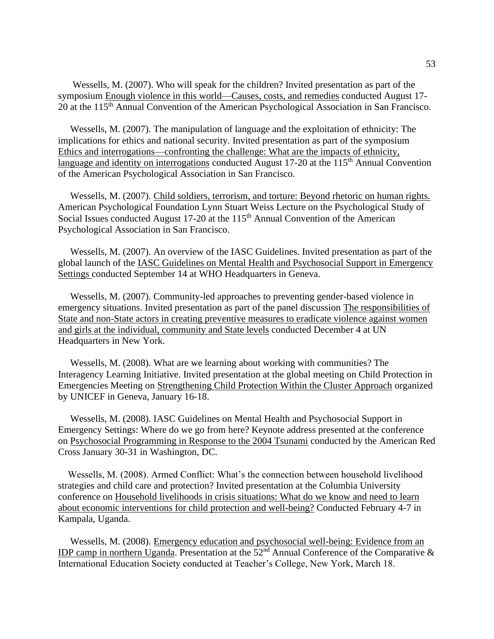Wessells, M. (2007). Who will speak for the children? Invited presentation as part of the symposium Enough violence in this world—Causes, costs, and remedies conducted August 17- 20 at the 115<sup>th</sup> Annual Convention of the American Psychological Association in San Francisco.

 Wessells, M. (2007). The manipulation of language and the exploitation of ethnicity: The implications for ethics and national security. Invited presentation as part of the symposium Ethics and interrogations—confronting the challenge: What are the impacts of ethnicity, language and identity on interrogations conducted August  $17-20$  at the  $115<sup>th</sup>$  Annual Convention of the American Psychological Association in San Francisco.

 Wessells, M. (2007). Child soldiers, terrorism, and torture: Beyond rhetoric on human rights. American Psychological Foundation Lynn Stuart Weiss Lecture on the Psychological Study of Social Issues conducted August 17-20 at the  $115<sup>th</sup>$  Annual Convention of the American Psychological Association in San Francisco.

 Wessells, M. (2007). An overview of the IASC Guidelines. Invited presentation as part of the global launch of the IASC Guidelines on Mental Health and Psychosocial Support in Emergency Settings conducted September 14 at WHO Headquarters in Geneva.

 Wessells, M. (2007). Community-led approaches to preventing gender-based violence in emergency situations. Invited presentation as part of the panel discussion The responsibilities of State and non-State actors in creating preventive measures to eradicate violence against women and girls at the individual, community and State levels conducted December 4 at UN Headquarters in New York.

 Wessells, M. (2008). What are we learning about working with communities? The Interagency Learning Initiative. Invited presentation at the global meeting on Child Protection in Emergencies Meeting on Strengthening Child Protection Within the Cluster Approach organized by UNICEF in Geneva, January 16-18.

 Wessells, M. (2008). IASC Guidelines on Mental Health and Psychosocial Support in Emergency Settings: Where do we go from here? Keynote address presented at the conference on Psychosocial Programming in Response to the 2004 Tsunami conducted by the American Red Cross January 30-31 in Washington, DC.

 Wessells, M. (2008). Armed Conflict: What's the connection between household livelihood strategies and child care and protection? Invited presentation at the Columbia University conference on Household livelihoods in crisis situations: What do we know and need to learn about economic interventions for child protection and well-being? Conducted February 4-7 in Kampala, Uganda.

 Wessells, M. (2008). Emergency education and psychosocial well-being: Evidence from an IDP camp in northern Uganda. Presentation at the 52nd Annual Conference of the Comparative & International Education Society conducted at Teacher's College, New York, March 18.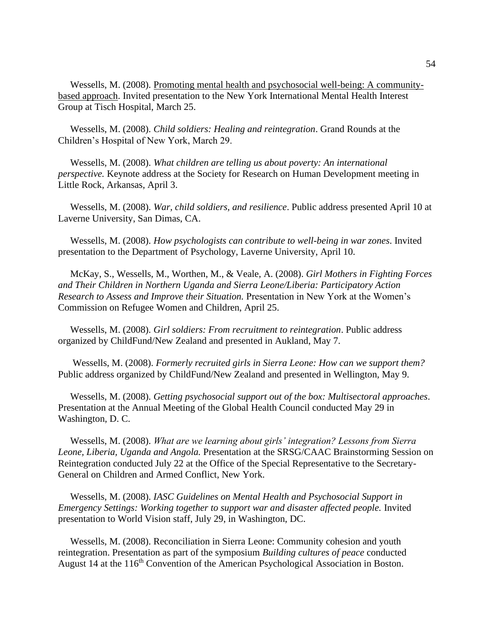Wessells, M. (2008). Promoting mental health and psychosocial well-being: A communitybased approach. Invited presentation to the New York International Mental Health Interest Group at Tisch Hospital, March 25.

 Wessells, M. (2008). *Child soldiers: Healing and reintegration*. Grand Rounds at the Children's Hospital of New York, March 29.

 Wessells, M. (2008). *What children are telling us about poverty: An international perspective.* Keynote address at the Society for Research on Human Development meeting in Little Rock, Arkansas, April 3.

 Wessells, M. (2008). *War, child soldiers, and resilience*. Public address presented April 10 at Laverne University, San Dimas, CA.

 Wessells, M. (2008). *How psychologists can contribute to well-being in war zones*. Invited presentation to the Department of Psychology, Laverne University, April 10.

 McKay, S., Wessells, M., Worthen, M., & Veale, A. (2008). *Girl Mothers in Fighting Forces and Their Children in Northern Uganda and Sierra Leone/Liberia: Participatory Action Research to Assess and Improve their Situation.* Presentation in New York at the Women's Commission on Refugee Women and Children, April 25.

 Wessells, M. (2008). *Girl soldiers: From recruitment to reintegration*. Public address organized by ChildFund/New Zealand and presented in Aukland, May 7.

 Wessells, M. (2008). *Formerly recruited girls in Sierra Leone: How can we support them?*  Public address organized by ChildFund/New Zealand and presented in Wellington, May 9.

 Wessells, M. (2008). *Getting psychosocial support out of the box: Multisectoral approaches*. Presentation at the Annual Meeting of the Global Health Council conducted May 29 in Washington, D. C.

 Wessells, M. (2008). *What are we learning about girls' integration? Lessons from Sierra Leone, Liberia, Uganda and Angola.* Presentation at the SRSG/CAAC Brainstorming Session on Reintegration conducted July 22 at the Office of the Special Representative to the Secretary-General on Children and Armed Conflict, New York.

 Wessells, M. (2008). *IASC Guidelines on Mental Health and Psychosocial Support in Emergency Settings: Working together to support war and disaster affected people.* Invited presentation to World Vision staff, July 29, in Washington, DC.

 Wessells, M. (2008). Reconciliation in Sierra Leone: Community cohesion and youth reintegration. Presentation as part of the symposium *Building cultures of peace* conducted August 14 at the 116<sup>th</sup> Convention of the American Psychological Association in Boston.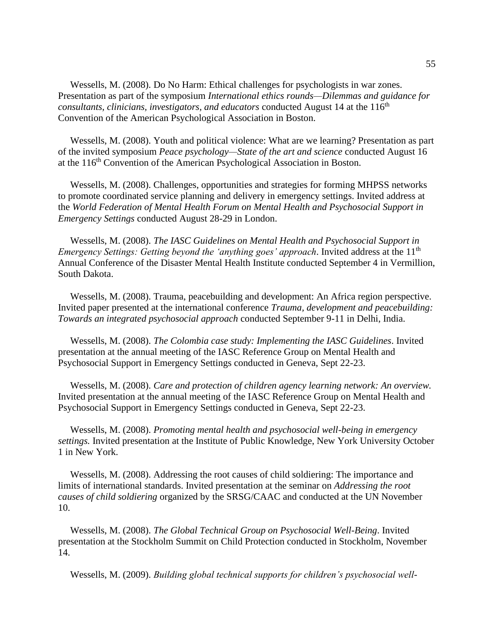Wessells, M. (2008). Do No Harm: Ethical challenges for psychologists in war zones. Presentation as part of the symposium *International ethics rounds—Dilemmas and guidance for consultants, clinicians, investigators, and educators* conducted August 14 at the 116<sup>th</sup> Convention of the American Psychological Association in Boston.

 Wessells, M. (2008). Youth and political violence: What are we learning? Presentation as part of the invited symposium *Peace psychology—State of the art and science* conducted August 16 at the 116<sup>th</sup> Convention of the American Psychological Association in Boston.

 Wessells, M. (2008). Challenges, opportunities and strategies for forming MHPSS networks to promote coordinated service planning and delivery in emergency settings. Invited address at the *World Federation of Mental Health Forum on Mental Health and Psychosocial Support in Emergency Settings* conducted August 28-29 in London.

 Wessells, M. (2008). *The IASC Guidelines on Mental Health and Psychosocial Support in Emergency Settings: Getting beyond the 'anything goes' approach.* Invited address at the 11<sup>th</sup> Annual Conference of the Disaster Mental Health Institute conducted September 4 in Vermillion, South Dakota.

 Wessells, M. (2008). Trauma, peacebuilding and development: An Africa region perspective. Invited paper presented at the international conference *Trauma, development and peacebuilding: Towards an integrated psychosocial approach* conducted September 9-11 in Delhi, India.

 Wessells, M. (2008). *The Colombia case study: Implementing the IASC Guidelines*. Invited presentation at the annual meeting of the IASC Reference Group on Mental Health and Psychosocial Support in Emergency Settings conducted in Geneva, Sept 22-23.

 Wessells, M. (2008). *Care and protection of children agency learning network: An overview.* Invited presentation at the annual meeting of the IASC Reference Group on Mental Health and Psychosocial Support in Emergency Settings conducted in Geneva, Sept 22-23.

 Wessells, M. (2008). *Promoting mental health and psychosocial well-being in emergency settings.* Invited presentation at the Institute of Public Knowledge, New York University October 1 in New York.

 Wessells, M. (2008). Addressing the root causes of child soldiering: The importance and limits of international standards. Invited presentation at the seminar on *Addressing the root causes of child soldiering* organized by the SRSG/CAAC and conducted at the UN November 10.

 Wessells, M. (2008). *The Global Technical Group on Psychosocial Well-Being*. Invited presentation at the Stockholm Summit on Child Protection conducted in Stockholm, November 14.

Wessells, M. (2009). *Building global technical supports for children's psychosocial well-*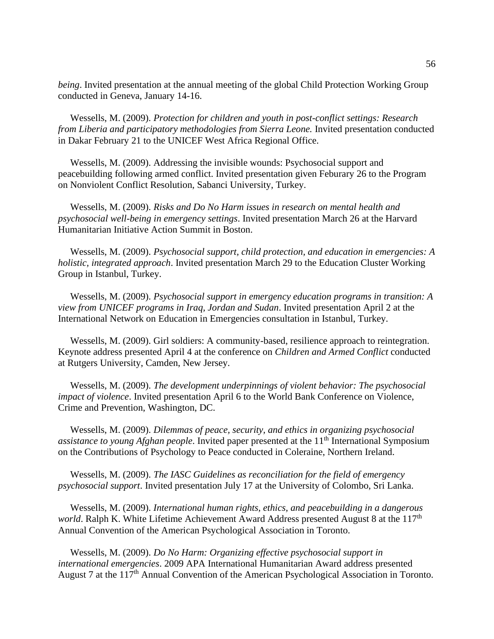*being*. Invited presentation at the annual meeting of the global Child Protection Working Group conducted in Geneva, January 14-16.

 Wessells, M. (2009). *Protection for children and youth in post-conflict settings: Research from Liberia and participatory methodologies from Sierra Leone.* Invited presentation conducted in Dakar February 21 to the UNICEF West Africa Regional Office.

 Wessells, M. (2009). Addressing the invisible wounds: Psychosocial support and peacebuilding following armed conflict. Invited presentation given Feburary 26 to the Program on Nonviolent Conflict Resolution, Sabanci University, Turkey.

 Wessells, M. (2009). *Risks and Do No Harm issues in research on mental health and psychosocial well-being in emergency settings*. Invited presentation March 26 at the Harvard Humanitarian Initiative Action Summit in Boston.

 Wessells, M. (2009). *Psychosocial support, child protection, and education in emergencies: A holistic, integrated approach*. Invited presentation March 29 to the Education Cluster Working Group in Istanbul, Turkey.

 Wessells, M. (2009). *Psychosocial support in emergency education programs in transition: A view from UNICEF programs in Iraq, Jordan and Sudan*. Invited presentation April 2 at the International Network on Education in Emergencies consultation in Istanbul, Turkey.

 Wessells, M. (2009). Girl soldiers: A community-based, resilience approach to reintegration. Keynote address presented April 4 at the conference on *Children and Armed Conflict* conducted at Rutgers University, Camden, New Jersey.

 Wessells, M. (2009). *The development underpinnings of violent behavior: The psychosocial impact of violence*. Invited presentation April 6 to the World Bank Conference on Violence, Crime and Prevention, Washington, DC.

 Wessells, M. (2009). *Dilemmas of peace, security, and ethics in organizing psychosocial assistance to young Afghan people*. Invited paper presented at the 11<sup>th</sup> International Symposium on the Contributions of Psychology to Peace conducted in Coleraine, Northern Ireland.

 Wessells, M. (2009). *The IASC Guidelines as reconciliation for the field of emergency psychosocial support*. Invited presentation July 17 at the University of Colombo, Sri Lanka.

 Wessells, M. (2009). *International human rights, ethics, and peacebuilding in a dangerous world*. Ralph K. White Lifetime Achievement Award Address presented August 8 at the 117<sup>th</sup> Annual Convention of the American Psychological Association in Toronto.

 Wessells, M. (2009). *Do No Harm: Organizing effective psychosocial support in international emergencies*. 2009 APA International Humanitarian Award address presented August 7 at the 117<sup>th</sup> Annual Convention of the American Psychological Association in Toronto.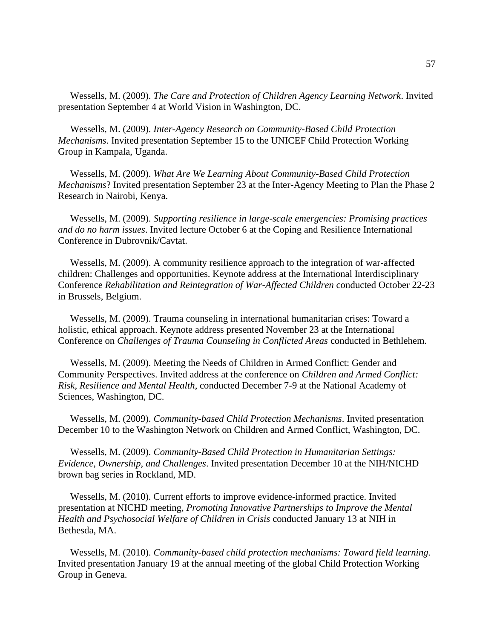Wessells, M. (2009). *The Care and Protection of Children Agency Learning Network*. Invited presentation September 4 at World Vision in Washington, DC.

 Wessells, M. (2009). *Inter-Agency Research on Community-Based Child Protection Mechanisms*. Invited presentation September 15 to the UNICEF Child Protection Working Group in Kampala, Uganda.

 Wessells, M. (2009). *What Are We Learning About Community-Based Child Protection Mechanisms*? Invited presentation September 23 at the Inter-Agency Meeting to Plan the Phase 2 Research in Nairobi, Kenya.

 Wessells, M. (2009). *Supporting resilience in large-scale emergencies: Promising practices and do no harm issues*. Invited lecture October 6 at the Coping and Resilience International Conference in Dubrovnik/Cavtat.

 Wessells, M. (2009). A community resilience approach to the integration of war-affected children: Challenges and opportunities. Keynote address at the International Interdisciplinary Conference *Rehabilitation and Reintegration of War-Affected Children* conducted October 22-23 in Brussels, Belgium.

 Wessells, M. (2009). Trauma counseling in international humanitarian crises: Toward a holistic, ethical approach. Keynote address presented November 23 at the International Conference on *Challenges of Trauma Counseling in Conflicted Areas* conducted in Bethlehem.

 Wessells, M. (2009). Meeting the Needs of Children in Armed Conflict: Gender and Community Perspectives. Invited address at the conference on *Children and Armed Conflict: Risk, Resilience and Mental Health*, conducted December 7-9 at the National Academy of Sciences, Washington, DC.

 Wessells, M. (2009). *Community-based Child Protection Mechanisms*. Invited presentation December 10 to the Washington Network on Children and Armed Conflict, Washington, DC.

 Wessells, M. (2009). *Community-Based Child Protection in Humanitarian Settings: Evidence, Ownership, and Challenges*. Invited presentation December 10 at the NIH/NICHD brown bag series in Rockland, MD.

 Wessells, M. (2010). Current efforts to improve evidence-informed practice. Invited presentation at NICHD meeting, *Promoting Innovative Partnerships to Improve the Mental Health and Psychosocial Welfare of Children in Crisis* conducted January 13 at NIH in Bethesda, MA.

 Wessells, M. (2010). *Community-based child protection mechanisms: Toward field learning.* Invited presentation January 19 at the annual meeting of the global Child Protection Working Group in Geneva.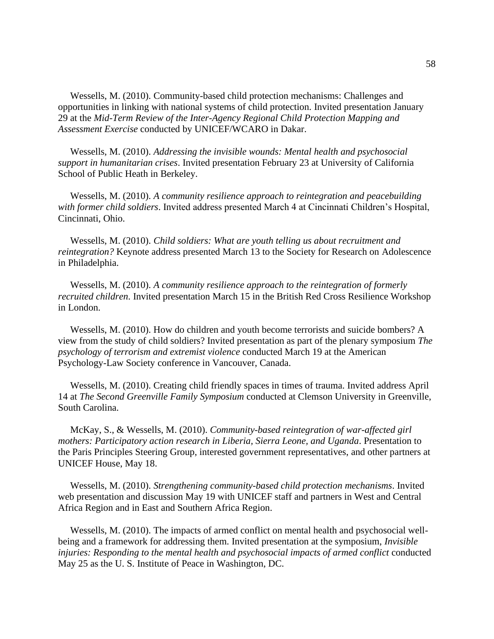Wessells, M. (2010). Community-based child protection mechanisms: Challenges and opportunities in linking with national systems of child protection. Invited presentation January 29 at the *Mid-Term Review of the Inter-Agency Regional Child Protection Mapping and Assessment Exercise* conducted by UNICEF/WCARO in Dakar.

 Wessells, M. (2010). *Addressing the invisible wounds: Mental health and psychosocial support in humanitarian crises*. Invited presentation February 23 at University of California School of Public Heath in Berkeley.

 Wessells, M. (2010). *A community resilience approach to reintegration and peacebuilding with former child soldiers*. Invited address presented March 4 at Cincinnati Children's Hospital, Cincinnati, Ohio.

 Wessells, M. (2010). *Child soldiers: What are youth telling us about recruitment and reintegration?* Keynote address presented March 13 to the Society for Research on Adolescence in Philadelphia.

 Wessells, M. (2010). *A community resilience approach to the reintegration of formerly recruited children*. Invited presentation March 15 in the British Red Cross Resilience Workshop in London.

 Wessells, M. (2010). How do children and youth become terrorists and suicide bombers? A view from the study of child soldiers? Invited presentation as part of the plenary symposium *The psychology of terrorism and extremist violence* conducted March 19 at the American Psychology-Law Society conference in Vancouver, Canada.

 Wessells, M. (2010). Creating child friendly spaces in times of trauma. Invited address April 14 at *The Second Greenville Family Symposium* conducted at Clemson University in Greenville, South Carolina.

 McKay, S., & Wessells, M. (2010). *Community-based reintegration of war-affected girl mothers: Participatory action research in Liberia, Sierra Leone, and Uganda*. Presentation to the Paris Principles Steering Group, interested government representatives, and other partners at UNICEF House, May 18.

 Wessells, M. (2010). *Strengthening community-based child protection mechanisms*. Invited web presentation and discussion May 19 with UNICEF staff and partners in West and Central Africa Region and in East and Southern Africa Region.

 Wessells, M. (2010). The impacts of armed conflict on mental health and psychosocial wellbeing and a framework for addressing them. Invited presentation at the symposium, *Invisible injuries: Responding to the mental health and psychosocial impacts of armed conflict* conducted May 25 as the U. S. Institute of Peace in Washington, DC.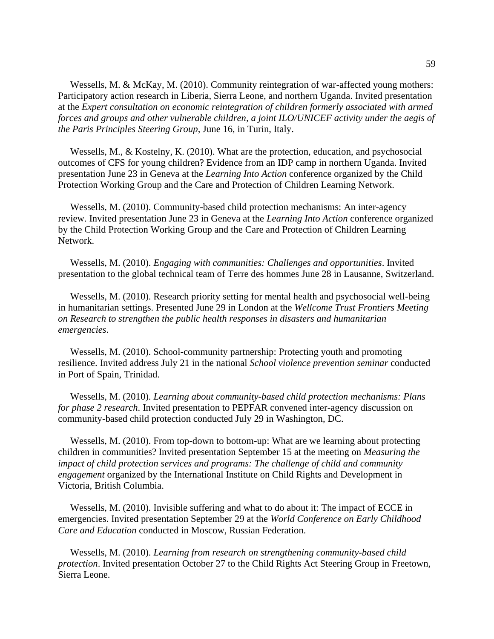Wessells, M. & McKay, M. (2010). Community reintegration of war-affected young mothers: Participatory action research in Liberia, Sierra Leone, and northern Uganda. Invited presentation at the *Expert consultation on economic reintegration of children formerly associated with armed forces and groups and other vulnerable children, a joint ILO/UNICEF activity under the aegis of the Paris Principles Steering Group*, June 16, in Turin, Italy.

 Wessells, M., & Kostelny, K. (2010). What are the protection, education, and psychosocial outcomes of CFS for young children? Evidence from an IDP camp in northern Uganda. Invited presentation June 23 in Geneva at the *Learning Into Action* conference organized by the Child Protection Working Group and the Care and Protection of Children Learning Network.

 Wessells, M. (2010). Community-based child protection mechanisms: An inter-agency review. Invited presentation June 23 in Geneva at the *Learning Into Action* conference organized by the Child Protection Working Group and the Care and Protection of Children Learning Network.

 Wessells, M. (2010). *Engaging with communities: Challenges and opportunities*. Invited presentation to the global technical team of Terre des hommes June 28 in Lausanne, Switzerland.

 Wessells, M. (2010). Research priority setting for mental health and psychosocial well-being in humanitarian settings. Presented June 29 in London at the *Wellcome Trust Frontiers Meeting on Research to strengthen the public health responses in disasters and humanitarian emergencies*.

 Wessells, M. (2010). School-community partnership: Protecting youth and promoting resilience. Invited address July 21 in the national *School violence prevention seminar* conducted in Port of Spain, Trinidad.

 Wessells, M. (2010). *Learning about community-based child protection mechanisms: Plans for phase 2 research*. Invited presentation to PEPFAR convened inter-agency discussion on community-based child protection conducted July 29 in Washington, DC.

 Wessells, M. (2010). From top-down to bottom-up: What are we learning about protecting children in communities? Invited presentation September 15 at the meeting on *Measuring the impact of child protection services and programs: The challenge of child and community engagement* organized by the International Institute on Child Rights and Development in Victoria, British Columbia.

 Wessells, M. (2010). Invisible suffering and what to do about it: The impact of ECCE in emergencies. Invited presentation September 29 at the *World Conference on Early Childhood Care and Education* conducted in Moscow, Russian Federation.

 Wessells, M. (2010). *Learning from research on strengthening community-based child protection*. Invited presentation October 27 to the Child Rights Act Steering Group in Freetown, Sierra Leone.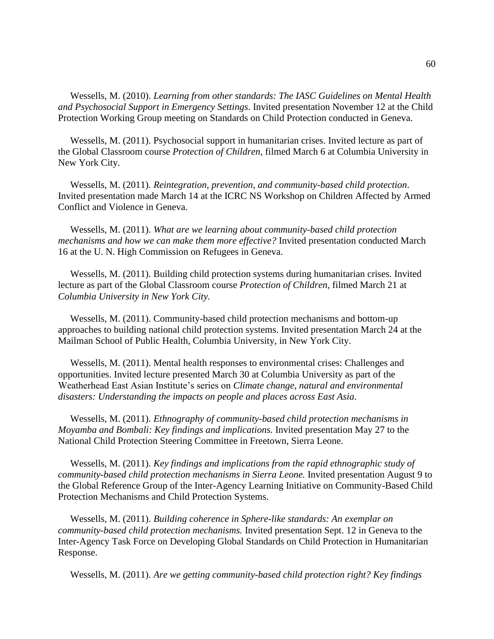Wessells, M. (2010). *Learning from other standards: The IASC Guidelines on Mental Health and Psychosocial Support in Emergency Settings*. Invited presentation November 12 at the Child Protection Working Group meeting on Standards on Child Protection conducted in Geneva.

 Wessells, M. (2011). Psychosocial support in humanitarian crises. Invited lecture as part of the Global Classroom course *Protection of Children*, filmed March 6 at Columbia University in New York City.

 Wessells, M. (2011). *Reintegration, prevention, and community-based child protection*. Invited presentation made March 14 at the ICRC NS Workshop on Children Affected by Armed Conflict and Violence in Geneva.

 Wessells, M. (2011). *What are we learning about community-based child protection mechanisms and how we can make them more effective?* Invited presentation conducted March 16 at the U. N. High Commission on Refugees in Geneva.

 Wessells, M. (2011). Building child protection systems during humanitarian crises. Invited lecture as part of the Global Classroom course *Protection of Children*, filmed March 21 at *Columbia University in New York City.*

 Wessells, M. (2011). Community-based child protection mechanisms and bottom-up approaches to building national child protection systems. Invited presentation March 24 at the Mailman School of Public Health, Columbia University, in New York City.

 Wessells, M. (2011). Mental health responses to environmental crises: Challenges and opportunities. Invited lecture presented March 30 at Columbia University as part of the Weatherhead East Asian Institute's series on *Climate change, natural and environmental disasters: Understanding the impacts on people and places across East Asia*.

 Wessells, M. (2011). *Ethnography of community-based child protection mechanisms in Moyamba and Bombali: Key findings and implications.* Invited presentation May 27 to the National Child Protection Steering Committee in Freetown, Sierra Leone.

 Wessells, M. (2011). *Key findings and implications from the rapid ethnographic study of community-based child protection mechanisms in Sierra Leone.* Invited presentation August 9 to the Global Reference Group of the Inter-Agency Learning Initiative on Community-Based Child Protection Mechanisms and Child Protection Systems.

 Wessells, M. (2011). *Building coherence in Sphere-like standards: An exemplar on community-based child protection mechanisms.* Invited presentation Sept. 12 in Geneva to the Inter-Agency Task Force on Developing Global Standards on Child Protection in Humanitarian Response.

Wessells, M. (2011). *Are we getting community-based child protection right? Key findings*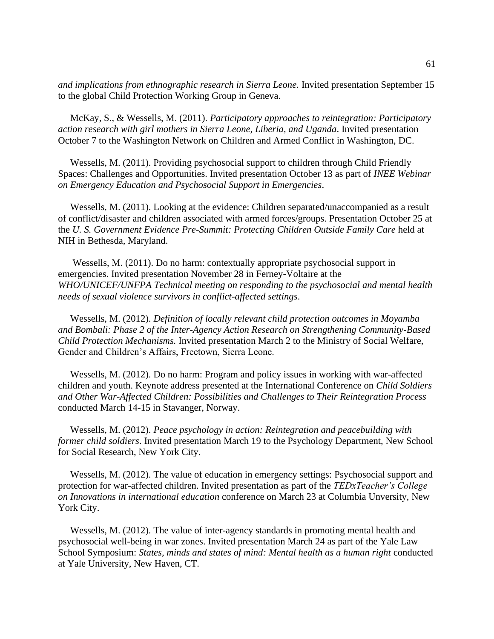*and implications from ethnographic research in Sierra Leone.* Invited presentation September 15 to the global Child Protection Working Group in Geneva.

 McKay, S., & Wessells, M. (2011). *Participatory approaches to reintegration: Participatory action research with girl mothers in Sierra Leone, Liberia, and Uganda*. Invited presentation October 7 to the Washington Network on Children and Armed Conflict in Washington, DC.

 Wessells, M. (2011). Providing psychosocial support to children through Child Friendly Spaces: Challenges and Opportunities. Invited presentation October 13 as part of *INEE Webinar on Emergency Education and Psychosocial Support in Emergencies*.

 Wessells, M. (2011). Looking at the evidence: Children separated/unaccompanied as a result of conflict/disaster and children associated with armed forces/groups. Presentation October 25 at the *U. S. Government Evidence Pre-Summit: Protecting Children Outside Family Care* held at NIH in Bethesda, Maryland.

 Wessells, M. (2011). Do no harm: contextually appropriate psychosocial support in emergencies. Invited presentation November 28 in Ferney-Voltaire at the *WHO/UNICEF/UNFPA Technical meeting on responding to the psychosocial and mental health needs of sexual violence survivors in conflict-affected settings*.

 Wessells, M. (2012). *Definition of locally relevant child protection outcomes in Moyamba and Bombali: Phase 2 of the Inter-Agency Action Research on Strengthening Community-Based Child Protection Mechanisms.* Invited presentation March 2 to the Ministry of Social Welfare, Gender and Children's Affairs, Freetown, Sierra Leone.

 Wessells, M. (2012). Do no harm: Program and policy issues in working with war-affected children and youth. Keynote address presented at the International Conference on *Child Soldiers and Other War-Affected Children: Possibilities and Challenges to Their Reintegration Process* conducted March 14-15 in Stavanger, Norway.

 Wessells, M. (2012). *Peace psychology in action: Reintegration and peacebuilding with former child soldiers*. Invited presentation March 19 to the Psychology Department, New School for Social Research, New York City.

 Wessells, M. (2012). The value of education in emergency settings: Psychosocial support and protection for war-affected children. Invited presentation as part of the *TEDxTeacher's College on Innovations in international education* conference on March 23 at Columbia Unversity, New York City.

 Wessells, M. (2012). The value of inter-agency standards in promoting mental health and psychosocial well-being in war zones. Invited presentation March 24 as part of the Yale Law School Symposium: *States, minds and states of mind: Mental health as a human right* conducted at Yale University, New Haven, CT.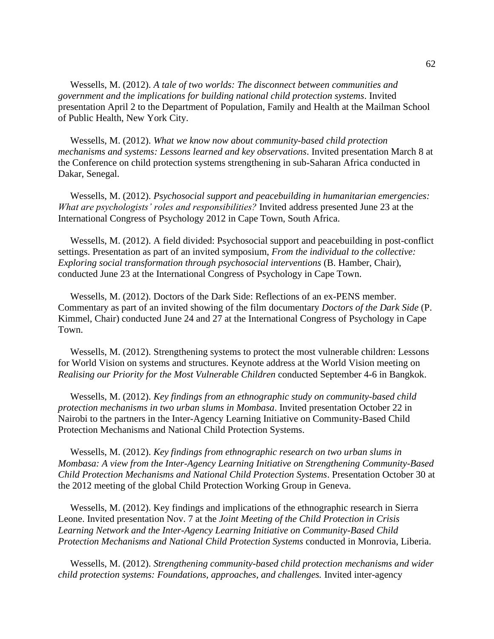Wessells, M. (2012). *A tale of two worlds: The disconnect between communities and government and the implications for building national child protection systems*. Invited presentation April 2 to the Department of Population, Family and Health at the Mailman School of Public Health, New York City.

 Wessells, M. (2012). *What we know now about community-based child protection mechanisms and systems: Lessons learned and key observations*. Invited presentation March 8 at the Conference on child protection systems strengthening in sub-Saharan Africa conducted in Dakar, Senegal.

 Wessells, M. (2012). *Psychosocial support and peacebuilding in humanitarian emergencies: What are psychologists' roles and responsibilities?* Invited address presented June 23 at the International Congress of Psychology 2012 in Cape Town, South Africa.

 Wessells, M. (2012). A field divided: Psychosocial support and peacebuilding in post-conflict settings. Presentation as part of an invited symposium, *From the individual to the collective: Exploring social transformation through psychosocial interventions* (B. Hamber, Chair), conducted June 23 at the International Congress of Psychology in Cape Town.

 Wessells, M. (2012). Doctors of the Dark Side: Reflections of an ex-PENS member. Commentary as part of an invited showing of the film documentary *Doctors of the Dark Side* (P. Kimmel, Chair) conducted June 24 and 27 at the International Congress of Psychology in Cape Town.

 Wessells, M. (2012). Strengthening systems to protect the most vulnerable children: Lessons for World Vision on systems and structures. Keynote address at the World Vision meeting on *Realising our Priority for the Most Vulnerable Children* conducted September 4-6 in Bangkok.

 Wessells, M. (2012). *Key findings from an ethnographic study on community-based child protection mechanisms in two urban slums in Mombasa*. Invited presentation October 22 in Nairobi to the partners in the Inter-Agency Learning Initiative on Community-Based Child Protection Mechanisms and National Child Protection Systems.

 Wessells, M. (2012). *Key findings from ethnographic research on two urban slums in Mombasa: A view from the Inter-Agency Learning Initiative on Strengthening Community-Based Child Protection Mechanisms and National Child Protection Systems*. Presentation October 30 at the 2012 meeting of the global Child Protection Working Group in Geneva.

 Wessells, M. (2012). Key findings and implications of the ethnographic research in Sierra Leone. Invited presentation Nov. 7 at the *Joint Meeting of the Child Protection in Crisis Learning Network and the Inter-Agency Learning Initiative on Community-Based Child Protection Mechanisms and National Child Protection Systems* conducted in Monrovia, Liberia.

 Wessells, M. (2012). *Strengthening community-based child protection mechanisms and wider child protection systems: Foundations, approaches, and challenges.* Invited inter-agency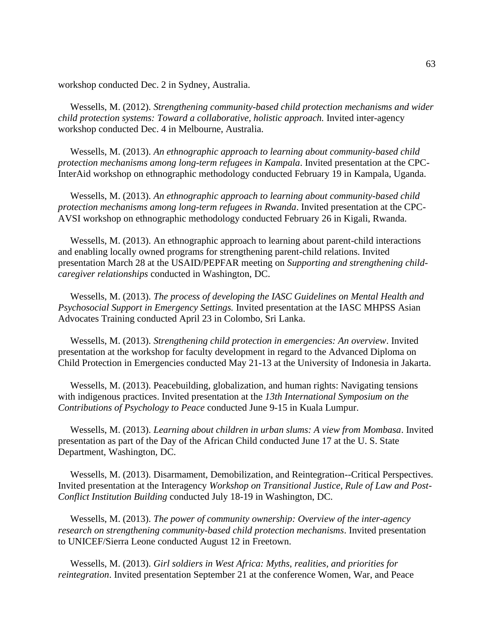workshop conducted Dec. 2 in Sydney, Australia.

 Wessells, M. (2012). *Strengthening community-based child protection mechanisms and wider child protection systems: Toward a collaborative, holistic approach.* Invited inter-agency workshop conducted Dec. 4 in Melbourne, Australia.

 Wessells, M. (2013). *An ethnographic approach to learning about community-based child protection mechanisms among long-term refugees in Kampala*. Invited presentation at the CPC-InterAid workshop on ethnographic methodology conducted February 19 in Kampala, Uganda.

 Wessells, M. (2013). *An ethnographic approach to learning about community-based child protection mechanisms among long-term refugees in Rwanda*. Invited presentation at the CPC-AVSI workshop on ethnographic methodology conducted February 26 in Kigali, Rwanda.

 Wessells, M. (2013). An ethnographic approach to learning about parent-child interactions and enabling locally owned programs for strengthening parent-child relations. Invited presentation March 28 at the USAID/PEPFAR meeting on *Supporting and strengthening childcaregiver relationships* conducted in Washington, DC.

 Wessells, M. (2013). *The process of developing the IASC Guidelines on Mental Health and Psychosocial Support in Emergency Settings.* Invited presentation at the IASC MHPSS Asian Advocates Training conducted April 23 in Colombo, Sri Lanka.

 Wessells, M. (2013). *Strengthening child protection in emergencies: An overview*. Invited presentation at the workshop for faculty development in regard to the Advanced Diploma on Child Protection in Emergencies conducted May 21-13 at the University of Indonesia in Jakarta.

 Wessells, M. (2013). Peacebuilding, globalization, and human rights: Navigating tensions with indigenous practices. Invited presentation at the *13th International Symposium on the Contributions of Psychology to Peace* conducted June 9-15 in Kuala Lumpur.

 Wessells, M. (2013). *Learning about children in urban slums: A view from Mombasa*. Invited presentation as part of the Day of the African Child conducted June 17 at the U. S. State Department, Washington, DC.

 Wessells, M. (2013). Disarmament, Demobilization, and Reintegration--Critical Perspectives. Invited presentation at the Interagency *Workshop on Transitional Justice, Rule of Law and Post-Conflict Institution Building* conducted July 18-19 in Washington, DC.

 Wessells, M. (2013). *The power of community ownership: Overview of the inter-agency research on strengthening community-based child protection mechanisms*. Invited presentation to UNICEF/Sierra Leone conducted August 12 in Freetown.

 Wessells, M. (2013). *Girl soldiers in West Africa: Myths, realities, and priorities for reintegration*. Invited presentation September 21 at the conference Women, War, and Peace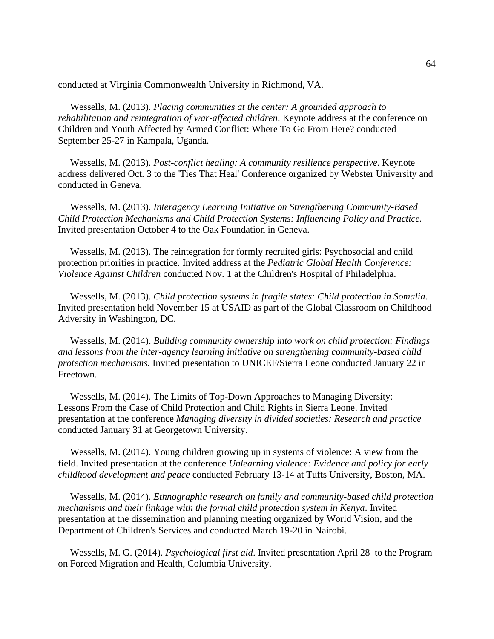conducted at Virginia Commonwealth University in Richmond, VA.

 Wessells, M. (2013). *Placing communities at the center: A grounded approach to rehabilitation and reintegration of war-affected children*. Keynote address at the conference on Children and Youth Affected by Armed Conflict: Where To Go From Here? conducted September 25-27 in Kampala, Uganda.

 Wessells, M. (2013). *Post-conflict healing: A community resilience perspective*. Keynote address delivered Oct. 3 to the 'Ties That Heal' Conference organized by Webster University and conducted in Geneva.

 Wessells, M. (2013). *Interagency Learning Initiative on Strengthening Community-Based Child Protection Mechanisms and Child Protection Systems: Influencing Policy and Practice.* Invited presentation October 4 to the Oak Foundation in Geneva.

 Wessells, M. (2013). The reintegration for formly recruited girls: Psychosocial and child protection priorities in practice. Invited address at the *Pediatric Global Health Conference: Violence Against Children* conducted Nov. 1 at the Children's Hospital of Philadelphia.

 Wessells, M. (2013). *Child protection systems in fragile states: Child protection in Somalia*. Invited presentation held November 15 at USAID as part of the Global Classroom on Childhood Adversity in Washington, DC.

 Wessells, M. (2014). *Building community ownership into work on child protection: Findings and lessons from the inter-agency learning initiative on strengthening community-based child protection mechanisms*. Invited presentation to UNICEF/Sierra Leone conducted January 22 in Freetown.

 Wessells, M. (2014). The Limits of Top-Down Approaches to Managing Diversity: Lessons From the Case of Child Protection and Child Rights in Sierra Leone. Invited presentation at the conference *Managing diversity in divided societies: Research and practice*  conducted January 31 at Georgetown University.

 Wessells, M. (2014). Young children growing up in systems of violence: A view from the field. Invited presentation at the conference *Unlearning violence: Evidence and policy for early childhood development and peace* conducted February 13-14 at Tufts University, Boston, MA.

 Wessells, M. (2014). *Ethnographic research on family and community-based child protection mechanisms and their linkage with the formal child protection system in Kenya*. Invited presentation at the dissemination and planning meeting organized by World Vision, and the Department of Children's Services and conducted March 19-20 in Nairobi.

 Wessells, M. G. (2014). *Psychological first aid*. Invited presentation April 28 to the Program on Forced Migration and Health, Columbia University.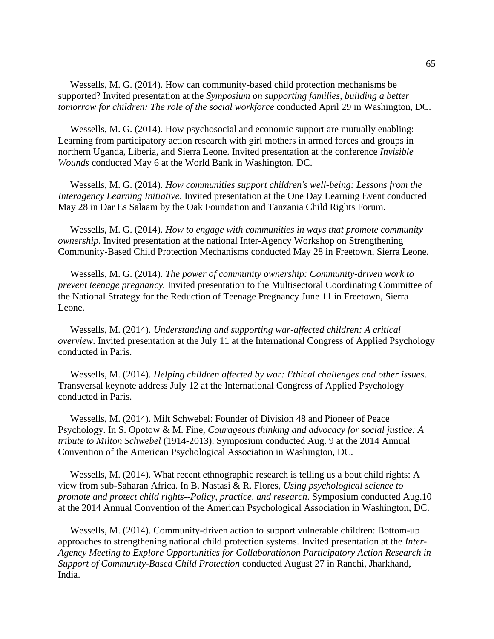Wessells, M. G. (2014). How can community-based child protection mechanisms be supported? Invited presentation at the *Symposium on supporting families, building a better tomorrow for children: The role of the social workforce* conducted April 29 in Washington, DC.

 Wessells, M. G. (2014). How psychosocial and economic support are mutually enabling: Learning from participatory action research with girl mothers in armed forces and groups in northern Uganda, Liberia, and Sierra Leone. Invited presentation at the conference *Invisible Wounds* conducted May 6 at the World Bank in Washington, DC.

 Wessells, M. G. (2014). *How communities support children's well-being: Lessons from the Interagency Learning Initiative*. Invited presentation at the One Day Learning Event conducted May 28 in Dar Es Salaam by the Oak Foundation and Tanzania Child Rights Forum.

 Wessells, M. G. (2014). *How to engage with communities in ways that promote community ownership.* Invited presentation at the national Inter-Agency Workshop on Strengthening Community-Based Child Protection Mechanisms conducted May 28 in Freetown, Sierra Leone.

 Wessells, M. G. (2014). *The power of community ownership: Community-driven work to prevent teenage pregnancy.* Invited presentation to the Multisectoral Coordinating Committee of the National Strategy for the Reduction of Teenage Pregnancy June 11 in Freetown, Sierra Leone.

 Wessells, M. (2014). *Understanding and supporting war-affected children: A critical overview*. Invited presentation at the July 11 at the International Congress of Applied Psychology conducted in Paris.

 Wessells, M. (2014). *Helping children affected by war: Ethical challenges and other issues*. Transversal keynote address July 12 at the International Congress of Applied Psychology conducted in Paris.

 Wessells, M. (2014). Milt Schwebel: Founder of Division 48 and Pioneer of Peace Psychology. In S. Opotow & M. Fine, *Courageous thinking and advocacy for social justice: A tribute to Milton Schwebel* (1914-2013). Symposium conducted Aug. 9 at the 2014 Annual Convention of the American Psychological Association in Washington, DC.

 Wessells, M. (2014). What recent ethnographic research is telling us a bout child rights: A view from sub-Saharan Africa. In B. Nastasi & R. Flores, *Using psychological science to promote and protect child rights--Policy, practice, and research*. Symposium conducted Aug.10 at the 2014 Annual Convention of the American Psychological Association in Washington, DC.

 Wessells, M. (2014). Community-driven action to support vulnerable children: Bottom-up approaches to strengthening national child protection systems. Invited presentation at the *Inter-Agency Meeting to Explore Opportunities for Collaborationon Participatory Action Research in Support of Community-Based Child Protection* conducted August 27 in Ranchi, Jharkhand, India.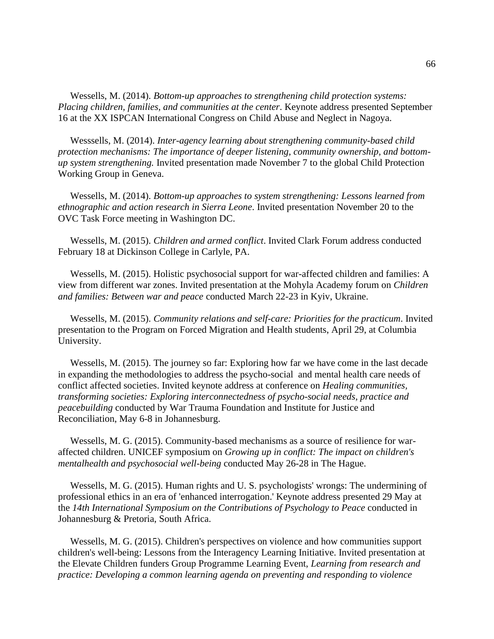Wessells, M. (2014). *Bottom-up approaches to strengthening child protection systems: Placing children, families, and communities at the center*. Keynote address presented September 16 at the XX ISPCAN International Congress on Child Abuse and Neglect in Nagoya.

 Wesssells, M. (2014). *Inter-agency learning about strengthening community-based child protection mechanisms: The importance of deeper listening, community ownership, and bottomup system strengthening.* Invited presentation made November 7 to the global Child Protection Working Group in Geneva.

 Wessells, M. (2014). *Bottom-up approaches to system strengthening: Lessons learned from ethnographic and action research in Sierra Leone*. Invited presentation November 20 to the OVC Task Force meeting in Washington DC.

 Wessells, M. (2015). *Children and armed conflict*. Invited Clark Forum address conducted February 18 at Dickinson College in Carlyle, PA.

 Wessells, M. (2015). Holistic psychosocial support for war-affected children and families: A view from different war zones. Invited presentation at the Mohyla Academy forum on *Children and families: Between war and peace* conducted March 22-23 in Kyiv, Ukraine.

 Wessells, M. (2015). *Community relations and self-care: Priorities for the practicum*. Invited presentation to the Program on Forced Migration and Health students, April 29, at Columbia University.

 Wessells, M. (2015). The journey so far: Exploring how far we have come in the last decade in expanding the methodologies to address the psycho-social and mental health care needs of conflict affected societies. Invited keynote address at conference on *Healing communities, transforming societies: Exploring interconnectedness of psycho-social needs, practice and peacebuilding* conducted by War Trauma Foundation and Institute for Justice and Reconciliation, May 6-8 in Johannesburg.

 Wessells, M. G. (2015). Community-based mechanisms as a source of resilience for waraffected children. UNICEF symposium on *Growing up in conflict: The impact on children's mentalhealth and psychosocial well-being* conducted May 26-28 in The Hague.

 Wessells, M. G. (2015). Human rights and U. S. psychologists' wrongs: The undermining of professional ethics in an era of 'enhanced interrogation.' Keynote address presented 29 May at the *14th International Symposium on the Contributions of Psychology to Peace* conducted in Johannesburg & Pretoria, South Africa.

 Wessells, M. G. (2015). Children's perspectives on violence and how communities support children's well-being: Lessons from the Interagency Learning Initiative. Invited presentation at the Elevate Children funders Group Programme Learning Event, *Learning from research and practice: Developing a common learning agenda on preventing and responding to violence*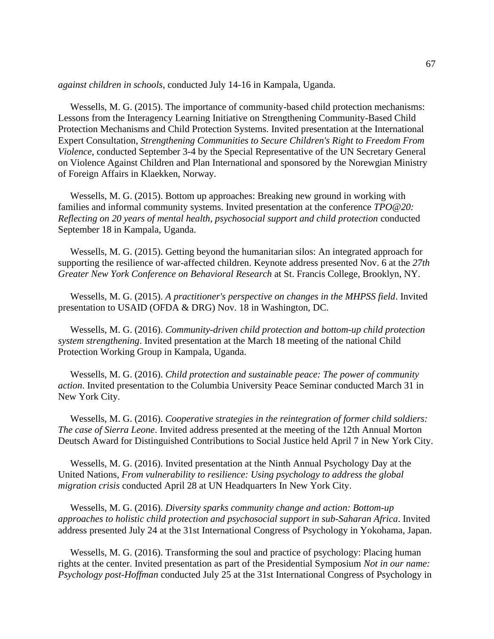*against children in schools*, conducted July 14-16 in Kampala, Uganda.

 Wessells, M. G. (2015). The importance of community-based child protection mechanisms: Lessons from the Interagency Learning Initiative on Strengthening Community-Based Child Protection Mechanisms and Child Protection Systems. Invited presentation at the International Expert Consultation, *Strengthening Communities to Secure Children's Right to Freedom From Violence*, conducted September 3-4 by the Special Representative of the UN Secretary General on Violence Against Children and Plan International and sponsored by the Norewgian Ministry of Foreign Affairs in Klaekken, Norway.

 Wessells, M. G. (2015). Bottom up approaches: Breaking new ground in working with families and informal community systems. Invited presentation at the conference *TPO@20: Reflecting on 20 years of mental health, psychosocial support and child protection* conducted September 18 in Kampala, Uganda.

 Wessells, M. G. (2015). Getting beyond the humanitarian silos: An integrated approach for supporting the resilience of war-affected children. Keynote address presented Nov. 6 at the *27th Greater New York Conference on Behavioral Research* at St. Francis College, Brooklyn, NY.

 Wessells, M. G. (2015). *A practitioner's perspective on changes in the MHPSS field*. Invited presentation to USAID (OFDA & DRG) Nov. 18 in Washington, DC.

 Wessells, M. G. (2016). *Community-driven child protection and bottom-up child protection system strengthening*. Invited presentation at the March 18 meeting of the national Child Protection Working Group in Kampala, Uganda.

 Wessells, M. G. (2016). *Child protection and sustainable peace: The power of community action*. Invited presentation to the Columbia University Peace Seminar conducted March 31 in New York City.

 Wessells, M. G. (2016). *Cooperative strategies in the reintegration of former child soldiers: The case of Sierra Leone*. Invited address presented at the meeting of the 12th Annual Morton Deutsch Award for Distinguished Contributions to Social Justice held April 7 in New York City.

 Wessells, M. G. (2016). Invited presentation at the Ninth Annual Psychology Day at the United Nations, *From vulnerability to resilience: Using psychology to address the global migration crisis* conducted April 28 at UN Headquarters In New York City.

 Wessells, M. G. (2016). *Diversity sparks community change and action: Bottom-up approaches to holistic child protection and psychosocial support in sub-Saharan Africa*. Invited address presented July 24 at the 31st International Congress of Psychology in Yokohama, Japan.

 Wessells, M. G. (2016). Transforming the soul and practice of psychology: Placing human rights at the center. Invited presentation as part of the Presidential Symposium *Not in our name: Psychology post-Hoffman* conducted July 25 at the 31st International Congress of Psychology in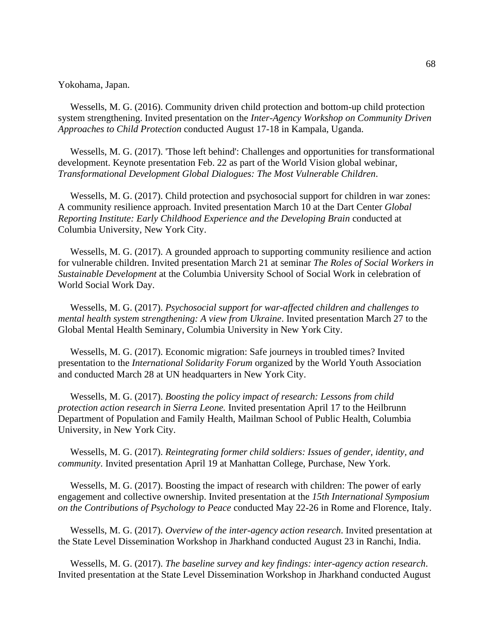Yokohama, Japan.

 Wessells, M. G. (2016). Community driven child protection and bottom-up child protection system strengthening. Invited presentation on the *Inter-Agency Workshop on Community Driven Approaches to Child Protection* conducted August 17-18 in Kampala, Uganda.

 Wessells, M. G. (2017). 'Those left behind': Challenges and opportunities for transformational development. Keynote presentation Feb. 22 as part of the World Vision global webinar, *Transformational Development Global Dialogues: The Most Vulnerable Children*.

 Wessells, M. G. (2017). Child protection and psychosocial support for children in war zones: A community resilience approach. Invited presentation March 10 at the Dart Center *Global Reporting Institute: Early Childhood Experience and the Developing Brain* conducted at Columbia University, New York City.

 Wessells, M. G. (2017). A grounded approach to supporting community resilience and action for vulnerable children. Invited presentation March 21 at seminar *The Roles of Social Workers in Sustainable Development* at the Columbia University School of Social Work in celebration of World Social Work Day.

 Wessells, M. G. (2017). *Psychosocial support for war-affected children and challenges to mental health system strengthening: A view from Ukraine*. Invited presentation March 27 to the Global Mental Health Seminary, Columbia University in New York City.

 Wessells, M. G. (2017). Economic migration: Safe journeys in troubled times? Invited presentation to the *International Solidarity Forum* organized by the World Youth Association and conducted March 28 at UN headquarters in New York City.

 Wessells, M. G. (2017). *Boosting the policy impact of research: Lessons from child protection action research in Sierra Leone.* Invited presentation April 17 to the Heilbrunn Department of Population and Family Health, Mailman School of Public Health, Columbia University, in New York City.

 Wessells, M. G. (2017). *Reintegrating former child soldiers: Issues of gender, identity, and community*. Invited presentation April 19 at Manhattan College, Purchase, New York.

 Wessells, M. G. (2017). Boosting the impact of research with children: The power of early engagement and collective ownership. Invited presentation at the *15th International Symposium on the Contributions of Psychology to Peace* conducted May 22-26 in Rome and Florence, Italy.

 Wessells, M. G. (2017). *Overview of the inter-agency action research*. Invited presentation at the State Level Dissemination Workshop in Jharkhand conducted August 23 in Ranchi, India.

 Wessells, M. G. (2017). *The baseline survey and key findings: inter-agency action research*. Invited presentation at the State Level Dissemination Workshop in Jharkhand conducted August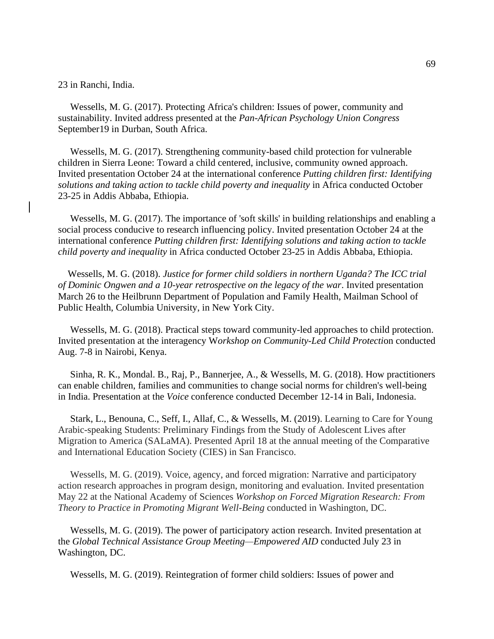23 in Ranchi, India.

 Wessells, M. G. (2017). Protecting Africa's children: Issues of power, community and sustainability. Invited address presented at the *Pan-African Psychology Union Congress* September19 in Durban, South Africa.

 Wessells, M. G. (2017). Strengthening community-based child protection for vulnerable children in Sierra Leone: Toward a child centered, inclusive, community owned approach. Invited presentation October 24 at the international conference *Putting children first: Identifying solutions and taking action to tackle child poverty and inequality* in Africa conducted October 23-25 in Addis Abbaba, Ethiopia.

 Wessells, M. G. (2017). The importance of 'soft skills' in building relationships and enabling a social process conducive to research influencing policy. Invited presentation October 24 at the international conference *Putting children first: Identifying solutions and taking action to tackle child poverty and inequality* in Africa conducted October 23-25 in Addis Abbaba, Ethiopia.

 Wessells, M. G. (2018). *Justice for former child soldiers in northern Uganda? The ICC trial of Dominic Ongwen and a 10-year retrospective on the legacy of the war*. Invited presentation March 26 to the Heilbrunn Department of Population and Family Health, Mailman School of Public Health, Columbia University, in New York City.

 Wessells, M. G. (2018). Practical steps toward community-led approaches to child protection. Invited presentation at the interagency W*orkshop on Community-Led Child Protecti*on conducted Aug. 7-8 in Nairobi, Kenya.

 Sinha, R. K., Mondal. B., Raj, P., Bannerjee, A., & Wessells, M. G. (2018). How practitioners can enable children, families and communities to change social norms for children's well-being in India. Presentation at the *Voice* conference conducted December 12-14 in Bali, Indonesia.

 Stark, L., Benouna, C., Seff, I., Allaf, C., & Wessells, M. (2019). Learning to Care for Young Arabic-speaking Students: Preliminary Findings from the Study of Adolescent Lives after Migration to America (SALaMA). Presented April 18 at the annual meeting of the Comparative and International Education Society (CIES) in San Francisco.

 Wessells, M. G. (2019). Voice, agency, and forced migration: Narrative and participatory action research approaches in program design, monitoring and evaluation. Invited presentation May 22 at the National Academy of Sciences *Workshop on Forced Migration Research: From Theory to Practice in Promoting Migrant Well-Being* conducted in Washington, DC.

 Wessells, M. G. (2019). The power of participatory action research. Invited presentation at the *Global Technical Assistance Group Meeting—Empowered AID* conducted July 23 in Washington, DC.

Wessells, M. G. (2019). Reintegration of former child soldiers: Issues of power and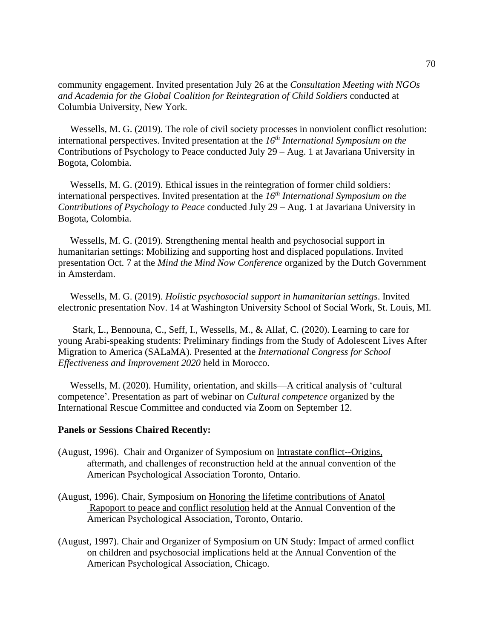community engagement. Invited presentation July 26 at the *Consultation Meeting with NGOs and Academia for the Global Coalition for Reintegration of Child Soldiers* conducted at Columbia University, New York.

 Wessells, M. G. (2019). The role of civil society processes in nonviolent conflict resolution: international perspectives. Invited presentation at the *16th International Symposium on the*  Contributions of Psychology to Peace conducted July 29 – Aug. 1 at Javariana University in Bogota, Colombia.

 Wessells, M. G. (2019). Ethical issues in the reintegration of former child soldiers: international perspectives. Invited presentation at the *16th International Symposium on the Contributions of Psychology to Peace* conducted July 29 – Aug. 1 at Javariana University in Bogota, Colombia.

 Wessells, M. G. (2019). Strengthening mental health and psychosocial support in humanitarian settings: Mobilizing and supporting host and displaced populations. Invited presentation Oct. 7 at the *Mind the Mind Now Conference* organized by the Dutch Government in Amsterdam.

 Wessells, M. G. (2019). *Holistic psychosocial support in humanitarian settings*. Invited electronic presentation Nov. 14 at Washington University School of Social Work, St. Louis, MI.

 Stark, L., Bennouna, C., Seff, I., Wessells, M., & Allaf, C. (2020). Learning to care for young Arabi-speaking students: Preliminary findings from the Study of Adolescent Lives After Migration to America (SALaMA). Presented at the *International Congress for School Effectiveness and Improvement 2020* held in Morocco.

 Wessells, M. (2020). Humility, orientation, and skills—A critical analysis of 'cultural competence'. Presentation as part of webinar on *Cultural competence* organized by the International Rescue Committee and conducted via Zoom on September 12.

## **Panels or Sessions Chaired Recently:**

- (August, 1996). Chair and Organizer of Symposium on Intrastate conflict--Origins, aftermath, and challenges of reconstruction held at the annual convention of the American Psychological Association Toronto, Ontario.
- (August, 1996). Chair, Symposium on Honoring the lifetime contributions of Anatol Rapoport to peace and conflict resolution held at the Annual Convention of the American Psychological Association, Toronto, Ontario.
- (August, 1997). Chair and Organizer of Symposium on UN Study: Impact of armed conflict on children and psychosocial implications held at the Annual Convention of the American Psychological Association, Chicago.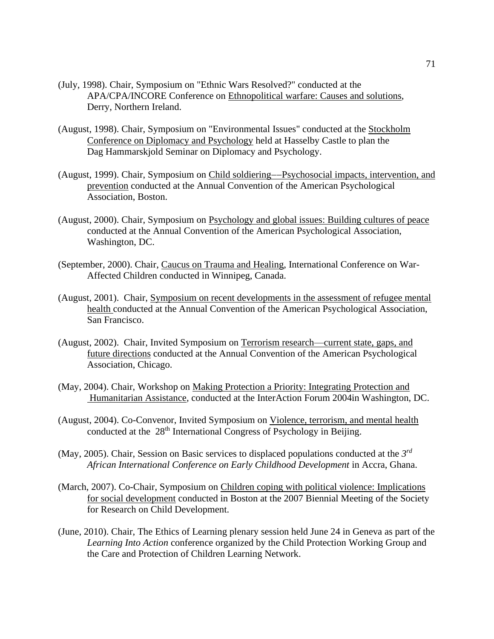- (July, 1998). Chair, Symposium on "Ethnic Wars Resolved?" conducted at the APA/CPA/INCORE Conference on Ethnopolitical warfare: Causes and solutions, Derry, Northern Ireland.
- (August, 1998). Chair, Symposium on "Environmental Issues" conducted at the Stockholm Conference on Diplomacy and Psychology held at Hasselby Castle to plan the Dag Hammarskjold Seminar on Diplomacy and Psychology.
- (August, 1999). Chair, Symposium on Child soldiering−−Psychosocial impacts, intervention, and prevention conducted at the Annual Convention of the American Psychological Association, Boston.
- (August, 2000). Chair, Symposium on Psychology and global issues: Building cultures of peace conducted at the Annual Convention of the American Psychological Association, Washington, DC.
- (September, 2000). Chair, Caucus on Trauma and Healing, International Conference on War-Affected Children conducted in Winnipeg, Canada.
- (August, 2001). Chair, Symposium on recent developments in the assessment of refugee mental health conducted at the Annual Convention of the American Psychological Association, San Francisco.
- (August, 2002). Chair, Invited Symposium on Terrorism research—current state, gaps, and future directions conducted at the Annual Convention of the American Psychological Association, Chicago.
- (May, 2004). Chair, Workshop on Making Protection a Priority: Integrating Protection and Humanitarian Assistance, conducted at the InterAction Forum 2004in Washington, DC.
- (August, 2004). Co-Convenor, Invited Symposium on Violence, terrorism, and mental health conducted at the  $28<sup>th</sup>$  International Congress of Psychology in Beijing.
- (May, 2005). Chair, Session on Basic services to displaced populations conducted at the *3 rd African International Conference on Early Childhood Development* in Accra, Ghana.
- (March, 2007). Co-Chair, Symposium on Children coping with political violence: Implications for social development conducted in Boston at the 2007 Biennial Meeting of the Society for Research on Child Development.
- (June, 2010). Chair, The Ethics of Learning plenary session held June 24 in Geneva as part of the *Learning Into Action* conference organized by the Child Protection Working Group and the Care and Protection of Children Learning Network.